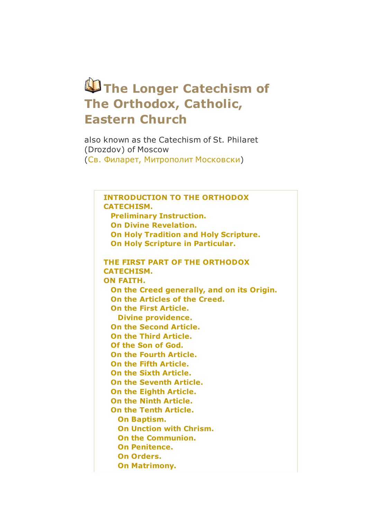# **The Longer Catechism of The Orthodox, Catholic, Eastern Church**

also known as the Catechism of St. Philaret (Drozdov) of Moscow (Св. Филарет, Митрополит Московски)

> **INTRODUCTION TO THE ORTHODOX CATECHISM. Preliminary Instruction. On Divine Revelation. On Holy Tradition and Holy Scripture. On Holy Scripture in Particular. THE FIRST PART OF THE ORTHODOX CATECHISM. ON FAITH. On the Creed generally, and on its Origin. On the Articles of the Creed. On the First Article. Divine providence. On the Second Article. On the Third Article. Of the Son of God. On the Fourth Article. On the Fifth Article. On the Sixth Article. On the Seventh Article. On the Eighth Article. On the Ninth Article. On the Tenth Article. On Baptism. On Unction with Chrism. On the Communion. On Penitence. On Orders. On Matrimony.**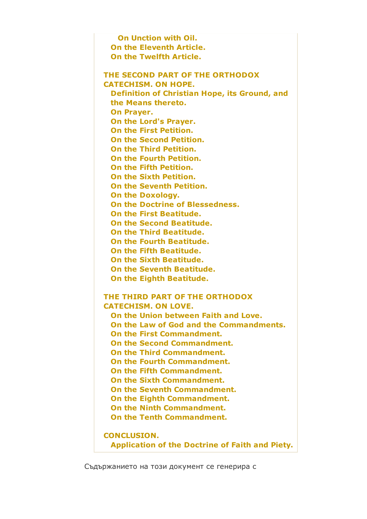**On Unction with Oil. On the Eleventh Article. On the Twelfth Article. THE SECOND PART OF THE ORTHODOX CATECHISM. ON HOPE. Definition of Christian Hope, its Ground, and the Means thereto. On Prayer. On the Lord's Prayer. On the First Petition. On the Second Petition. On the Third Petition. On the Fourth Petition. On the Fifth Petition. On the Sixth Petition. On the Seventh Petition. On the Doxology. On the Doctrine of Blessedness. On the First Beatitude. On the Second Beatitude. On the Third Beatitude. On the Fourth Beatitude. On the Fifth Beatitude. On the Sixth Beatitude. On the Seventh Beatitude. On the Eighth Beatitude. THE THIRD PART OF THE ORTHODOX CATECHISM. ON LOVE. On the Union between Faith and Love. On the Law of God and the Commandments. On the First Commandment. On the Second Commandment. On the Third Commandment. On the Fourth Commandment. On the Fifth Commandment. On the Sixth Commandment. On the Seventh Commandment. On the Eighth Commandment. On the Ninth Commandment. On the Tenth Commandment. CONCLUSION.**

**Application of the Doctrine of Faith and Piety.**

Съдържанието на този документ се генерира с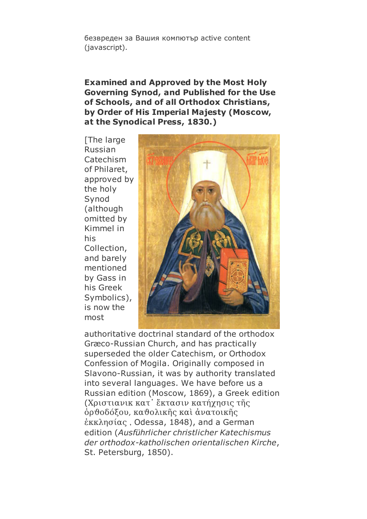безвреден за Вашия компютър active content (javascript).

#### **Examined and Approved by the Most Holy Governing Synod, and Published for the Use of Schools, and of all Orthodox Christians, by Order of His Imperial Majesty (Moscow, at the Synodical Press, 1830.)**

[The large Russian Catechism of Philaret, approved by the holy Synod (although omitted by Kimmel in his Collection, and barely mentioned by Gass in his Greek Symbolics), is now the most



authoritative doctrinal standard of the orthodox Græco-Russian Church, and has practically superseded the older Catechism, or Orthodox Confession of Mogila. Originally composed in Slavono-Russian, it was by authority translated into several languages. We have before us a Russian edition (Moscow, 1869), a Greek edition (Χριστιανικ κατ᾿ ἔκτασιν κατήχησις τῆς όρθοδόξου, καθολικῆς καὶ ἀνατοικῆς ἐκκλησίας , Odessa, 1848), and a German edition (*Ausführlicher christlicher Katechismus der orthodox-katholischen orientalischen Kirche*, St. Petersburg, 1850).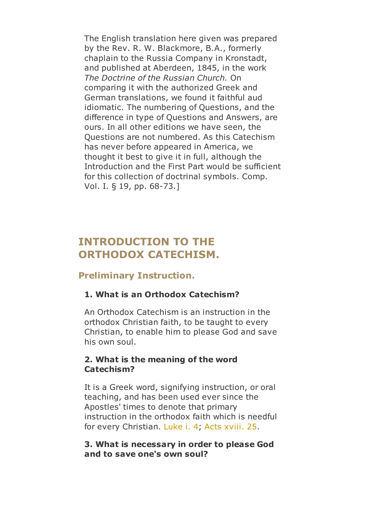The English translation here given was prepared by the Rev. R. W. Blackmore, B.A., formerly chaplain to the Russia Company in Kronstadt, and published at Aberdeen, 1845, in the work *The Doctrine of the Russian Church.* On comparing it with the authorized Greek and German translations, we found it faithful aud idiomatic. The numbering of Questions, and the difference in type of Questions and Answers, are ours. In all other editions we have seen, the Questions are not numbered. As this Catechism has never before appeared in America, we thought it best to give it in full, although the Introduction and the First Part would be sufficient for this collection of doctrinal symbols. Comp. Vol. I. § 19, pp. 68-73.]

# **INTRODUCTION TO THE ORTHODOX CATECHISM.**

# **Preliminary Instruction.**

# **1. What is an Orthodox Catechism?**

An Orthodox Catechism is an instruction in the orthodox Christian faith, to be taught to every Christian, to enable him to please God and save his own soul.

#### **2. What is the meaning of the word Catechism?**

It is a Greek word, signifying instruction, or oral teaching, and has been used ever since the Apostles' times to denote that primary instruction in the orthodox faith which is needful for every Christian. Luke i. 4; Acts xviii. 25.

#### **3. What is necessary in order to please God and to save one's own soul?**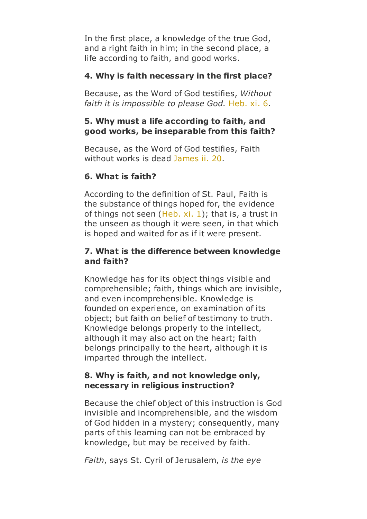In the first place, a knowledge of the true God, and a right faith in him; in the second place, a life according to faith, and good works.

# **4. Why is faith necessary in the first place?**

Because, as the Word of God testifies, *Without faith it is impossible to please God.* Heb. xi. 6.

# **5. Why must a life according to faith, and good works, be inseparable from this faith?**

Because, as the Word of God testifies, Faith without works is dead James ii. 20.

# **6. What is faith?**

According to the definition of St. Paul, Faith is the substance of things hoped for, the evidence of things not seen (Heb.  $xi$ i. 1); that is, a trust in the unseen as though it were seen, in that which is hoped and waited for as if it were present.

# **7. What is the difference between knowledge and faith?**

Knowledge has for its object things visible and comprehensible; faith, things which are invisible, and even incomprehensible. Knowledge is founded on experience, on examination of its object; but faith on belief of testimony to truth. Knowledge belongs properly to the intellect, although it may also act on the heart; faith belongs principally to the heart, although it is imparted through the intellect.

# **8. Why is faith, and not knowledge only, necessary in religious instruction?**

Because the chief object of this instruction is God invisible and incomprehensible, and the wisdom of God hidden in a mystery; consequently, many parts of this learning can not be embraced by knowledge, but may be received by faith.

*Faith*, says St. Cyril of Jerusalem, *is the eye*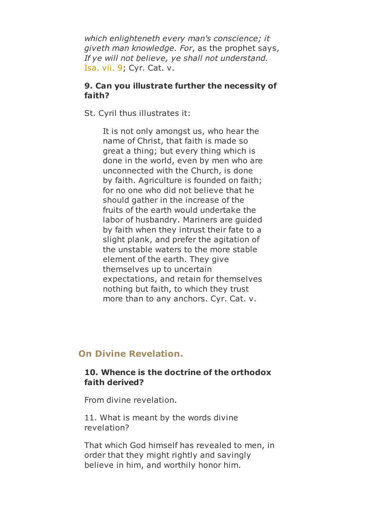*which enlighteneth every man's conscience; it giveth man knowledge. For*, as the prophet says, *If ye will not believe, ye shall not understand.* Isa. vii. 9; Cyr. Cat. v.

#### **9. Can you illustrate further the necessity of faith?**

St. Cyril thus illustrates it:

It is not only amongst us, who hear the name of Christ, that faith is made so great a thing; but every thing which is done in the world, even by men who are unconnected with the Church, is done by faith. Agriculture is founded on faith; for no one who did not believe that he should gather in the increase of the fruits of the earth would undertake the labor of husbandry. Mariners are guided by faith when they intrust their fate to a slight plank, and prefer the agitation of the unstable waters to the more stable element of the earth. They give themselves up to uncertain expectations, and retain for themselves nothing but faith, to which they trust more than to any anchors. Cyr. Cat. v.

# **On Divine Revelation.**

#### **10. Whence is the doctrine of the orthodox faith derived?**

From divine revelation.

11. What is meant by the words divine revelation?

That which God himself has revealed to men, in order that they might rightly and savingly believe in him, and worthily honor him.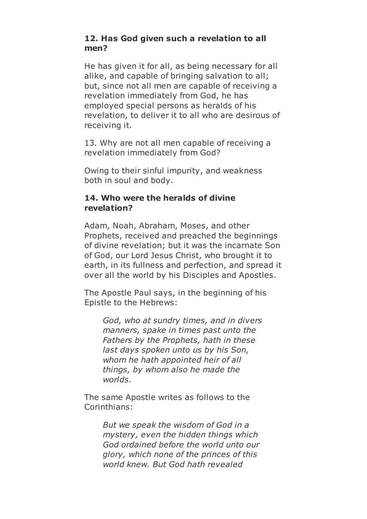### **12. Has God given such a revelation to all men?**

He has given it for all, as being necessary for all alike, and capable of bringing salvation to all; but, since not all men are capable of receiving a revelation immediately from God, he has employed special persons as heralds of his revelation, to deliver it to all who are desirous of receiving it.

13. Why are not all men capable of receiving a revelation immediately from God?

Owing to their sinful impurity, and weakness both in soul and body.

### **14. Who were the heralds of divine revelation?**

Adam, Noah, Abraham, Moses, and other Prophets, received and preached the beginnings of divine revelation; but it was the incarnate Son of God, our Lord Jesus Christ, who brought it to earth, in its fullness and perfection, and spread it over all the world by his Disciples and Apostles.

The Apostle Paul says, in the beginning of his Epistle to the Hebrews:

*God, who at sundry times, and in divers manners, spake in times past unto the Fathers by the Prophets, hath in these last days spoken unto us by his Son, whom he hath appointed heir of all things, by whom also he made the worlds.*

The same Apostle writes as follows to the Corinthians:

> *But we speak the wisdom of God in a mystery, even the hidden things which God ordained before the world unto our glory, which none of the princes of this world knew. But God hath revealed*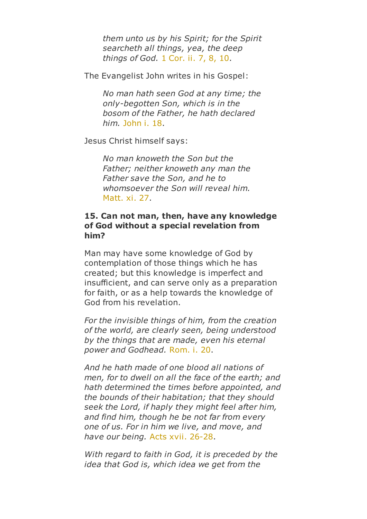*them unto us by his Spirit; for the Spirit searcheth all things, yea, the deep things of God.* 1 Cor. ii. 7, 8, 10.

The Evangelist John writes in his Gospel:

*No man hath seen God at any time; the only-begotten Son, which is in the bosom of the Father, he hath declared him.* John i. 18.

Jesus Christ himself says:

*No man knoweth the Son but the Father; neither knoweth any man the Father save the Son, and he to whomsoever the Son will reveal him.* Matt. xi. 27.

#### **15. Can not man, then, have any knowledge of God without a special revelation from him?**

Man may have some knowledge of God by contemplation of those things which he has created; but this knowledge is imperfect and insufficient, and can serve only as a preparation for faith, or as a help towards the knowledge of God from his revelation.

*For the invisible things of him, from the creation of the world, are clearly seen, being understood by the things that are made, even his eternal power and Godhead.* Rom. i. 20.

*And he hath made of one blood all nations of men, for to dwell on all the face of the earth; and hath determined the times before appointed, and the bounds of their habitation; that they should seek the Lord, if haply they might feel after him, and find him, though he be not far from every one of us. For in him we live, and move, and have our being.* Acts xvii. 26-28.

*With regard to faith in God, it is preceded by the idea that God is, which idea we get from the*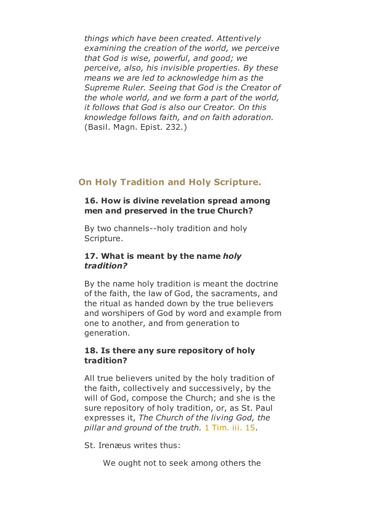*things which have been created. Attentively examining the creation of the world, we perceive that God is wise, powerful, and good; we perceive, also, his invisible properties. By these means we are led to acknowledge him as the Supreme Ruler. Seeing that God is the Creator of the whole world, and we form a part of the world, it follows that God is also our Creator. On this knowledge follows faith, and on faith adoration.* (Basil. Magn. Epist. 232.)

### **On Holy Tradition and Holy Scripture.**

#### **16. How is divine revelation spread among men and preserved in the true Church?**

By two channels--holy tradition and holy Scripture.

#### **17. What is meant by the name** *holy tradition?*

By the name holy tradition is meant the doctrine of the faith, the law of God, the sacraments, and the ritual as handed down by the true believers and worshipers of God by word and example from one to another, and from generation to generation.

#### **18. Is there any sure repository of holy tradition?**

All true believers united by the holy tradition of the faith, collectively and successively, by the will of God, compose the Church; and she is the sure repository of holy tradition, or, as St. Paul expresses it, *The Church of the living God, the pillar and ground of the truth.* 1 Tim. iii. 15.

St. Irenæus writes thus:

We ought not to seek among others the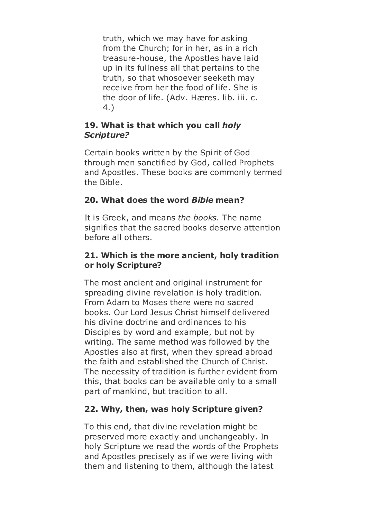truth, which we may have for asking from the Church; for in her, as in a rich treasure-house, the Apostles have laid up in its fullness all that pertains to the truth, so that whosoever seeketh may receive from her the food of life. She is the door of life. (Adv. Hæres. lib. iii. c. 4.)

#### **19. What is that which you call** *holy Scripture?*

Certain books written by the Spirit of God through men sanctified by God, called Prophets and Apostles. These books are commonly termed the Bible.

# **20. What does the word** *Bible* **mean?**

It is Greek, and means *the books.* The name signifies that the sacred books deserve attention before all others.

# **21. Which is the more ancient, holy tradition or holy Scripture?**

The most ancient and original instrument for spreading divine revelation is holy tradition. From Adam to Moses there were no sacred books. Our Lord Jesus Christ himself delivered his divine doctrine and ordinances to his Disciples by word and example, but not by writing. The same method was followed by the Apostles also at first, when they spread abroad the faith and established the Church of Christ. The necessity of tradition is further evident from this, that books can be available only to a small part of mankind, but tradition to all.

# **22. Why, then, was holy Scripture given?**

To this end, that divine revelation might be preserved more exactly and unchangeably. In holy Scripture we read the words of the Prophets and Apostles precisely as if we were living with them and listening to them, although the latest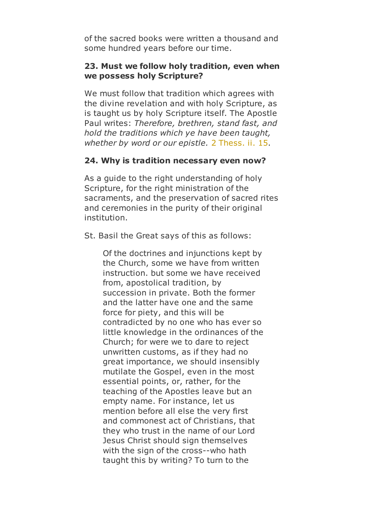of the sacred books were written a thousand and some hundred years before our time.

#### **23. Must we follow holy tradition, even when we possess holy Scripture?**

We must follow that tradition which agrees with the divine revelation and with holy Scripture, as is taught us by holy Scripture itself. The Apostle Paul writes: *Therefore, brethren, stand fast, and hold the traditions which ye have been taught, whether by word or our epistle.* 2 Thess. ii. 15.

### **24. Why is tradition necessary even now?**

As a guide to the right understanding of holy Scripture, for the right ministration of the sacraments, and the preservation of sacred rites and ceremonies in the purity of their original institution.

St. Basil the Great says of this as follows:

Of the doctrines and injunctions kept by the Church, some we have from written instruction. but some we have received from, apostolical tradition, by succession in private. Both the former and the latter have one and the same force for piety, and this will be contradicted by no one who has ever so little knowledge in the ordinances of the Church; for were we to dare to reject unwritten customs, as if they had no great importance, we should insensibly mutilate the Gospel, even in the most essential points, or, rather, for the teaching of the Apostles leave but an empty name. For instance, let us mention before all else the very first and commonest act of Christians, that they who trust in the name of our Lord Jesus Christ should sign themselves with the sign of the cross--who hath taught this by writing? To turn to the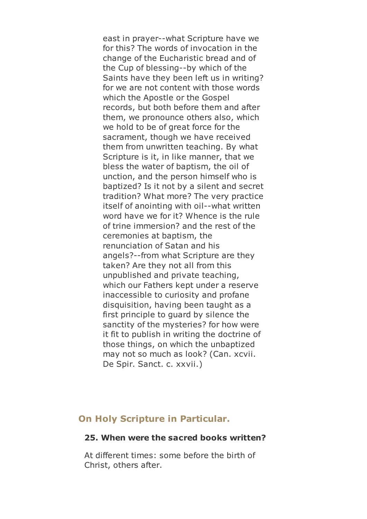east in prayer--what Scripture have we for this? The words of invocation in the change of the Eucharistic bread and of the Cup of blessing--by which of the Saints have they been left us in writing? for we are not content with those words which the Apostle or the Gospel records, but both before them and after them, we pronounce others also, which we hold to be of great force for the sacrament, though we have received them from unwritten teaching. By what Scripture is it, in like manner, that we bless the water of baptism, the oil of unction, and the person himself who is baptized? Is it not by a silent and secret tradition? What more? The very practice itself of anointing with oil--what written word have we for it? Whence is the rule of trine immersion? and the rest of the ceremonies at baptism, the renunciation of Satan and his angels?--from what Scripture are they taken? Are they not all from this unpublished and private teaching, which our Fathers kept under a reserve inaccessible to curiosity and profane disquisition, having been taught as a first principle to guard by silence the sanctity of the mysteries? for how were it fit to publish in writing the doctrine of those things, on which the unbaptized may not so much as look? (Can. xcvii. De Spir. Sanct. c. xxvii.)

#### **On Holy Scripture in Particular.**

#### **25. When were the sacred books written?**

At different times: some before the birth of Christ, others after.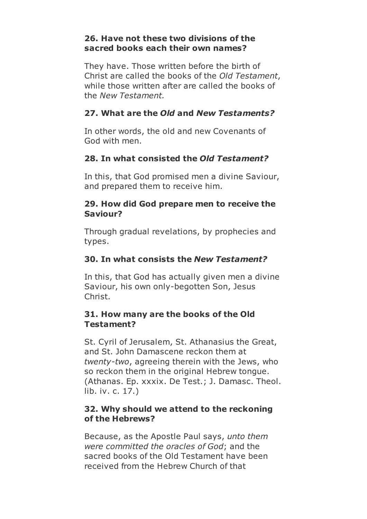# **26. Have not these two divisions of the sacred books each their own names?**

They have. Those written before the birth of Christ are called the books of the *Old Testament*, while those written after are called the books of the *New Testament.*

# **27. What are the** *Old* **and** *New Testaments?*

In other words, the old and new Covenants of God with men.

# **28. In what consisted the** *Old Testament?*

In this, that God promised men a divine Saviour, and prepared them to receive him.

### **29. How did God prepare men to receive the Saviour?**

Through gradual revelations, by prophecies and types.

# **30. In what consists the** *New Testament?*

In this, that God has actually given men a divine Saviour, his own only-begotten Son, Jesus Christ.

### **31. How many are the books of the Old Testament?**

St. Cyril of Jerusalem, St. Athanasius the Great, and St. John Damascene reckon them at *twenty-two*, agreeing therein with the Jews, who so reckon them in the original Hebrew tongue. (Athanas. Ep. xxxix. De Test.; J. Damasc. Theol. lib. iv. c. 17.)

### **32. Why should we attend to the reckoning of the Hebrews?**

Because, as the Apostle Paul says, *unto them were committed the oracles of God*; and the sacred books of the Old Testament have been received from the Hebrew Church of that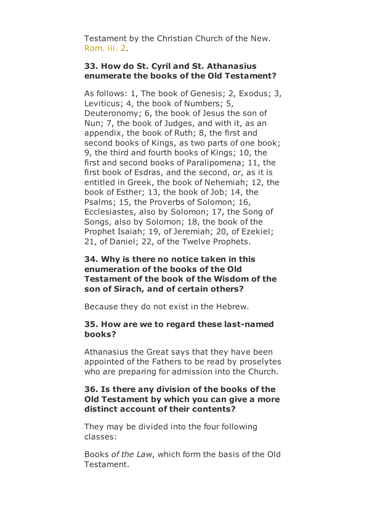Testament by the Christian Church of the New. Rom. iii. 2.

#### **33. How do St. Cyril and St. Athanasius enumerate the books of the Old Testament?**

As follows: 1, The book of Genesis; 2, Exodus; 3, Leviticus; 4, the book of Numbers; 5, Deuteronomy; 6, the book of Jesus the son of Nun; 7, the book of Judges, and with it, as an appendix, the book of Ruth; 8, the first and second books of Kings, as two parts of one book; 9, the third and fourth books of Kings; 10, the first and second books of Paralipomena; 11, the first book of Esdras, and the second, or, as it is entitled in Greek, the book of Nehemiah; 12, the book of Esther; 13, the book of Job; 14, the Psalms; 15, the Proverbs of Solomon; 16, Ecclesiastes, also by Solomon; 17, the Song of Songs, also by Solomon; 18, the book of the Prophet Isaiah; 19, of Jeremiah; 20, of Ezekiel; 21, of Daniel; 22, of the Twelve Prophets.

### **34. Why is there no notice taken in this enumeration of the books of the Old Testament of the book of the Wisdom of the son of Sirach, and of certain others?**

Because they do not exist in the Hebrew.

### **35. How are we to regard these last-named books?**

Athanasius the Great says that they have been appointed of the Fathers to be read by proselytes who are preparing for admission into the Church.

#### **36. Is there any division of the books of the Old Testament by which you can give a more distinct account of their contents?**

They may be divided into the four following classes:

Books *of the Law*, which form the basis of the Old Testament.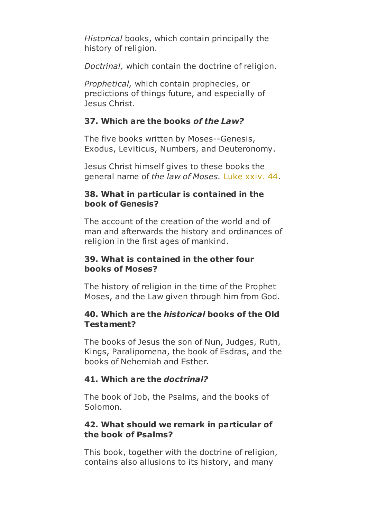*Historical* books, which contain principally the history of religion.

*Doctrinal,* which contain the doctrine of religion.

*Prophetical,* which contain prophecies, or predictions of things future, and especially of Jesus Christ.

# **37. Which are the books** *of the Law?*

The five books written by Moses--Genesis, Exodus, Leviticus, Numbers, and Deuteronomy.

Jesus Christ himself gives to these books the general name of *the law of Moses.* Luke xxiv. 44.

# **38. What in particular is contained in the book of Genesis?**

The account of the creation of the world and of man and afterwards the history and ordinances of religion in the first ages of mankind.

# **39. What is contained in the other four books of Moses?**

The history of religion in the time of the Prophet Moses, and the Law given through him from God.

# **40. Which are the** *historical* **books of the Old Testament?**

The books of Jesus the son of Nun, Judges, Ruth, Kings, Paralipomena, the book of Esdras, and the books of Nehemiah and Esther.

# **41. Which are the** *doctrinal?*

The book of Job, the Psalms, and the books of Solomon.

# **42. What should we remark in particular of the book of Psalms?**

This book, together with the doctrine of religion, contains also allusions to its history, and many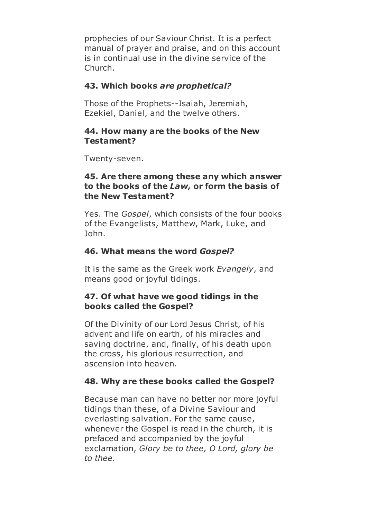prophecies of our Saviour Christ. It is a perfect manual of prayer and praise, and on this account is in continual use in the divine service of the Church.

# **43. Which books** *are prophetical?*

Those of the Prophets--Isaiah, Jeremiah, Ezekiel, Daniel, and the twelve others.

### **44. How many are the books of the New Testament?**

Twenty-seven.

# **45. Are there among these any which answer to the books of the** *Law***, or form the basis of the New Testament?**

Yes. The *Gospel*, which consists of the four books of the Evangelists, Matthew, Mark, Luke, and John.

# **46. What means the word** *Gospel?*

It is the same as the Greek work *Evangely*, and means good or joyful tidings.

# **47. Of what have we good tidings in the books called the Gospel?**

Of the Divinity of our Lord Jesus Christ, of his advent and life on earth, of his miracles and saving doctrine, and, finally, of his death upon the cross, his glorious resurrection, and ascension into heaven.

# **48. Why are these books called the Gospel?**

Because man can have no better nor more joyful tidings than these, of a Divine Saviour and everlasting salvation. For the same cause, whenever the Gospel is read in the church, it is prefaced and accompanied by the joyful exclamation, *Glory be to thee, O Lord, glory be to thee.*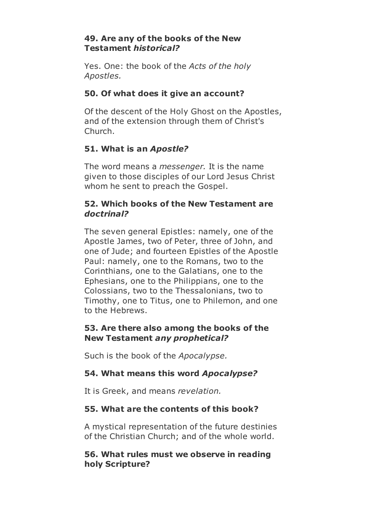# **49. Are any of the books of the New Testament** *historical?*

Yes. One: the book of the *Acts of the holy Apostles.*

# **50. Of what does it give an account?**

Of the descent of the Holy Ghost on the Apostles, and of the extension through them of Christ's Church.

# **51. What is an** *Apostle?*

The word means a *messenger.* It is the name given to those disciples of our Lord Jesus Christ whom he sent to preach the Gospel.

### **52. Which books of the New Testament are** *doctrinal?*

The seven general Epistles: namely, one of the Apostle James, two of Peter, three of John, and one of Jude; and fourteen Epistles of the Apostle Paul: namely, one to the Romans, two to the Corinthians, one to the Galatians, one to the Ephesians, one to the Philippians, one to the Colossians, two to the Thessalonians, two to Timothy, one to Titus, one to Philemon, and one to the Hebrews.

# **53. Are there also among the books of the New Testament** *any prophetical?*

Such is the book of the *Apocalypse.*

# **54. What means this word** *Apocalypse?*

It is Greek, and means *revelation.*

# **55. What are the contents of this book?**

A mystical representation of the future destinies of the Christian Church; and of the whole world.

### **56. What rules must we observe in reading holy Scripture?**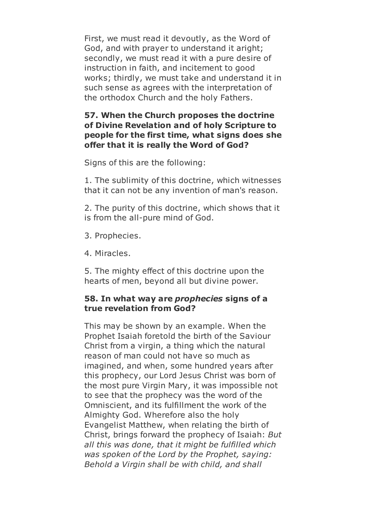First, we must read it devoutly, as the Word of God, and with prayer to understand it aright; secondly, we must read it with a pure desire of instruction in faith, and incitement to good works; thirdly, we must take and understand it in such sense as agrees with the interpretation of the orthodox Church and the holy Fathers.

### **57. When the Church proposes the doctrine of Divine Revelation and of holy Scripture to people for the first time, what signs does she offer that it is really the Word of God?**

Signs of this are the following:

1. The sublimity of this doctrine, which witnesses that it can not be any invention of man's reason.

2. The purity of this doctrine, which shows that it is from the all-pure mind of God.

- 3. Prophecies.
- 4. Miracles.

5. The mighty effect of this doctrine upon the hearts of men, beyond all but divine power.

# **58. In what way are** *prophecies* **signs of a true revelation from God?**

This may be shown by an example. When the Prophet Isaiah foretold the birth of the Saviour Christ from a virgin, a thing which the natural reason of man could not have so much as imagined, and when, some hundred years after this prophecy, our Lord Jesus Christ was born of the most pure Virgin Mary, it was impossible not to see that the prophecy was the word of the Omniscient, and its fulfillment the work of the Almighty God. Wherefore also the holy Evangelist Matthew, when relating the birth of Christ, brings forward the prophecy of Isaiah: *But all this was done, that it might be fulfilled which was spoken of the Lord by the Prophet, saying: Behold a Virgin shall be with child, and shall*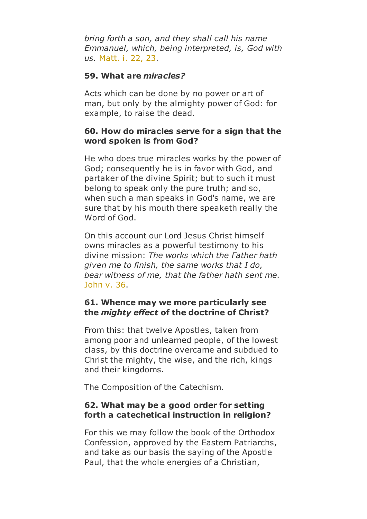*bring forth a son, and they shall call his name Emmanuel, which, being interpreted, is, God with us.* Matt. i. 22, 23.

#### **59. What are** *miracles?*

Acts which can be done by no power or art of man, but only by the almighty power of God: for example, to raise the dead.

### **60. How do miracles serve for a sign that the word spoken is from God?**

He who does true miracles works by the power of God; consequently he is in favor with God, and partaker of the divine Spirit; but to such it must belong to speak only the pure truth; and so, when such a man speaks in God's name, we are sure that by his mouth there speaketh really the Word of God.

On this account our Lord Jesus Christ himself owns miracles as a powerful testimony to his divine mission: *The works which the Father hath given me to finish, the same works that I do, bear witness of me, that the father hath sent me.* John v. 36.

### **61. Whence may we more particularly see the** *mighty effect* **of the doctrine of Christ?**

From this: that twelve Apostles, taken from among poor and unlearned people, of the lowest class, by this doctrine overcame and subdued to Christ the mighty, the wise, and the rich, kings and their kingdoms.

The Composition of the Catechism.

### **62. What may be a good order for setting forth a catechetical instruction in religion?**

For this we may follow the book of the Orthodox Confession, approved by the Eastern Patriarchs, and take as our basis the saying of the Apostle Paul, that the whole energies of a Christian,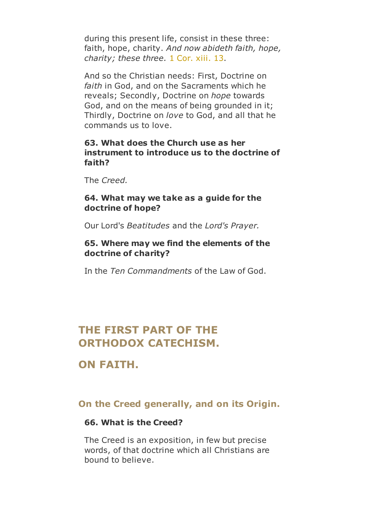during this present life, consist in these three: faith, hope, charity. *And now abideth faith, hope, charity; these three.* 1 Cor. xiii. 13.

And so the Christian needs: First, Doctrine on *faith* in God, and on the Sacraments which he reveals; Secondly, Doctrine on *hope* towards God, and on the means of being grounded in it; Thirdly, Doctrine on *love* to God, and all that he commands us to love.

#### **63. What does the Church use as her instrument to introduce us to the doctrine of faith?**

The *Creed.*

#### **64. What may we take as a guide for the doctrine of hope?**

Our Lord's *Beatitudes* and the *Lord's Prayer.*

### **65. Where may we find the elements of the doctrine of charity?**

In the *Ten Commandments* of the Law of God.

# **THE FIRST PART OF THE ORTHODOX CATECHISM.**

# **ON FAITH.**

# **On the Creed generally, and on its Origin.**

# **66. What is the Creed?**

The Creed is an exposition, in few but precise words, of that doctrine which all Christians are bound to believe.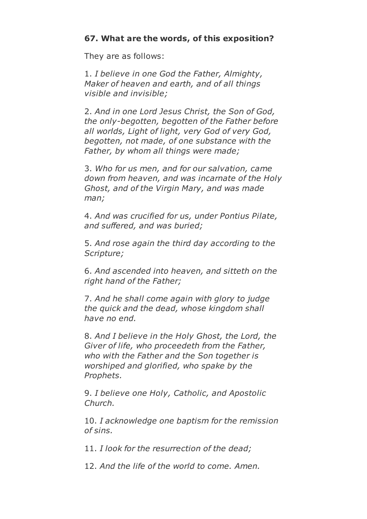# **67. What are the words, of this exposition?**

They are as follows:

1. *I believe in one God the Father, Almighty, Maker of heaven and earth, and of all things visible and invisible;*

2. *And in one Lord Jesus Christ, the Son of God, the only-begotten, begotten of the Father before all worlds, Light of light, very God of very God, begotten, not made, of one substance with the Father, by whom all things were made;*

3. *Who for us men, and for our salvation, came down from heaven, and was incarnate of the Holy Ghost, and of the Virgin Mary, and was made man;*

4. *And was crucified for us, under Pontius Pilate, and suffered, and was buried;*

5. *And rose again the third day according to the Scripture;*

6. *And ascended into heaven, and sitteth on the right hand of the Father;*

7. *And he shall come again with glory to judge the quick and the dead, whose kingdom shall have no end.*

8. *And I believe in the Holy Ghost, the Lord, the Giver of life, who proceedeth from the Father, who with the Father and the Son together is worshiped and glorified, who spake by the Prophets.*

9. *I believe one Holy, Catholic, and Apostolic Church.*

10. *I acknowledge one baptism for the remission of sins.*

11. *I look for the resurrection of the dead;*

12. *And the life of the world to come. Amen.*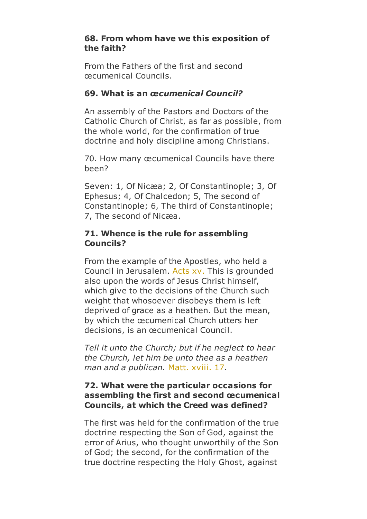### **68. From whom have we this exposition of the faith?**

From the Fathers of the first and second œcumenical Councils.

# **69. What is an** *œcumenical Council?*

An assembly of the Pastors and Doctors of the Catholic Church of Christ, as far as possible, from the whole world, for the confirmation of true doctrine and holy discipline among Christians.

70. How many œcumenical Councils have there been?

Seven: 1, Of Nicæa; 2, Of Constantinople; 3, Of Ephesus; 4, Of Chalcedon; 5, The second of Constantinople; 6, The third of Constantinople; 7, The second of Nicæa.

# **71. Whence is the rule for assembling Councils?**

From the example of the Apostles, who held a Council in Jerusalem. Acts xv. This is grounded also upon the words of Jesus Christ himself, which give to the decisions of the Church such weight that whosoever disobeys them is left deprived of grace as a heathen. But the mean, by which the œcumenical Church utters her decisions, is an œcumenical Council.

*Tell it unto the Church; but if he neglect to hear the Church, let him be unto thee as a heathen man and a publican.* Matt. xviii. 17.

### **72. What were the particular occasions for assembling the first and second œcumenical Councils, at which the Creed was defined?**

The first was held for the confirmation of the true doctrine respecting the Son of God, against the error of Arius, who thought unworthily of the Son of God; the second, for the confirmation of the true doctrine respecting the Holy Ghost, against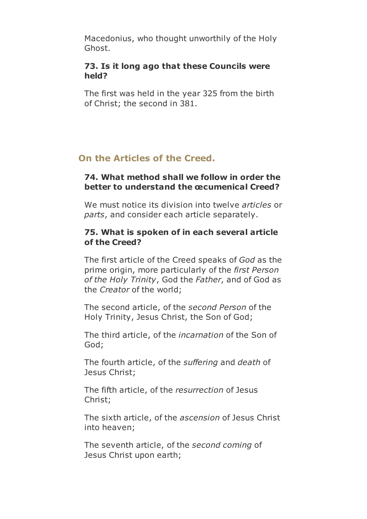Macedonius, who thought unworthily of the Holy Ghost.

#### **73. Is it long ago that these Councils were held?**

The first was held in the year 325 from the birth of Christ; the second in 381.

# **On the Articles of the Creed.**

#### **74. What method shall we follow in order the better to understand the œcumenical Creed?**

We must notice its division into twelve *articles* or *parts*, and consider each article separately.

#### **75. What is spoken of in each several article of the Creed?**

The first article of the Creed speaks of *God* as the prime origin, more particularly of the *first Person of the Holy Trinity*, God the *Father*, and of God as the *Creator* of the world;

The second article, of the *second Person* of the Holy Trinity, Jesus Christ, the Son of God;

The third article, of the *incarnation* of the Son of God;

The fourth article, of the *suffering* and *death* of Jesus Christ;

The fifth article, of the *resurrection* of Jesus Christ;

The sixth article, of the *ascension* of Jesus Christ into heaven;

The seventh article, of the *second coming* of Jesus Christ upon earth;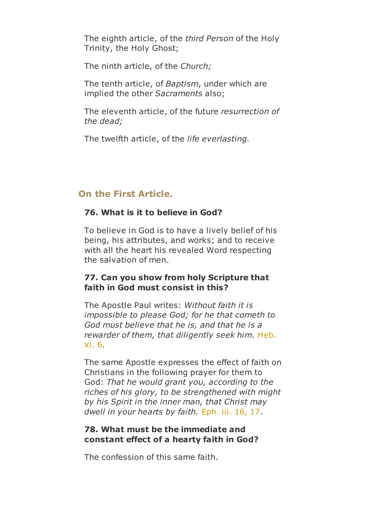The eighth article, of the *third Person* of the Holy Trinity, the Holy Ghost;

The ninth article, of the *Church;*

The tenth article, of *Baptism*, under which are implied the other *Sacraments* also;

The eleventh article, of the future *resurrection of the dead;*

The twelfth article, of the *life everlasting.*

# **On the First Article.**

# **76. What is it to believe in God?**

To believe in God is to have a lively belief of his being, his attributes, and works; and to receive with all the heart his revealed Word respecting the salvation of men.

#### **77. Can you show from holy Scripture that faith in God must consist in this?**

The Apostle Paul writes: *Without faith it is impossible to please God; for he that cometh to God must believe that he is, and that he is a rewarder of them, that diligently seek him.* Heb. xi. 6.

The same Apostle expresses the effect of faith on Christians in the following prayer for them to God: *That he would grant you, according to the riches of his glory, to be strengthened with might by his Spirit in the inner man, that Christ may dwell in your hearts by faith.* Eph. iii. 16, 17.

### **78. What must be the immediate and constant effect of a hearty faith in God?**

The confession of this same faith.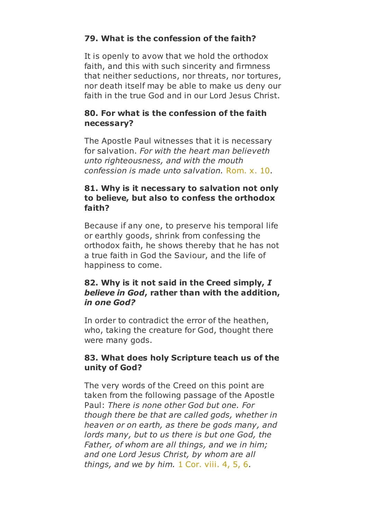# **79. What is the confession of the faith?**

It is openly to avow that we hold the orthodox faith, and this with such sincerity and firmness that neither seductions, nor threats, nor tortures, nor death itself may be able to make us deny our faith in the true God and in our Lord Jesus Christ.

### **80. For what is the confession of the faith necessary?**

The Apostle Paul witnesses that it is necessary for salvation. *For with the heart man believeth unto righteousness, and with the mouth confession is made unto salvation.* Rom. x. 10.

#### **81. Why is it necessary to salvation not only to believe, but also to confess the orthodox faith?**

Because if any one, to preserve his temporal life or earthly goods, shrink from confessing the orthodox faith, he shows thereby that he has not a true faith in God the Saviour, and the life of happiness to come.

### **82. Why is it not said in the Creed simply,** *I believe in God***, rather than with the addition,** *in one God?*

In order to contradict the error of the heathen, who, taking the creature for God, thought there were many gods.

### **83. What does holy Scripture teach us of the unity of God?**

The very words of the Creed on this point are taken from the following passage of the Apostle Paul: *There is none other God but one. For though there be that are called gods, whether in heaven or on earth, as there be gods many, and lords many, but to us there is but one God, the Father, of whom are all things, and we in him; and one Lord Jesus Christ, by whom are all things, and we by him.* 1 Cor. viii. 4, 5, 6.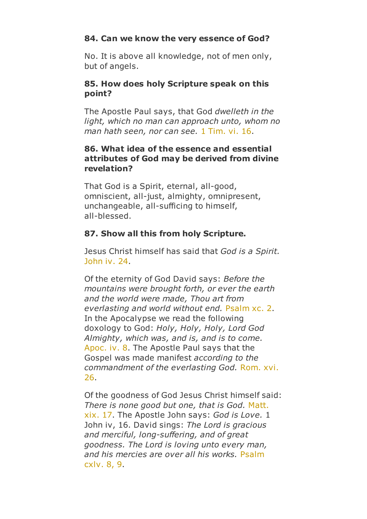# **84. Can we know the very essence of God?**

No. It is above all knowledge, not of men only, but of angels.

# **85. How does holy Scripture speak on this point?**

The Apostle Paul says, that God *dwelleth in the light, which no man can approach unto, whom no man hath seen, nor can see.* 1 Tim. vi. 16.

### **86. What idea of the essence and essential attributes of God may be derived from divine revelation?**

That God is a Spirit, eternal, all-good, omniscient, all-just, almighty, omnipresent, unchangeable, all-sufficing to himself, all-blessed.

# **87. Show all this from holy Scripture.**

Jesus Christ himself has said that *God is a Spirit.* John iv. 24.

Of the eternity of God David says: *Before the mountains were brought forth, or ever the earth and the world were made, Thou art from everlasting and world without end.* Psalm xc. 2. In the Apocalypse we read the following doxology to God: *Holy, Holy, Holy, Lord God Almighty, which was, and is, and is to come.* Apoc. iv. 8. The Apostle Paul says that the Gospel was made manifest *according to the commandment of the everlasting God.* Rom. xvi. 26.

Of the goodness of God Jesus Christ himself said: *There is none good but one, that is God.* Matt. xix. 17. The Apostle John says: *God is Love.* 1 John iv, 16. David sings: *The Lord is gracious and merciful, long-suffering, and of great goodness. The Lord is loving unto every man, and his mercies are over all his works.* Psalm cxlv. 8, 9.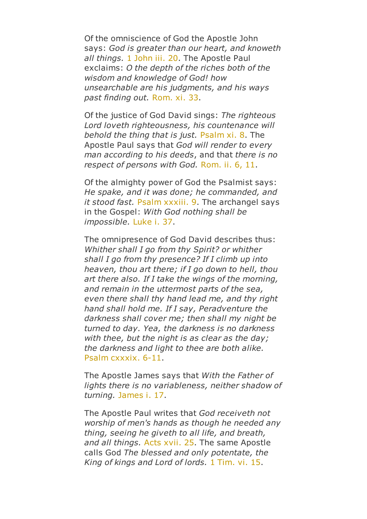Of the omniscience of God the Apostle John says: *God is greater than our heart, and knoweth all things.* 1 John iii. 20. The Apostle Paul exclaims: *O the depth of the riches both of the wisdom and knowledge of God! how unsearchable are his judgments, and his ways past finding out.* Rom. xi. 33.

Of the justice of God David sings: *The righteous Lord loveth righteousness, his countenance will behold the thing that is just.* Psalm xi. 8. The Apostle Paul says that *God will render to every man according to his deeds*, and that *there is no respect of persons with God.* Rom. ii. 6, 11.

Of the almighty power of God the Psalmist says: *He spake, and it was done; he commanded, and it stood fast.* Psalm xxxiii. 9. The archangel says in the Gospel: *With God nothing shall be impossible.* Luke i. 37.

The omnipresence of God David describes thus: *Whither shall I go from thy Spirit? or whither shall I go from thy presence? If I climb up into heaven, thou art there; if I go down to hell, thou art there also. If I take the wings of the morning, and remain in the uttermost parts of the sea, even there shall thy hand lead me, and thy right hand shall hold me. If I say, Peradventure the darkness shall cover me; then shall my night be turned to day. Yea, the darkness is no darkness with thee, but the night is as clear as the day; the darkness and light to thee are both alike.* Psalm cxxxix. 6-11.

The Apostle James says that *With the Father of lights there is no variableness, neither shadow of turning.* James i. 17.

The Apostle Paul writes that *God receiveth not worship of men's hands as though he needed any thing, seeing he giveth to all life, and breath, and all things.* Acts xvii. 25. The same Apostle calls God *The blessed and only potentate, the King of kings and Lord of lords.* 1 Tim. vi. 15.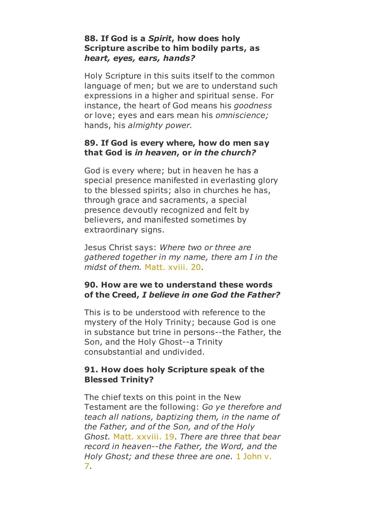#### **88. If God is a** *Spirit***, how does holy Scripture ascribe to him bodily parts, as** *heart, eyes, ears, hands?*

Holy Scripture in this suits itself to the common language of men; but we are to understand such expressions in a higher and spiritual sense. For instance, the heart of God means his *goodness* or love; eyes and ears mean his *omniscience;* hands, his *almighty power.*

#### **89. If God is every where, how do men say that God is** *in heaven***, or** *in the church?*

God is every where; but in heaven he has a special presence manifested in everlasting glory to the blessed spirits; also in churches he has, through grace and sacraments, a special presence devoutly recognized and felt by believers, and manifested sometimes by extraordinary signs.

Jesus Christ says: *Where two or three are gathered together in my name, there am I in the midst of them.* Matt. xviii. 20.

### **90. How are we to understand these words of the Creed,** *I believe in one God the Father?*

This is to be understood with reference to the mystery of the Holy Trinity; because God is one in substance but trine in persons--the Father, the Son, and the Holy Ghost--a Trinity consubstantial and undivided.

### **91. How does holy Scripture speak of the Blessed Trinity?**

The chief texts on this point in the New Testament are the following: *Go ye therefore and teach all nations, baptizing them, in the name of the Father, and of the Son, and of the Holy Ghost.* Matt. xxviii. 19. *There are three that bear record in heaven--the Father, the Word, and the Holy Ghost; and these three are one.* 1 John v. 7.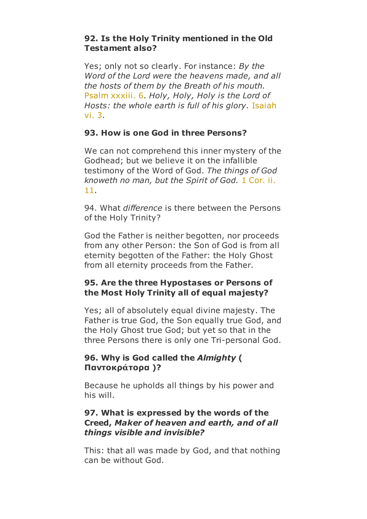# **92. Is the Holy Trinity mentioned in the Old Testament also?**

Yes; only not so clearly. For instance: *By the Word of the Lord were the heavens made, and all the hosts of them by the Breath of his mouth.* Psalm xxxiii. 6. *Holy, Holy, Holy is the Lord of Hosts: the whole earth is full of his glory.* Isaiah vi. 3.

# **93. How is one God in three Persons?**

We can not comprehend this inner mystery of the Godhead; but we believe it on the infallible testimony of the Word of God. *The things of God knoweth no man, but the Spirit of God.* 1 Cor. ii. 11.

94. What *difference* is there between the Persons of the Holy Trinity?

God the Father is neither begotten, nor proceeds from any other Person: the Son of God is from all eternity begotten of the Father: the Holy Ghost from all eternity proceeds from the Father.

# **95. Are the three Hypostases or Persons of the Most Holy Trinity all of equal majesty?**

Yes; all of absolutely equal divine majesty. The Father is true God, the Son equally true God, and the Holy Ghost true God; but yet so that in the three Persons there is only one Tri-personal God.

# **96. Why is God called the** *Almighty* **( Παντοκράτορα )?**

Because he upholds all things by his power and his will.

### **97. What is expressed by the words of the Creed,** *Maker of heaven and earth, and of all things visible and invisible?*

This: that all was made by God, and that nothing can be without God.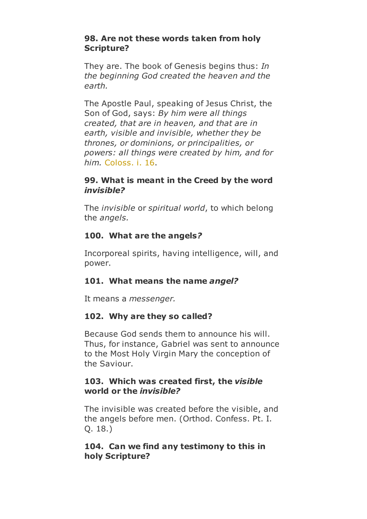### **98. Are not these words taken from holy Scripture?**

They are. The book of Genesis begins thus: *In the beginning God created the heaven and the earth.*

The Apostle Paul, speaking of Jesus Christ, the Son of God, says: *By him were all things created, that are in heaven, and that are in earth, visible and invisible, whether they be thrones, or dominions, or principalities, or powers: all things were created by him, and for him.* Coloss. i. 16.

### **99. What is meant in the Creed by the word** *invisible?*

The *invisible* or *spiritual world*, to which belong the *angels.*

# **100. What are the angels***?*

Incorporeal spirits, having intelligence, will, and power.

# **101. What means the name** *angel?*

It means a *messenger.*

# **102. Why are they so called?**

Because God sends them to announce his will. Thus, for instance, Gabriel was sent to announce to the Most Holy Virgin Mary the conception of the Saviour.

# **103. Which was created first, the** *visible* **world or the** *invisible?*

The invisible was created before the visible, and the angels before men. (Orthod. Confess. Pt. I. Q. 18.)

### **104. Can we find any testimony to this in holy Scripture?**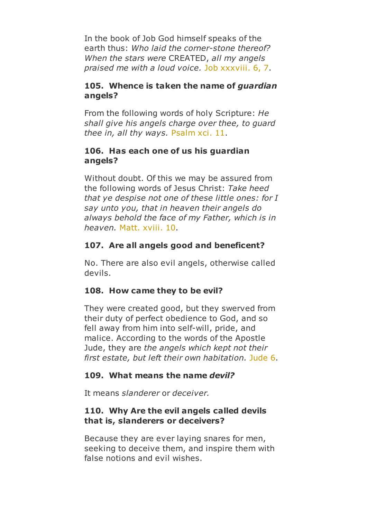In the book of Job God himself speaks of the earth thus: *Who laid the corner-stone thereof? When the stars were* CREATED, *all my angels praised me with a loud voice.* Job xxxviii. 6, 7.

# **105. Whence is taken the name of** *guardian* **angels?**

From the following words of holy Scripture: *He shall give his angels charge over thee, to guard thee in, all thy ways.* Psalm xci. 11.

# **106. Has each one of us his guardian angels?**

Without doubt. Of this we may be assured from the following words of Jesus Christ: *Take heed that ye despise not one of these little ones: for I say unto you, that in heaven their angels do always behold the face of my Father, which is in heaven.* Matt. xviii. 10.

# **107. Are all angels good and beneficent?**

No. There are also evil angels, otherwise called devils.

# **108. How came they to be evil?**

They were created good, but they swerved from their duty of perfect obedience to God, and so fell away from him into self-will, pride, and malice. According to the words of the Apostle Jude, they are *the angels which kept not their first estate, but left their own habitation.* Jude 6.

# **109. What means the name** *devil?*

It means *slanderer* or *deceiver.*

# **110. Why Are the evil angels called devils that is, slanderers or deceivers?**

Because they are ever laying snares for men, seeking to deceive them, and inspire them with false notions and evil wishes.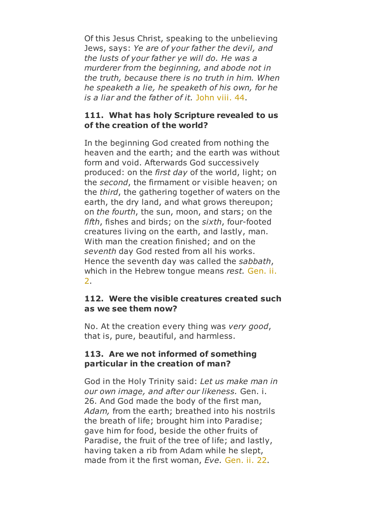Of this Jesus Christ, speaking to the unbelieving Jews, says: *Ye are of your father the devil, and the lusts of your father ye will do. He was a murderer from the beginning, and abode not in the truth, because there is no truth in him. When he speaketh a lie, he speaketh of his own, for he is a liar and the father of it.* John viii. 44.

### **111. What has holy Scripture revealed to us of the creation of the world?**

In the beginning God created from nothing the heaven and the earth; and the earth was without form and void. Afterwards God successively produced: on the *first day* of the world, light; on the *second*, the firmament or visible heaven; on the *third*, the gathering together of waters on the earth, the dry land, and what grows thereupon; on *the fourth*, the sun, moon, and stars; on the *fifth*, fishes and birds; on the *sixth*, four-footed creatures living on the earth, and lastly, man. With man the creation finished; and on the *seventh* day God rested from all his works. Hence the seventh day was called the *sabbath*, which in the Hebrew tongue means *rest.* Gen. ii. 2.

### **112. Were the visible creatures created such as we see them now?**

No. At the creation every thing was *very good*, that is, pure, beautiful, and harmless.

# **113. Are we not informed of something particular in the creation of man?**

God in the Holy Trinity said: *Let us make man in our own image, and after our likeness.* Gen. i. 26. And God made the body of the first man, *Adam,* from the earth; breathed into his nostrils the breath of life; brought him into Paradise; gave him for food, beside the other fruits of Paradise, the fruit of the tree of life; and lastly, having taken a rib from Adam while he slept, made from it the first woman, *Eve.* Gen. ii. 22.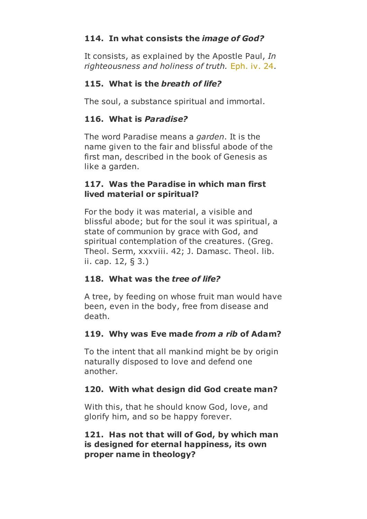# **114. In what consists the** *image of God?*

It consists, as explained by the Apostle Paul, *In righteousness and holiness of truth.* Eph. iv. 24.

# **115. What is the** *breath of life?*

The soul, a substance spiritual and immortal.

# **116. What is** *Paradise?*

The word Paradise means a *garden*. It is the name given to the fair and blissful abode of the first man, described in the book of Genesis as like a garden.

### **117. Was the Paradise in which man first lived material or spiritual?**

For the body it was material, a visible and blissful abode; but for the soul it was spiritual, a state of communion by grace with God, and spiritual contemplation of the creatures. (Greg. Theol. Serm, xxxviii. 42; J. Damasc. Theol. lib. ii. cap. 12, § 3.)

# **118. What was the** *tree of life?*

A tree, by feeding on whose fruit man would have been, even in the body, free from disease and death.

# **119. Why was Eve made** *from a rib* **of Adam?**

To the intent that all mankind might be by origin naturally disposed to love and defend one another.

# **120. With what design did God create man?**

With this, that he should know God, love, and glorify him, and so be happy forever.

# **121. Has not that will of God, by which man is designed for eternal happiness, its own proper name in theology?**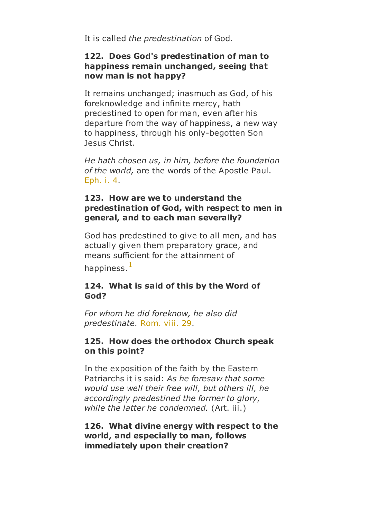It is called *the predestination* of God.

# **122. Does God's predestination of man to happiness remain unchanged, seeing that now man is not happy?**

It remains unchanged; inasmuch as God, of his foreknowledge and infinite mercy, hath predestined to open for man, even after his departure from the way of happiness, a new way to happiness, through his only-begotten Son Jesus Christ.

*He hath chosen us, in him, before the foundation of the world,* are the words of the Apostle Paul. Eph. i. 4.

#### **123. How are we to understand the predestination of God, with respect to men in general, and to each man severally?**

God has predestined to give to all men, and has actually given them preparatory grace, and means sufficient for the attainment of happiness. $<sup>1</sup>$ </sup>

### **124. What is said of this by the Word of God?**

*For whom he did foreknow, he also did predestinate.* Rom. viii. 29.

### **125. How does the orthodox Church speak on this point?**

In the exposition of the faith by the Eastern Patriarchs it is said: *As he foresaw that some would use well their free will, but others ill, he accordingly predestined the former to glory, while the latter he condemned.* (Art. iii.)

#### **126. What divine energy with respect to the world, and especially to man, follows immediately upon their creation?**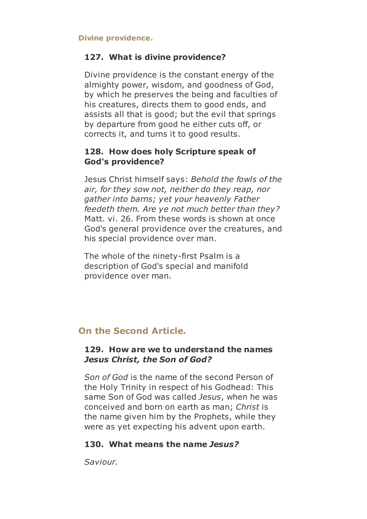#### **Divine providence.**

#### **127. What is divine providence?**

Divine providence is the constant energy of the almighty power, wisdom, and goodness of God, by which he preserves the being and faculties of his creatures, directs them to good ends, and assists all that is good; but the evil that springs by departure from good he either cuts off, or corrects it, and turns it to good results.

### **128. How does holy Scripture speak of God's providence?**

Jesus Christ himself says: *Behold the fowls of the air, for they sow not, neither do they reap, nor gather into barns; yet your heavenly Father feedeth them. Are ye not much better than they?* Matt. vi. 26. From these words is shown at once God's general providence over the creatures, and his special providence over man.

The whole of the ninety-first Psalm is a description of God's special and manifold providence over man.

# **On the Second Article.**

#### **129. How are we to understand the names** *Jesus Christ, the Son of God?*

*Son of God* is the name of the second Person of the Holy Trinity in respect of his Godhead: This same Son of God was called *Jesus*, when he was conceived and born on earth as man; *Christ* is the name given him by the Prophets, while they were as yet expecting his advent upon earth.

# **130. What means the name** *Jesus?*

*Saviour.*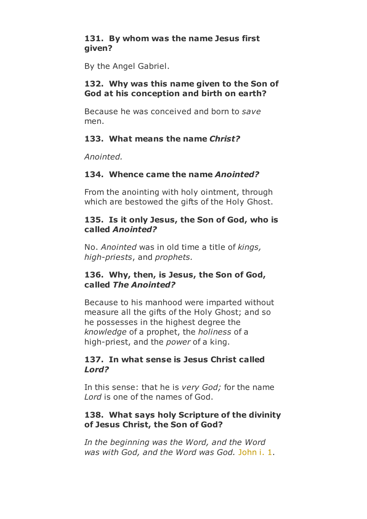# **131. By whom was the name Jesus first given?**

By the Angel Gabriel.

# **132. Why was this name given to the Son of God at his conception and birth on earth?**

Because he was conceived and born to *save* men.

# **133. What means the name** *Christ?*

*Anointed.*

# **134. Whence came the name** *Anointed?*

From the anointing with holy ointment, through which are bestowed the gifts of the Holy Ghost.

### **135. Is it only Jesus, the Son of God, who is called** *Anointed?*

No. *Anointed* was in old time a title of *kings, high-priests*, and *prophets.*

# **136. Why, then, is Jesus, the Son of God, called** *The Anointed?*

Because to his manhood were imparted without measure all the gifts of the Holy Ghost; and so he possesses in the highest degree the *knowledge* of a prophet, the *holiness* of a high-priest, and the *power* of a king.

# **137. In what sense is Jesus Christ called** *Lord?*

In this sense: that he is *very God;* for the name *Lord* is one of the names of God.

# **138. What says holy Scripture of the divinity of Jesus Christ, the Son of God?**

*In the beginning was the Word, and the Word was with God, and the Word was God.* John i. 1.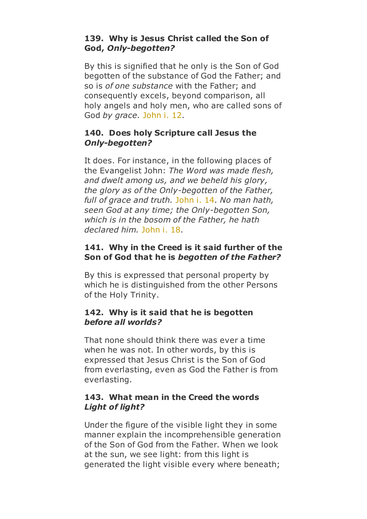## **139. Why is Jesus Christ called the Son of God,** *Only-begotten?*

By this is signified that he only is the Son of God begotten of the substance of God the Father; and so is *of one substance* with the Father; and consequently excels, beyond comparison, all holy angels and holy men, who are called sons of God *by grace.* John i. 12.

## **140. Does holy Scripture call Jesus the** *Only-begotten?*

It does. For instance, in the following places of the Evangelist John: *The Word was made flesh, and dwelt among us, and we beheld his glory, the glory as of the Only-begotten of the Father, full of grace and truth.* John i. 14. *No man hath, seen God at any time; the Only-begotten Son, which is in the bosom of the Father, he hath declared him.* John i. 18.

## **141. Why in the Creed is it said further of the Son of God that he is** *begotten of the Father?*

By this is expressed that personal property by which he is distinguished from the other Persons of the Holy Trinity.

## **142. Why is it said that he is begotten** *before all worlds?*

That none should think there was ever a time when he was not. In other words, by this is expressed that Jesus Christ is the Son of God from everlasting, even as God the Father is from everlasting.

## **143. What mean in the Creed the words** *Light of light?*

Under the figure of the visible light they in some manner explain the incomprehensible generation of the Son of God from the Father. When we look at the sun, we see light: from this light is generated the light visible every where beneath;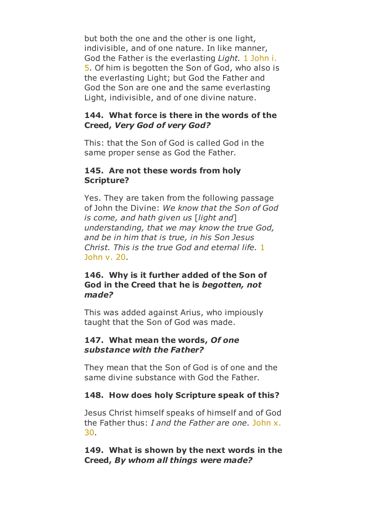but both the one and the other is one light, indivisible, and of one nature. In like manner, God the Father is the everlasting *Light.* 1 John i. 5. Of him is begotten the Son of God, who also is the everlasting Light; but God the Father and God the Son are one and the same everlasting Light, indivisible, and of one divine nature.

## **144. What force is there in the words of the Creed,** *Very God of very God?*

This: that the Son of God is called God in the same proper sense as God the Father.

## **145. Are not these words from holy Scripture?**

Yes. They are taken from the following passage of John the Divine: *We know that the Son of God is come, and hath given us* [*light and*] *understanding, that we may know the true God, and be in him that is true, in his Son Jesus Christ. This is the true God and eternal life.* 1 John v. 20.

## **146. Why is it further added of the Son of God in the Creed that he is** *begotten, not made?*

This was added against Arius, who impiously taught that the Son of God was made.

## **147. What mean the words,** *Of one substance with the Father?*

They mean that the Son of God is of one and the same divine substance with God the Father.

## **148. How does holy Scripture speak of this?**

Jesus Christ himself speaks of himself and of God the Father thus: *I and the Father are one.* John x. 30.

## **149. What is shown by the next words in the Creed,** *By whom all things were made?*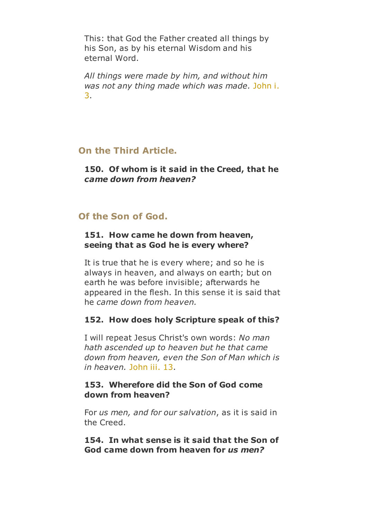This: that God the Father created all things by his Son, as by his eternal Wisdom and his eternal Word.

*All things were made by him, and without him was not any thing made which was made.* John i. 3.

## **On the Third Article.**

**150. Of whom is it said in the Creed, that he** *came down from heaven?*

# **Of the Son of God.**

#### **151. How came he down from heaven, seeing that as God he is every where?**

It is true that he is every where; and so he is always in heaven, and always on earth; but on earth he was before invisible; afterwards he appeared in the flesh. In this sense it is said that he *came down from heaven.*

## **152. How does holy Scripture speak of this?**

I will repeat Jesus Christ's own words: *No man hath ascended up to heaven but he that came down from heaven, even the Son of Man which is in heaven.* John iii. 13.

#### **153. Wherefore did the Son of God come down from heaven?**

For *us men, and for our salvation*, as it is said in the Creed.

#### **154. In what sense is it said that the Son of God came down from heaven for** *us men?*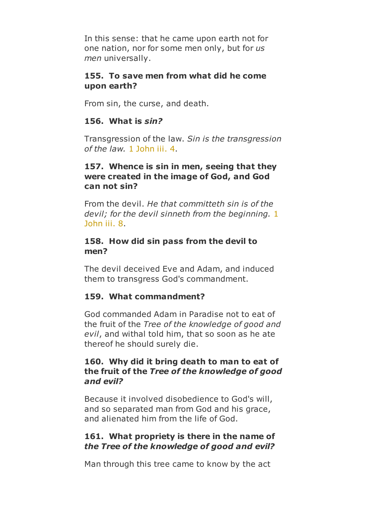In this sense: that he came upon earth not for one nation, nor for some men only, but for *us men* universally.

## **155. To save men from what did he come upon earth?**

From sin, the curse, and death.

## **156. What is** *sin?*

Transgression of the law. *Sin is the transgression of the law.* 1 John iii. 4.

## **157. Whence is sin in men, seeing that they were created in the image of God, and God can not sin?**

From the devil. *He that committeth sin is of the devil; for the devil sinneth from the beginning.* 1 John iii. 8.

### **158. How did sin pass from the devil to men?**

The devil deceived Eve and Adam, and induced them to transgress God's commandment.

## **159. What commandment?**

God commanded Adam in Paradise not to eat of the fruit of the *Tree of the knowledge of good and evil*, and withal told him, that so soon as he ate thereof he should surely die.

### **160. Why did it bring death to man to eat of the fruit of the** *Tree of the knowledge of good and evil?*

Because it involved disobedience to God's will, and so separated man from God and his grace, and alienated him from the life of God.

### **161. What propriety is there in the name of** *the Tree of the knowledge of good and evil?*

Man through this tree came to know by the act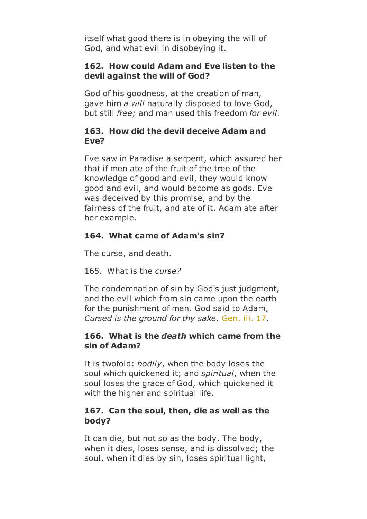itself what good there is in obeying the will of God, and what evil in disobeying it.

### **162. How could Adam and Eve listen to the devil against the will of God?**

God of his goodness, at the creation of man, gave him *a will* naturally disposed to love God, but still *free;* and man used this freedom *for evil.*

## **163. How did the devil deceive Adam and Eve?**

Eve saw in Paradise a serpent, which assured her that if men ate of the fruit of the tree of the knowledge of good and evil, they would know good and evil, and would become as gods. Eve was deceived by this promise, and by the fairness of the fruit, and ate of it. Adam ate after her example.

## **164. What came of Adam's sin?**

The curse, and death.

165. What is the *curse?*

The condemnation of sin by God's just judgment, and the evil which from sin came upon the earth for the punishment of men. God said to Adam, *Cursed is the ground for thy sake.* Gen. iii. 17.

## **166. What is the** *death* **which came from the sin of Adam?**

It is twofold: *bodily*, when the body loses the soul which quickened it; and *spiritual*, when the soul loses the grace of God, which quickened it with the higher and spiritual life.

## **167. Can the soul, then, die as well as the body?**

It can die, but not so as the body. The body, when it dies, loses sense, and is dissolved; the soul, when it dies by sin, loses spiritual light,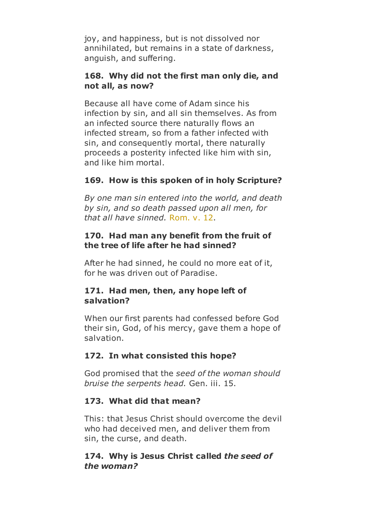joy, and happiness, but is not dissolved nor annihilated, but remains in a state of darkness, anguish, and suffering.

## **168. Why did not the first man only die, and not all, as now?**

Because all have come of Adam since his infection by sin, and all sin themselves. As from an infected source there naturally flows an infected stream, so from a father infected with sin, and consequently mortal, there naturally proceeds a posterity infected like him with sin, and like him mortal.

## **169. How is this spoken of in holy Scripture?**

*By one man sin entered into the world, and death by sin, and so death passed upon all men, for that all have sinned.* Rom. v. 12.

## **170. Had man any benefit from the fruit of the tree of life after he had sinned?**

After he had sinned, he could no more eat of it, for he was driven out of Paradise.

## **171. Had men, then, any hope left of salvation?**

When our first parents had confessed before God their sin, God, of his mercy, gave them a hope of salvation.

## **172. In what consisted this hope?**

God promised that the *seed of the woman should bruise the serpents head.* Gen. iii. 15.

## **173. What did that mean?**

This: that Jesus Christ should overcome the devil who had deceived men, and deliver them from sin, the curse, and death.

### **174. Why is Jesus Christ called** *the seed of the woman?*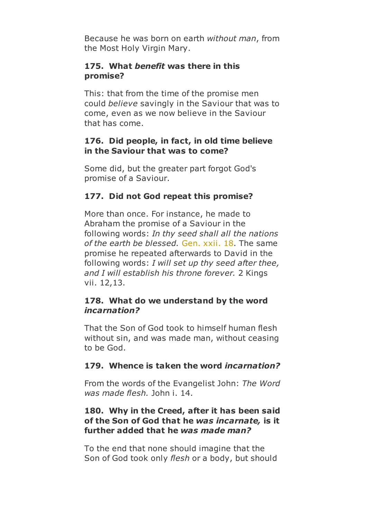Because he was born on earth *without man*, from the Most Holy Virgin Mary.

#### **175. What** *benefit* **was there in this promise?**

This: that from the time of the promise men could *believe* savingly in the Saviour that was to come, even as we now believe in the Saviour that has come.

#### **176. Did people, in fact, in old time believe in the Saviour that was to come?**

Some did, but the greater part forgot God's promise of a Saviour.

## **177. Did not God repeat this promise?**

More than once. For instance, he made to Abraham the promise of a Saviour in the following words: *In thy seed shall all the nations of the earth be blessed.* Gen. xxii. 18. The same promise he repeated afterwards to David in the following words: *I will set up thy seed after thee, and I will establish his throne forever.* 2 Kings vii. 12,13.

### **178. What do we understand by the word** *incarnation?*

That the Son of God took to himself human flesh without sin, and was made man, without ceasing to be God.

## **179. Whence is taken the word** *incarnation?*

From the words of the Evangelist John: *The Word was made flesh.* John i. 14.

## **180. Why in the Creed, after it has been said of the Son of God that he** *was incarnate,* **is it further added that he** *was made man?*

To the end that none should imagine that the Son of God took only *flesh* or a body, but should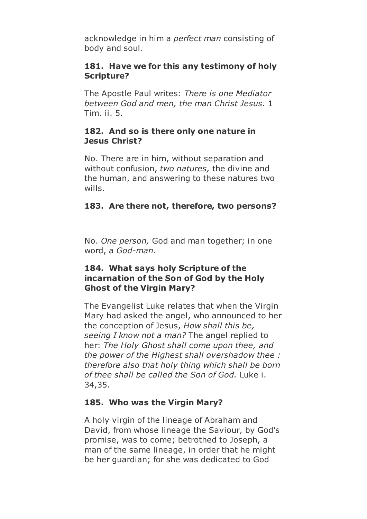acknowledge in him a *perfect man* consisting of body and soul.

### **181. Have we for this any testimony of holy Scripture?**

The Apostle Paul writes: *There is one Mediator between God and men, the man Christ Jesus.* 1 Tim. ii. 5.

## **182. And so is there only one nature in Jesus Christ?**

No. There are in him, without separation and without confusion, *two natures,* the divine and the human, and answering to these natures two wills.

## **183. Are there not, therefore, two persons?**

No. *One person,* God and man together; in one word, a *God-man.*

### **184. What says holy Scripture of the incarnation of the Son of God by the Holy Ghost of the Virgin Mary?**

The Evangelist Luke relates that when the Virgin Mary had asked the angel, who announced to her the conception of Jesus, *How shall this be, seeing I know not a man?* The angel replied to her: *The Holy Ghost shall come upon thee, and the power of the Highest shall overshadow thee : therefore also that holy thing which shall be born of thee shall be called the Son of God.* Luke i. 34,35.

## **185. Who was the Virgin Mary?**

A holy virgin of the lineage of Abraham and David, from whose lineage the Saviour, by God's promise, was to come; betrothed to Joseph, a man of the same lineage, in order that he might be her guardian; for she was dedicated to God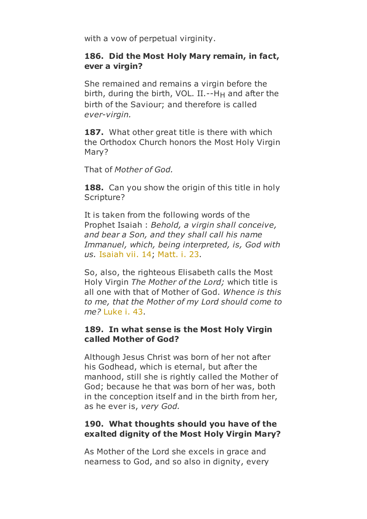with a vow of perpetual virginity.

#### **186. Did the Most Holy Mary remain, in fact, ever a virgin?**

She remained and remains a virgin before the birth, during the birth, VOL. II. -- H<sub>H</sub> and after the birth of the Saviour; and therefore is called *ever-virgin.*

187. What other great title is there with which the Orthodox Church honors the Most Holy Virgin Mary?

That of *Mother of God.*

188. Can you show the origin of this title in holy Scripture?

It is taken from the following words of the Prophet Isaiah : *Behold, a virgin shall conceive, and bear a Son, and they shall call his name Immanuel, which, being interpreted, is, God with us.* Isaiah vii. 14; Matt. i. 23.

So, also, the righteous Elisabeth calls the Most Holy Virgin *The Mother of the Lord;* which title is all one with that of Mother of God. *Whence is this to me, that the Mother of my Lord should come to me?* Luke i. 43.

### **189. In what sense is the Most Holy Virgin called Mother of God?**

Although Jesus Christ was born of her not after his Godhead, which is eternal, but after the manhood, still she is rightly called the Mother of God; because he that was born of her was, both in the conception itself and in the birth from her, as he ever is, *very God.*

## **190. What thoughts should you have of the exalted dignity of the Most Holy Virgin Mary?**

As Mother of the Lord she excels in grace and nearness to God, and so also in dignity, every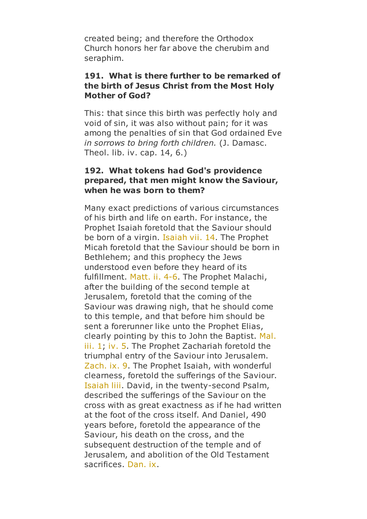created being; and therefore the Orthodox Church honors her far above the cherubim and seraphim.

#### **191. What is there further to be remarked of the birth of Jesus Christ from the Most Holy Mother of God?**

This: that since this birth was perfectly holy and void of sin, it was also without pain; for it was among the penalties of sin that God ordained Eve *in sorrows to bring forth children.* (J. Damasc. Theol. lib. iv. cap. 14, 6.)

#### **192. What tokens had God's providence prepared, that men might know the Saviour, when he was born to them?**

Many exact predictions of various circumstances of his birth and life on earth. For instance, the Prophet Isaiah foretold that the Saviour should be born of a virgin. Isaiah vii. 14. The Prophet Micah foretold that the Saviour should be born in Bethlehem; and this prophecy the Jews understood even before they heard of its fulfillment. Matt. ii. 4-6. The Prophet Malachi, after the building of the second temple at Jerusalem, foretold that the coming of the Saviour was drawing nigh, that he should come to this temple, and that before him should be sent a forerunner like unto the Prophet Elias, clearly pointing by this to John the Baptist. Mal. iii. 1; iv. 5. The Prophet Zachariah foretold the triumphal entry of the Saviour into Jerusalem. Zach. ix. 9. The Prophet Isaiah, with wonderful clearness, foretold the sufferings of the Saviour. Isaiah liii. David, in the twenty-second Psalm, described the sufferings of the Saviour on the cross with as great exactness as if he had written at the foot of the cross itself. And Daniel, 490 years before, foretold the appearance of the Saviour, his death on the cross, and the subsequent destruction of the temple and of Jerusalem, and abolition of the Old Testament sacrifices. Dan. ix.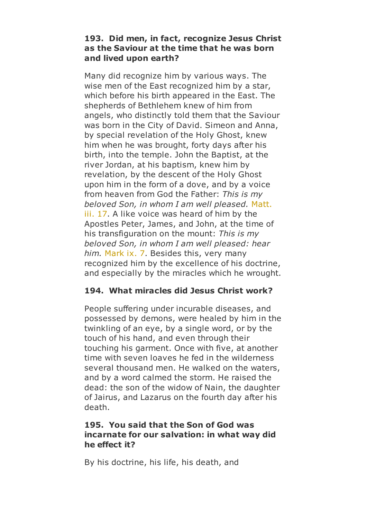### **193. Did men, in fact, recognize Jesus Christ as the Saviour at the time that he was born and lived upon earth?**

Many did recognize him by various ways. The wise men of the East recognized him by a star, which before his birth appeared in the East. The shepherds of Bethlehem knew of him from angels, who distinctly told them that the Saviour was born in the City of David. Simeon and Anna, by special revelation of the Holy Ghost, knew him when he was brought, forty days after his birth, into the temple. John the Baptist, at the river Jordan, at his baptism, knew him by revelation, by the descent of the Holy Ghost upon him in the form of a dove, and by a voice from heaven from God the Father: *This is my beloved Son, in whom I am well pleased.* Matt. iii. 17. A like voice was heard of him by the Apostles Peter, James, and John, at the time of his transfiguration on the mount: *This is my beloved Son, in whom I am well pleased: hear him.* Mark ix. 7. Besides this, very many recognized him by the excellence of his doctrine, and especially by the miracles which he wrought.

## **194. What miracles did Jesus Christ work?**

People suffering under incurable diseases, and possessed by demons, were healed by him in the twinkling of an eye, by a single word, or by the touch of his hand, and even through their touching his garment. Once with five, at another time with seven loaves he fed in the wilderness several thousand men. He walked on the waters, and by a word calmed the storm. He raised the dead: the son of the widow of Nain, the daughter of Jairus, and Lazarus on the fourth day after his death.

### **195. You said that the Son of God was incarnate for our salvation: in what way did he effect it?**

By his doctrine, his life, his death, and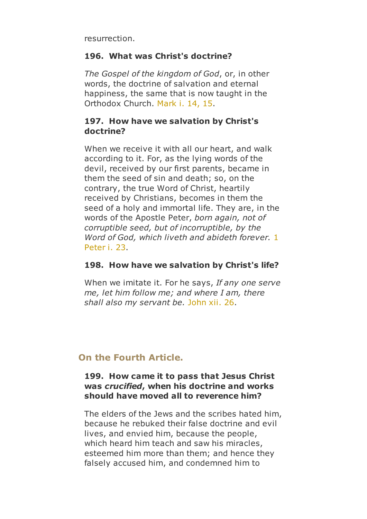resurrection.

#### **196. What was Christ's doctrine?**

*The Gospel of the kingdom of God*, or, in other words, the doctrine of salvation and eternal happiness, the same that is now taught in the Orthodox Church. Mark i. 14, 15.

## **197. How have we salvation by Christ's doctrine?**

When we receive it with all our heart, and walk according to it. For, as the lying words of the devil, received by our first parents, became in them the seed of sin and death; so, on the contrary, the true Word of Christ, heartily received by Christians, becomes in them the seed of a holy and immortal life. They are, in the words of the Apostle Peter, *born again, not of corruptible seed, but of incorruptible, by the Word of God, which liveth and abideth forever.* 1 Peter i. 23.

#### **198. How have we salvation by Christ's life?**

When we imitate it. For he says, *If any one serve me, let him follow me; and where I am, there shall also my servant be.* John xii. 26.

## **On the Fourth Article.**

#### **199. How came it to pass that Jesus Christ was** *crucified***, when his doctrine and works should have moved all to reverence him?**

The elders of the Jews and the scribes hated him, because he rebuked their false doctrine and evil lives, and envied him, because the people, which heard him teach and saw his miracles, esteemed him more than them; and hence they falsely accused him, and condemned him to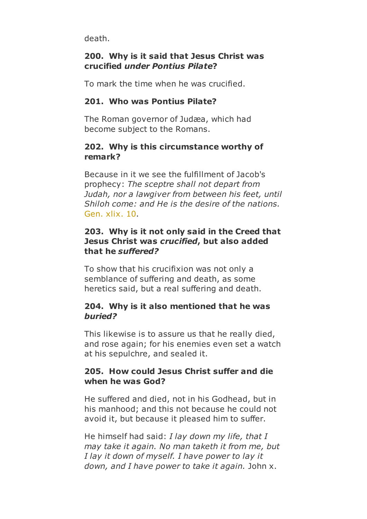death.

#### **200. Why is it said that Jesus Christ was crucified** *under Pontius Pilate***?**

To mark the time when he was crucified.

### **201. Who was Pontius Pilate?**

The Roman governor of Judæa, which had become subject to the Romans.

#### **202. Why is this circumstance worthy of remark?**

Because in it we see the fulfillment of Jacob's prophecy: *The sceptre shall not depart from Judah, nor a lawgiver from between his feet, until Shiloh come: and He is the desire of the nations.* Gen. xlix. 10.

### **203. Why is it not only said in the Creed that Jesus Christ was** *crucified***, but also added that he** *suffered?*

To show that his crucifixion was not only a semblance of suffering and death, as some heretics said, but a real suffering and death.

### **204. Why is it also mentioned that he was** *buried?*

This likewise is to assure us that he really died, and rose again; for his enemies even set a watch at his sepulchre, and sealed it.

### **205. How could Jesus Christ suffer and die when he was God?**

He suffered and died, not in his Godhead, but in his manhood; and this not because he could not avoid it, but because it pleased him to suffer.

He himself had said: *I lay down my life, that I may take it again. No man taketh it from me, but I lay it down of myself. I have power to lay it down, and I have power to take it again.* John x.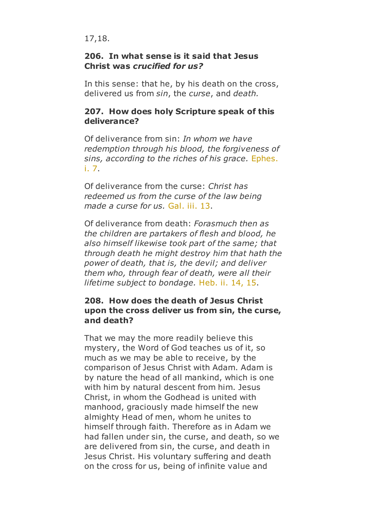17,18.

#### **206. In what sense is it said that Jesus Christ was** *crucified for us?*

In this sense: that he, by his death on the cross, delivered us from *sin*, the *curse*, and *death.*

### **207. How does holy Scripture speak of this deliverance?**

Of deliverance from sin: *In whom we have redemption through his blood, the forgiveness of sins, according to the riches of his grace.* Ephes. i. 7.

Of deliverance from the curse: *Christ has redeemed us from the curse of the law being made a curse for us.* Gal. iii. 13.

Of deliverance from death: *Forasmuch then as the children are partakers of flesh and blood, he also himself likewise took part of the same; that through death he might destroy him that hath the power of death, that is, the devil; and deliver them who, through fear of death, were all their lifetime subject to bondage.* Heb. ii. 14, 15.

#### **208. How does the death of Jesus Christ upon the cross deliver us from sin, the curse, and death?**

That we may the more readily believe this mystery, the Word of God teaches us of it, so much as we may be able to receive, by the comparison of Jesus Christ with Adam. Adam is by nature the head of all mankind, which is one with him by natural descent from him. Jesus Christ, in whom the Godhead is united with manhood, graciously made himself the new almighty Head of men, whom he unites to himself through faith. Therefore as in Adam we had fallen under sin, the curse, and death, so we are delivered from sin, the curse, and death in Jesus Christ. His voluntary suffering and death on the cross for us, being of infinite value and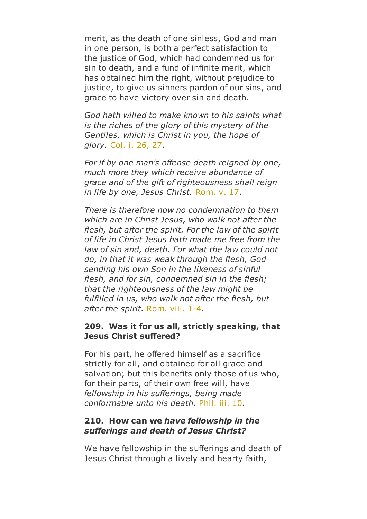merit, as the death of one sinless, God and man in one person, is both a perfect satisfaction to the justice of God, which had condemned us for sin to death, and a fund of infinite merit, which has obtained him the right, without prejudice to justice, to give us sinners pardon of our sins, and grace to have victory over sin and death.

*God hath willed to make known to his saints what is the riches of the glory of this mystery of the Gentiles, which is Christ in you, the hope of glory.* Col. i. 26, 27.

*For if by one man's offense death reigned by one, much more they which receive abundance of grace and of the gift of righteousness shall reign in life by one, Jesus Christ.* Rom. v. 17.

*There is therefore now no condemnation to them which are in Christ Jesus, who walk not after the flesh, but after the spirit. For the law of the spirit of life in Christ Jesus hath made me free from the law of sin and, death. For what the law could not do, in that it was weak through the flesh, God sending his own Son in the likeness of sinful flesh, and for sin, condemned sin in the flesh; that the righteousness of the law might be fulfilled in us, who walk not after the flesh, but after the spirit.* Rom. viii. 1-4.

#### **209. Was it for us all, strictly speaking, that Jesus Christ suffered?**

For his part, he offered himself as a sacrifice strictly for all, and obtained for all grace and salvation; but this benefits only those of us who, for their parts, of their own free will, have *fellowship in his sufferings, being made conformable unto his death.* Phil. iii. 10.

### **210. How can we** *have fellowship in the sufferings and death of Jesus Christ?*

We have fellowship in the sufferings and death of Jesus Christ through a lively and hearty faith,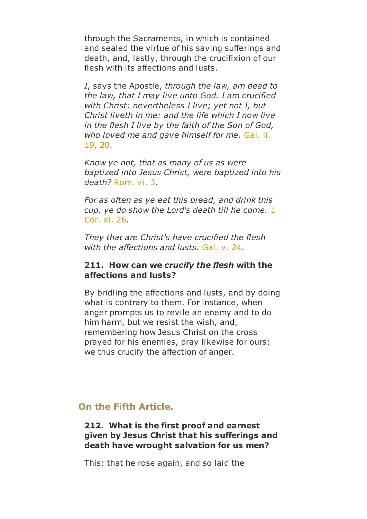through the Sacraments, in which is contained and sealed the virtue of his saving sufferings and death, and, lastly, through the crucifixion of our flesh with its affections and lusts.

*I*, says the Apostle, *through the law, am dead to the law, that I may live unto God. I am crucified with Christ: nevertheless I live; yet not I, but Christ liveth in me: and the life which I now live in the flesh I live by the faith of the Son of God, who loved me and gave himself for me.* Gal. ii. 19, 20.

*Know ye not, that as many of us as were baptized into Jesus Christ, were baptized into his death?* Rom. vi. 3.

*For as often as ye eat this bread, and drink this cup, ye do show the Lord's death till he come.* 1 Cor. xi. 26.

*They that are Christ's have crucified the flesh with the affections and lusts.* Gal. v. 24.

#### **211. How can we** *crucify the flesh* **with the affections and lusts?**

By bridling the affections and lusts, and by doing what is contrary to them. For instance, when anger prompts us to revile an enemy and to do him harm, but we resist the wish, and, remembering how Jesus Christ on the cross prayed for his enemies, pray likewise for ours; we thus crucify the affection of anger.

## **On the Fifth Article.**

#### **212. What is the first proof and earnest given by Jesus Christ that his sufferings and death have wrought salvation for us men?**

This: that he rose again, and so laid the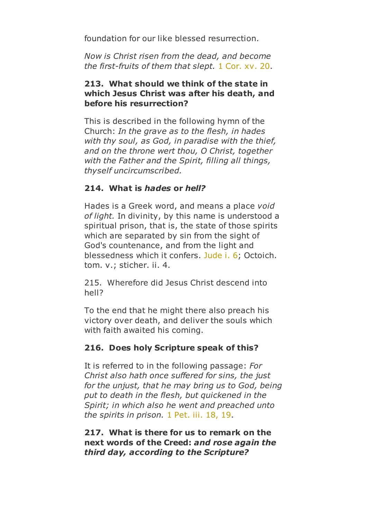foundation for our like blessed resurrection.

*Now is Christ risen from the dead, and become the first-fruits of them that slept.* 1 Cor. xv. 20.

#### **213. What should we think of the state in which Jesus Christ was after his death, and before his resurrection?**

This is described in the following hymn of the Church: *In the grave as to the flesh, in hades with thy soul, as God, in paradise with the thief, and on the throne wert thou, O Christ, together with the Father and the Spirit, filling all things, thyself uncircumscribed.*

## **214. What is** *hades* **or** *hell?*

Hades is a Greek word, and means a place *void of light.* In divinity, by this name is understood a spiritual prison, that is, the state of those spirits which are separated by sin from the sight of God's countenance, and from the light and blessedness which it confers. Jude i. 6; Octoich. tom. v.; sticher. ii. 4.

215. Wherefore did Jesus Christ descend into hell?

To the end that he might there also preach his victory over death, and deliver the souls which with faith awaited his coming.

## **216. Does holy Scripture speak of this?**

It is referred to in the following passage: *For Christ also hath once suffered for sins, the just for the unjust, that he may bring us to God, being put to death in the flesh, but quickened in the Spirit; in which also he went and preached unto the spirits in prison.* 1 Pet. iii. 18, 19.

### **217. What is there for us to remark on the next words of the Creed:** *and rose again the third day, according to the Scripture?*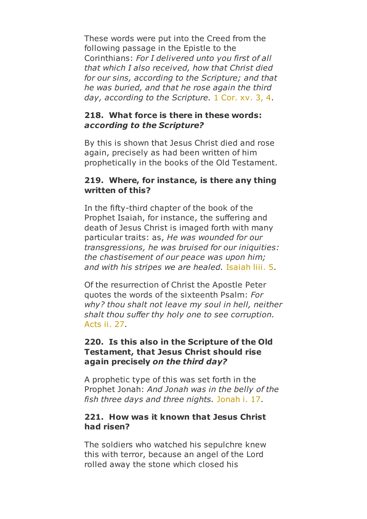These words were put into the Creed from the following passage in the Epistle to the Corinthians: *For I delivered unto you first of all that which I also received, how that Christ died for our sins, according to the Scripture; and that he was buried, and that he rose again the third day, according to the Scripture.* 1 Cor. xv. 3, 4.

### **218. What force is there in these words:** *according to the Scripture?*

By this is shown that Jesus Christ died and rose again, precisely as had been written of him prophetically in the books of the Old Testament.

## **219. Where, for instance, is there any thing written of this?**

In the fifty-third chapter of the book of the Prophet Isaiah, for instance, the suffering and death of Jesus Christ is imaged forth with many particular traits: as, *He was wounded for our transgressions, he was bruised for our iniquities: the chastisement of our peace was upon him; and with his stripes we are healed.* Isaiah liii. 5.

Of the resurrection of Christ the Apostle Peter quotes the words of the sixteenth Psalm: *For why? thou shalt not leave my soul in hell, neither shalt thou suffer thy holy one to see corruption.* Acts ii. 27.

### **220. Is this also in the Scripture of the Old Testament, that Jesus Christ should rise again precisely** *on the third day?*

A prophetic type of this was set forth in the Prophet Jonah: *And Jonah was in the belly of the fish three days and three nights.* Jonah i. 17.

## **221. How was it known that Jesus Christ had risen?**

The soldiers who watched his sepulchre knew this with terror, because an angel of the Lord rolled away the stone which closed his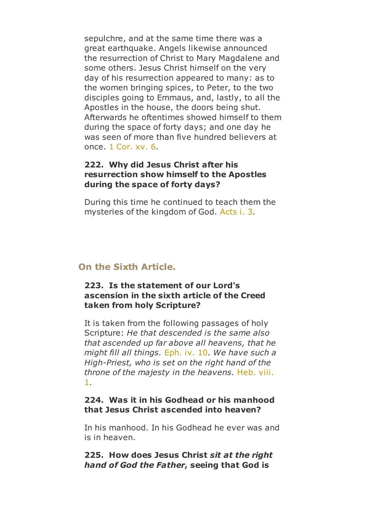sepulchre, and at the same time there was a great earthquake. Angels likewise announced the resurrection of Christ to Mary Magdalene and some others. Jesus Christ himself on the very day of his resurrection appeared to many: as to the women bringing spices, to Peter, to the two disciples going to Emmaus, and, lastly, to all the Apostles in the house, the doors being shut. Afterwards he oftentimes showed himself to them during the space of forty days; and one day he was seen of more than five hundred believers at once. 1 Cor. xv. 6.

#### **222. Why did Jesus Christ after his resurrection show himself to the Apostles during the space of forty days?**

During this time he continued to teach them the mysteries of the kingdom of God. Acts i. 3.

## **On the Sixth Article.**

#### **223. Is the statement of our Lord's ascension in the sixth article of the Creed taken from holy Scripture?**

It is taken from the following passages of holy Scripture: *He that descended is the same also that ascended up far above all heavens, that he might fill all things.* Eph. iv. 10. *We have such a High-Priest, who is set on the right hand of the throne of the majesty in the heavens.* Heb. viii. 1.

### **224. Was it in his Godhead or his manhood that Jesus Christ ascended into heaven?**

In his manhood. In his Godhead he ever was and is in heaven.

**225. How does Jesus Christ** *sit at the right hand of God the Father***, seeing that God is**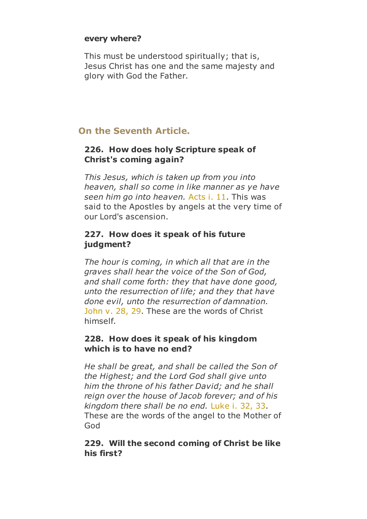#### **every where?**

This must be understood spiritually; that is, Jesus Christ has one and the same majesty and glory with God the Father.

## **On the Seventh Article.**

#### **226. How does holy Scripture speak of Christ's coming again?**

*This Jesus, which is taken up from you into heaven, shall so come in like manner as ye have seen him go into heaven.* Acts i. 11. This was said to the Apostles by angels at the very time of our Lord's ascension.

### **227. How does it speak of his future judgment?**

*The hour is coming, in which all that are in the graves shall hear the voice of the Son of God, and shall come forth: they that have done good, unto the resurrection of life; and they that have done evil, unto the resurrection of damnation.* John v. 28, 29. These are the words of Christ himself.

#### **228. How does it speak of his kingdom which is to have no end?**

*He shall be great, and shall be called the Son of the Highest; and the Lord God shall give unto him the throne of his father David; and he shall reign over the house of Jacob forever; and of his kingdom there shall be no end.* Luke i. 32, 33. These are the words of the angel to the Mother of God

### **229. Will the second coming of Christ be like his first?**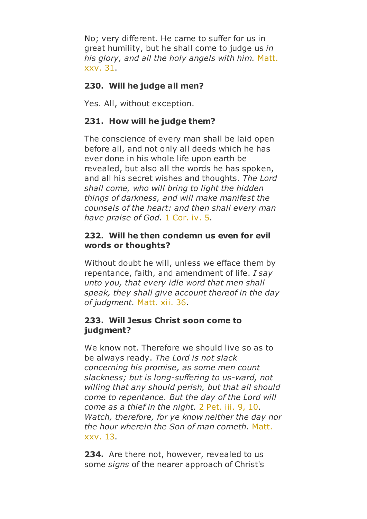No; very different. He came to suffer for us in great humility, but he shall come to judge us *in his glory, and all the holy angels with him.* Matt. xxv. 31.

## **230. Will he judge all men?**

Yes. All, without exception.

## **231. How will he judge them?**

The conscience of every man shall be laid open before all, and not only all deeds which he has ever done in his whole life upon earth be revealed, but also all the words he has spoken, and all his secret wishes and thoughts. *The Lord shall come, who will bring to light the hidden things of darkness, and will make manifest the counsels of the heart: and then shall every man have praise of God.* 1 Cor. iv. 5.

## **232. Will he then condemn us even for evil words or thoughts?**

Without doubt he will, unless we efface them by repentance, faith, and amendment of life. *I say unto you, that every idle word that men shall speak, they shall give account thereof in the day of judgment.* Matt. xii. 36.

## **233. Will Jesus Christ soon come to judgment?**

We know not. Therefore we should live so as to be always ready. *The Lord is not slack concerning his promise, as some men count slackness; but is long-suffering to us-ward, not willing that any should perish, but that all should come to repentance. But the day of the Lord will come as a thief in the night.* 2 Pet. iii. 9, 10. *Watch, therefore, for ye know neither the day nor the hour wherein the Son of man cometh.* Matt. xxv. 13.

234. Are there not, however, revealed to us some *signs* of the nearer approach of Christ's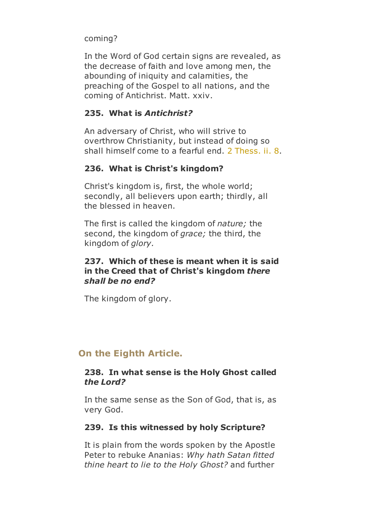coming?

In the Word of God certain signs are revealed, as the decrease of faith and love among men, the abounding of iniquity and calamities, the preaching of the Gospel to all nations, and the coming of Antichrist. Matt. xxiv.

## **235. What is** *Antichrist?*

An adversary of Christ, who will strive to overthrow Christianity, but instead of doing so shall himself come to a fearful end. 2 Thess. ii. 8.

## **236. What is Christ's kingdom?**

Christ's kingdom is, first, the whole world; secondly, all believers upon earth; thirdly, all the blessed in heaven.

The first is called the kingdom of *nature;* the second, the kingdom of *grace;* the third, the kingdom of *glory.*

## **237. Which of these is meant when it is said in the Creed that of Christ's kingdom** *there shall be no end?*

The kingdom of glory.

# **On the Eighth Article.**

## **238. In what sense is the Holy Ghost called** *the Lord?*

In the same sense as the Son of God, that is, as very God.

## **239. Is this witnessed by holy Scripture?**

It is plain from the words spoken by the Apostle Peter to rebuke Ananias: *Why hath Satan fitted thine heart to lie to the Holy Ghost?* and further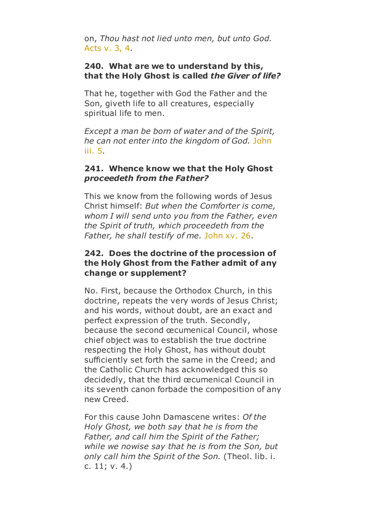on, *Thou hast not lied unto men, but unto God.* Acts v. 3, 4.

#### **240. What are we to understand by this, that the Holy Ghost is called** *the Giver of life?*

That he, together with God the Father and the Son, giveth life to all creatures, especially spiritual life to men.

*Except a man be born of water and of the Spirit, he can not enter into the kingdom of God.* John iii. 5.

#### **241. Whence know we that the Holy Ghost** *proceedeth from the Father?*

This we know from the following words of Jesus Christ himself: *But when the Comforter is come, whom I will send unto you from the Father, even the Spirit of truth, which proceedeth from the Father, he shall testify of me.* John xv. 26.

#### **242. Does the doctrine of the procession of the Holy Ghost from the Father admit of any change or supplement?**

No. First, because the Orthodox Church, in this doctrine, repeats the very words of Jesus Christ; and his words, without doubt, are an exact and perfect expression of the truth. Secondly, because the second œcumenical Council, whose chief object was to establish the true doctrine respecting the Holy Ghost, has without doubt sufficiently set forth the same in the Creed; and the Catholic Church has acknowledged this so decidedly, that the third œcumenical Council in its seventh canon forbade the composition of any new Creed.

For this cause John Damascene writes: *Of the Holy Ghost, we both say that he is from the Father, and call him the Spirit of the Father; while we nowise say that he is from the Son, but only call him the Spirit of the Son.* (Theol. lib. i. c. 11; v. 4.)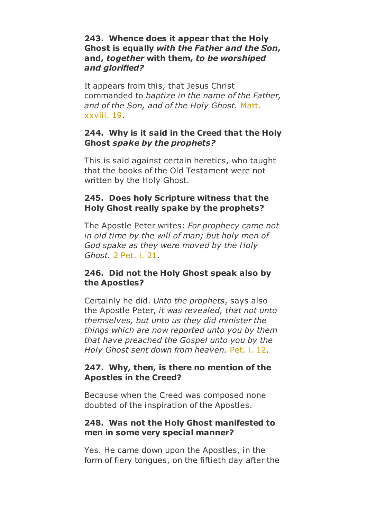#### **243. Whence does it appear that the Holy Ghost is equally** *with the Father and the Son***, and,** *together* **with them,** *to be worshiped and glorified?*

It appears from this, that Jesus Christ commanded to *baptize in the name of the Father, and of the Son, and of the Holy Ghost.* Matt. xxviii. 19.

### **244. Why is it said in the Creed that the Holy Ghost** *spake by the prophets?*

This is said against certain heretics, who taught that the books of the Old Testament were not written by the Holy Ghost.

## **245. Does holy Scripture witness that the Holy Ghost really spake by the prophets?**

The Apostle Peter writes: *For prophecy came not in old time by the will of man; but holy men of God spake as they were moved by the Holy Ghost.* 2 Pet. i. 21.

## **246. Did not the Holy Ghost speak also by the Apostles?**

Certainly he did. *Unto the prophets*, says also the Apostle Peter, *it was revealed, that not unto themselves, but unto us they did minister the things which are now reported unto you by them that have preached the Gospel unto you by the Holy Ghost sent down from heaven.* Pet. i. 12.

## **247. Why, then, is there no mention of the Apostles in the Creed?**

Because when the Creed was composed none doubted of the inspiration of the Apostles.

### **248. Was not the Holy Ghost manifested to men in some very special manner?**

Yes. He came down upon the Apostles, in the form of fiery tongues, on the fiftieth day after the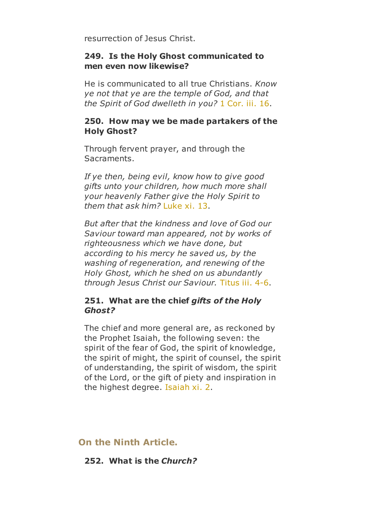resurrection of Jesus Christ.

#### **249. Is the Holy Ghost communicated to men even now likewise?**

He is communicated to all true Christians. *Know ye not that ye are the temple of God, and that the Spirit of God dwelleth in you?* 1 Cor. iii. 16.

#### **250. How may we be made partakers of the Holy Ghost?**

Through fervent prayer, and through the Sacraments.

*If ye then, being evil, know how to give good gifts unto your children, how much more shall your heavenly Father give the Holy Spirit to them that ask him?* Luke xi. 13.

*But after that the kindness and love of God our Saviour toward man appeared, not by works of righteousness which we have done, but according to his mercy he saved us, by the washing of regeneration, and renewing of the Holy Ghost, which he shed on us abundantly through Jesus Christ our Saviour.* Titus iii. 4-6.

### **251. What are the chief** *gifts of the Holy Ghost?*

The chief and more general are, as reckoned by the Prophet Isaiah, the following seven: the spirit of the fear of God, the spirit of knowledge, the spirit of might, the spirit of counsel, the spirit of understanding, the spirit of wisdom, the spirit of the Lord, or the gift of piety and inspiration in the highest degree. Isaiah xi. 2.

## **On the Ninth Article.**

**252. What is the** *Church?*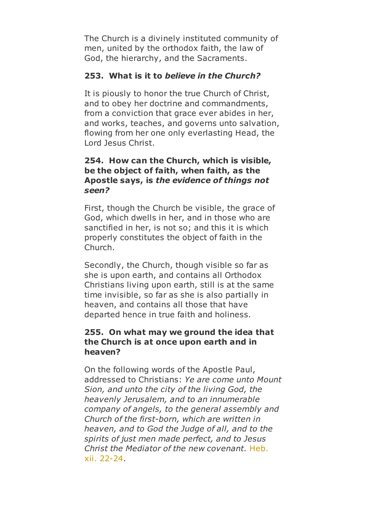The Church is a divinely instituted community of men, united by the orthodox faith, the law of God, the hierarchy, and the Sacraments.

## **253. What is it to** *believe in the Church?*

It is piously to honor the true Church of Christ, and to obey her doctrine and commandments, from a conviction that grace ever abides in her. and works, teaches, and governs unto salvation, flowing from her one only everlasting Head, the Lord Jesus Christ.

## **254. How can the Church, which is visible, be the object of faith, when faith, as the Apostle says, is** *the evidence of things not seen?*

First, though the Church be visible, the grace of God, which dwells in her, and in those who are sanctified in her, is not so; and this it is which properly constitutes the object of faith in the Church.

Secondly, the Church, though visible so far as she is upon earth, and contains all Orthodox Christians living upon earth, still is at the same time invisible, so far as she is also partially in heaven, and contains all those that have departed hence in true faith and holiness.

### **255. On what may we ground the idea that the Church is at once upon earth and in heaven?**

On the following words of the Apostle Paul, addressed to Christians: *Ye are come unto Mount Sion, and unto the city of the living God, the heavenly Jerusalem, and to an innumerable company of angels, to the general assembly and Church of the first-born, which are written in heaven, and to God the Judge of all, and to the spirits of just men made perfect, and to Jesus Christ the Mediator of the new covenant.* Heb. xii. 22-24.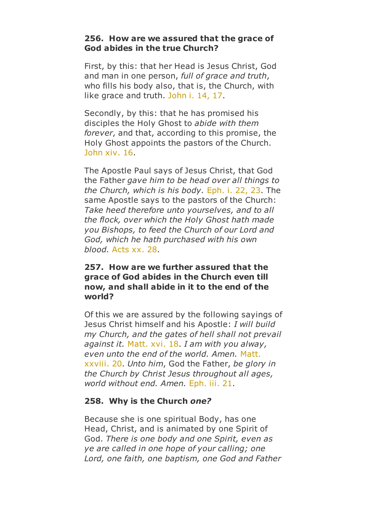### **256. How are we assured that the grace of God abides in the true Church?**

First, by this: that her Head is Jesus Christ, God and man in one person, *full of grace and truth*, who fills his body also, that is, the Church, with like grace and truth. John i. 14, 17.

Secondly, by this: that he has promised his disciples the Holy Ghost to *abide with them forever*, and that, according to this promise, the Holy Ghost appoints the pastors of the Church. John xiv. 16.

The Apostle Paul says of Jesus Christ, that God the Father *gave him to be head over all things to the Church, which is his body.* Eph. i. 22, 23. The same Apostle says to the pastors of the Church: *Take heed therefore unto yourselves, and to all the flock, over which the Holy Ghost hath made you Bishops, to feed the Church of our Lord and God, which he hath purchased with his own blood.* Acts xx. 28.

#### **257. How are we further assured that the grace of God abides in the Church even till now, and shall abide in it to the end of the world?**

Of this we are assured by the following sayings of Jesus Christ himself and his Apostle: *I will build my Church, and the gates of hell shall not prevail against it.* Matt. xvi. 18. *I am with you alway, even unto the end of the world. Amen.* Matt. xxviii. 20. *Unto him*, God the Father, *be glory in the Church by Christ Jesus throughout all ages, world without end. Amen.* Eph. iii. 21.

#### **258. Why is the Church** *one?*

Because she is one spiritual Body, has one Head, Christ, and is animated by one Spirit of God. *There is one body and one Spirit, even as ye are called in one hope of your calling; one Lord, one faith, one baptism, one God and Father*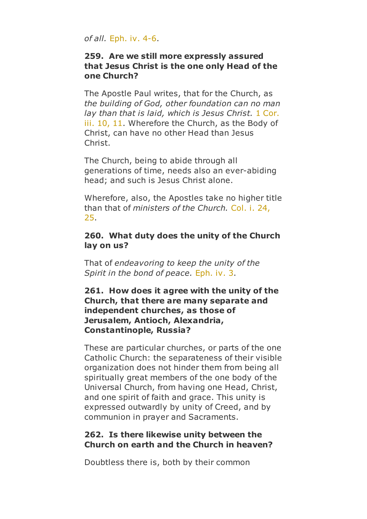*of all.* Eph. iv. 4-6.

#### **259. Are we still more expressly assured that Jesus Christ is the one only Head of the one Church?**

The Apostle Paul writes, that for the Church, as *the building of God, other foundation can no man lay than that is laid, which is Jesus Christ.* 1 Cor. iii. 10, 11. Wherefore the Church, as the Body of Christ, can have no other Head than Jesus Christ.

The Church, being to abide through all generations of time, needs also an ever-abiding head; and such is Jesus Christ alone.

Wherefore, also, the Apostles take no higher title than that of *ministers of the Church.* Col. i. 24, 25.

#### **260. What duty does the unity of the Church lay on us?**

That of *endeavoring to keep the unity of the Spirit in the bond of peace.* Eph. iv. 3.

### **261. How does it agree with the unity of the Church, that there are many separate and independent churches, as those of Jerusalem, Antioch, Alexandria, Constantinople, Russia?**

These are particular churches, or parts of the one Catholic Church: the separateness of their visible organization does not hinder them from being all spiritually great members of the one body of the Universal Church, from having one Head, Christ, and one spirit of faith and grace. This unity is expressed outwardly by unity of Creed, and by communion in prayer and Sacraments.

#### **262. Is there likewise unity between the Church on earth and the Church in heaven?**

Doubtless there is, both by their common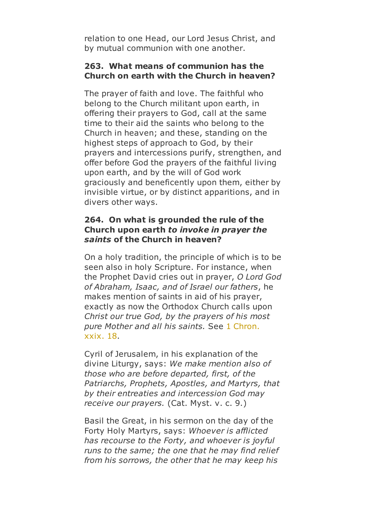relation to one Head, our Lord Jesus Christ, and by mutual communion with one another.

#### **263. What means of communion has the Church on earth with the Church in heaven?**

The prayer of faith and love. The faithful who belong to the Church militant upon earth, in offering their prayers to God, call at the same time to their aid the saints who belong to the Church in heaven; and these, standing on the highest steps of approach to God, by their prayers and intercessions purify, strengthen, and offer before God the prayers of the faithful living upon earth, and by the will of God work graciously and beneficently upon them, either by invisible virtue, or by distinct apparitions, and in divers other ways.

### **264. On what is grounded the rule of the Church upon earth** *to invoke in prayer the saints* **of the Church in heaven?**

On a holy tradition, the principle of which is to be seen also in holy Scripture. For instance, when the Prophet David cries out in prayer, *O Lord God of Abraham, Isaac, and of Israel our fathers*, he makes mention of saints in aid of his prayer, exactly as now the Orthodox Church calls upon *Christ our true God, by the prayers of his most pure Mother and all his saints.* See 1 Chron. xxix. 18.

Cyril of Jerusalem, in his explanation of the divine Liturgy, says: *We make mention also of those who are before departed, first, of the Patriarchs, Prophets, Apostles, and Martyrs, that by their entreaties and intercession God may receive our prayers.* (Cat. Myst. v. c. 9.)

Basil the Great, in his sermon on the day of the Forty Holy Martyrs, says: *Whoever is afflicted has recourse to the Forty, and whoever is joyful runs to the same; the one that he may find relief from his sorrows, the other that he may keep his*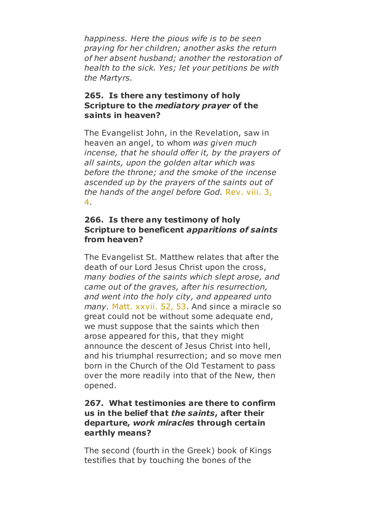*happiness. Here the pious wife is to be seen praying for her children; another asks the return of her absent husband; another the restoration of health to the sick. Yes; let your petitions be with the Martyrs.*

### **265. Is there any testimony of holy Scripture to the** *mediatory prayer* **of the saints in heaven?**

The Evangelist John, in the Revelation, saw in heaven an angel, to whom *was given much incense, that he should offer it, by the prayers of all saints, upon the golden altar which was before the throne; and the smoke of the incense ascended up by the prayers of the saints out of the hands of the angel before God.* Rev. viii. 3, 4.

#### **266. Is there any testimony of holy Scripture to beneficent** *apparitions of saints* **from heaven?**

The Evangelist St. Matthew relates that after the death of our Lord Jesus Christ upon the cross, *many bodies of the saints which slept arose, and came out of the graves, after his resurrection, and went into the holy city, and appeared unto many.* Matt. xxvii. 52, 53. And since a miracle so great could not be without some adequate end, we must suppose that the saints which then arose appeared for this, that they might announce the descent of Jesus Christ into hell, and his triumphal resurrection; and so move men born in the Church of the Old Testament to pass over the more readily into that of the New, then opened.

### **267. What testimonies are there to confirm us in the belief that** *the saints***, after their departure,** *work miracles* **through certain earthly means?**

The second (fourth in the Greek) book of Kings testifies that by touching the bones of the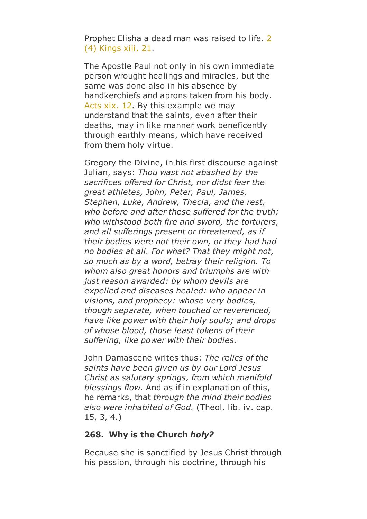Prophet Elisha a dead man was raised to life. 2 (4) Kings xiii. 21.

The Apostle Paul not only in his own immediate person wrought healings and miracles, but the same was done also in his absence by handkerchiefs and aprons taken from his body. Acts xix. 12. By this example we may understand that the saints, even after their deaths, may in like manner work beneficently through earthly means, which have received from them holy virtue.

Gregory the Divine, in his first discourse against Julian, says: *Thou wast not abashed by the sacrifices offered for Christ, nor didst fear the great athletes, John, Peter, Paul, James, Stephen, Luke, Andrew, Thecla, and the rest, who before and after these suffered for the truth; who withstood both fire and sword, the torturers, and all sufferings present or threatened, as if their bodies were not their own, or they had had no bodies at all. For what? That they might not, so much as by a word, betray their religion. To whom also great honors and triumphs are with just reason awarded: by whom devils are expelled and diseases healed: who appear in visions, and prophecy: whose very bodies, though separate, when touched or reverenced, have like power with their holy souls; and drops of whose blood, those least tokens of their suffering, like power with their bodies.*

John Damascene writes thus: *The relics of the saints have been given us by our Lord Jesus Christ as salutary springs, from which manifold blessings flow.* And as if in explanation of this, he remarks, that *through the mind their bodies also were inhabited of God.* (Theol. lib. iv. cap. 15, 3, 4.)

#### **268. Why is the Church** *holy?*

Because she is sanctified by Jesus Christ through his passion, through his doctrine, through his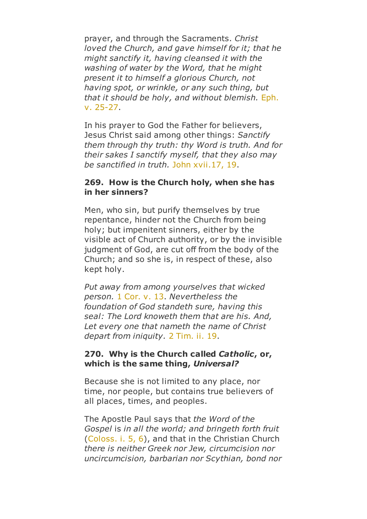prayer, and through the Sacraments. *Christ loved the Church, and gave himself for it; that he might sanctify it, having cleansed it with the washing of water by the Word, that he might present it to himself a glorious Church, not having spot, or wrinkle, or any such thing, but that it should be holy, and without blemish.* Eph. v. 25-27.

In his prayer to God the Father for believers, Jesus Christ said among other things: *Sanctify them through thy truth: thy Word is truth. And for their sakes I sanctify myself, that they also may be sanctified in truth.* John xvii.17, 19.

#### **269. How is the Church holy, when she has in her sinners?**

Men, who sin, but purify themselves by true repentance, hinder not the Church from being holy; but impenitent sinners, either by the visible act of Church authority, or by the invisible judgment of God, are cut off from the body of the Church; and so she is, in respect of these, also kept holy.

*Put away from among yourselves that wicked person.* 1 Cor. v. 13. *Nevertheless the foundation of God standeth sure, having this seal: The Lord knoweth them that are his. And, Let every one that nameth the name of Christ depart from iniquity.* 2 Tim. ii. 19.

#### **270. Why is the Church called** *Catholic***, or, which is the same thing,** *Universal?*

Because she is not limited to any place, nor time, nor people, but contains true believers of all places, times, and peoples.

The Apostle Paul says that *the Word of the Gospel* is *in all the world; and bringeth forth fruit* (Coloss. i. 5, 6), and that in the Christian Church *there is neither Greek nor Jew, circumcision nor uncircumcision, barbarian nor Scythian, bond nor*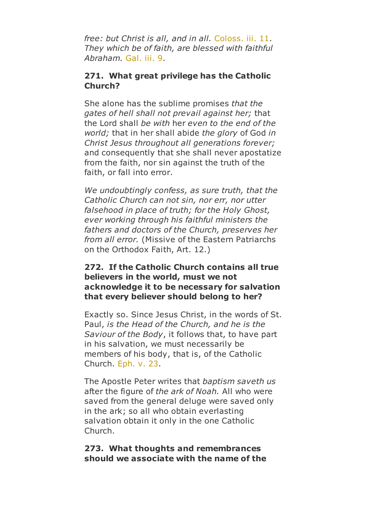*free: but Christ is all, and in all.* Coloss. iii. 11. *They which be of faith, are blessed with faithful Abraham.* Gal. iii. 9.

## **271. What great privilege has the Catholic Church?**

She alone has the sublime promises *that the gates of hell shall not prevail against her;* that the Lord shall *be with* her *even to the end of the world;* that in her shall abide *the glory* of God *in Christ Jesus throughout all generations forever;* and consequently that she shall never apostatize from the faith, nor sin against the truth of the faith, or fall into error.

*We undoubtingly confess, as sure truth, that the Catholic Church can not sin, nor err, nor utter falsehood in place of truth; for the Holy Ghost, ever working through his faithful ministers the fathers and doctors of the Church, preserves her from all error.* (Missive of the Eastern Patriarchs on the Orthodox Faith, Art. 12.)

### **272. If the Catholic Church contains all true believers in the world, must we not acknowledge it to be necessary for salvation that every believer should belong to her?**

Exactly so. Since Jesus Christ, in the words of St. Paul, *is the Head of the Church, and he is the Saviour of the Body*, it follows that, to have part in his salvation, we must necessarily be members of his body, that is, of the Catholic Church. Eph. v. 23.

The Apostle Peter writes that *baptism saveth us* after the figure of *the ark of Noah.* All who were saved from the general deluge were saved only in the ark; so all who obtain everlasting salvation obtain it only in the one Catholic Church.

### **273. What thoughts and remembrances should we associate with the name of the**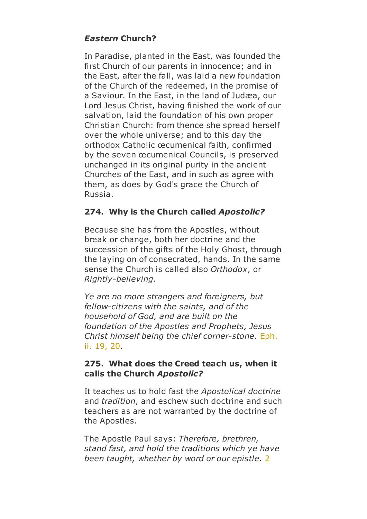## *Eastern* **Church?**

In Paradise, planted in the East, was founded the first Church of our parents in innocence; and in the East, after the fall, was laid a new foundation of the Church of the redeemed, in the promise of a Saviour. In the East, in the land of Judæa, our Lord Jesus Christ, having finished the work of our salvation, laid the foundation of his own proper Christian Church: from thence she spread herself over the whole universe; and to this day the orthodox Catholic œcumenical faith, confirmed by the seven œcumenical Councils, is preserved unchanged in its original purity in the ancient Churches of the East, and in such as agree with them, as does by God's grace the Church of Russia.

## **274. Why is the Church called** *Apostolic?*

Because she has from the Apostles, without break or change, both her doctrine and the succession of the gifts of the Holy Ghost, through the laying on of consecrated, hands. In the same sense the Church is called also *Orthodox*, or *Rightly-believing.*

*Ye are no more strangers and foreigners, but fellow-citizens with the saints, and of the household of God, and are built on the foundation of the Apostles and Prophets, Jesus Christ himself being the chief corner-stone.* Eph. ii. 19, 20.

### **275. What does the Creed teach us, when it calls the Church** *Apostolic?*

It teaches us to hold fast the *Apostolical doctrine* and *tradition*, and eschew such doctrine and such teachers as are not warranted by the doctrine of the Apostles.

The Apostle Paul says: *Therefore, brethren, stand fast, and hold the traditions which ye have been taught, whether by word or our epistle.* 2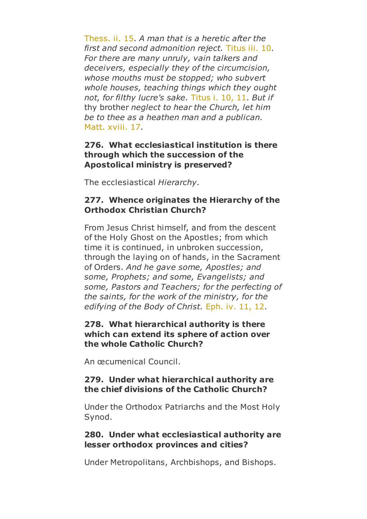Thess. ii. 15. *A man that is a heretic after the first and second admonition reject.* Titus iii. 10. *For there are many unruly, vain talkers and deceivers, especially they of the circumcision, whose mouths must be stopped; who subvert whole houses, teaching things which they ought not, for filthy lucre's sake.* Titus i. 10, 11. *But if* thy brother *neglect to hear the Church, let him be to thee as a heathen man and a publican.* Matt. xviii. 17.

#### **276. What ecclesiastical institution is there through which the succession of the Apostolical ministry is preserved?**

The ecclesiastical *Hierarchy.*

## **277. Whence originates the Hierarchy of the Orthodox Christian Church?**

From Jesus Christ himself, and from the descent of the Holy Ghost on the Apostles; from which time it is continued, in unbroken succession, through the laying on of hands, in the Sacrament of Orders. *And he gave some, Apostles; and some, Prophets; and some, Evangelists; and some, Pastors and Teachers; for the perfecting of the saints, for the work of the ministry, for the edifying of the Body of Christ.* Eph. iv. 11, 12.

## **278. What hierarchical authority is there which can extend its sphere of action over the whole Catholic Church?**

An œcumenical Council.

## **279. Under what hierarchical authority are the chief divisions of the Catholic Church?**

Under the Orthodox Patriarchs and the Most Holy Synod.

### **280. Under what ecclesiastical authority are lesser orthodox provinces and cities?**

Under Metropolitans, Archbishops, and Bishops.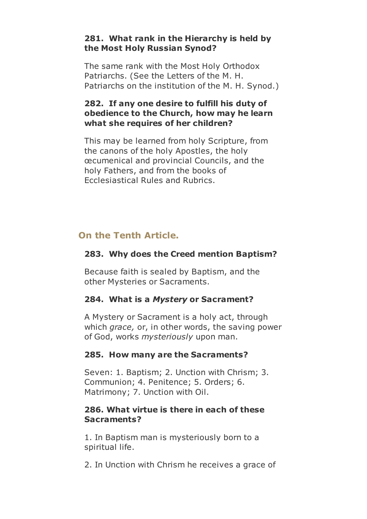## **281. What rank in the Hierarchy is held by the Most Holy Russian Synod?**

The same rank with the Most Holy Orthodox Patriarchs. (See the Letters of the M. H. Patriarchs on the institution of the M. H. Synod.)

## **282. If any one desire to fulfill his duty of obedience to the Church, how may he learn what she requires of her children?**

This may be learned from holy Scripture, from the canons of the holy Apostles, the holy œcumenical and provincial Councils, and the holy Fathers, and from the books of Ecclesiastical Rules and Rubrics.

# **On the Tenth Article.**

## **283. Why does the Creed mention Baptism?**

Because faith is sealed by Baptism, and the other Mysteries or Sacraments.

## **284. What is a** *Mystery* **or Sacrament?**

A Mystery or Sacrament is a holy act, through which *grace,* or, in other words, the saving power of God, works *mysteriously* upon man.

## **285. How many are the Sacraments?**

Seven: 1. Baptism; 2. Unction with Chrism; 3. Communion; 4. Penitence; 5. Orders; 6. Matrimony; 7. Unction with Oil.

### **286. What virtue is there in each of these Sacraments?**

1. In Baptism man is mysteriously born to a spiritual life.

2. In Unction with Chrism he receives a grace of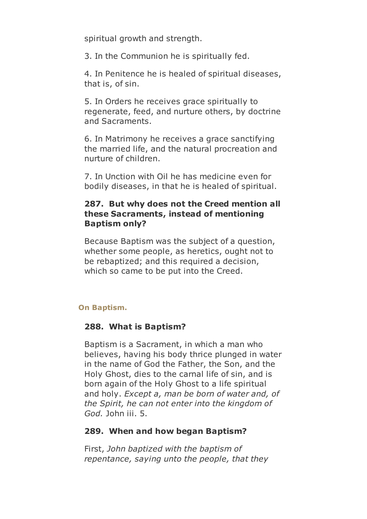spiritual growth and strength.

3. In the Communion he is spiritually fed.

4. In Penitence he is healed of spiritual diseases, that is, of sin.

5. In Orders he receives grace spiritually to regenerate, feed, and nurture others, by doctrine and Sacraments.

6. In Matrimony he receives a grace sanctifying the married life, and the natural procreation and nurture of children.

7. In Unction with Oil he has medicine even for bodily diseases, in that he is healed of spiritual.

#### **287. But why does not the Creed mention all these Sacraments, instead of mentioning Baptism only?**

Because Baptism was the subject of a question, whether some people, as heretics, ought not to be rebaptized; and this required a decision, which so came to be put into the Creed.

## **On Baptism.**

## **288. What is Baptism?**

Baptism is a Sacrament, in which a man who believes, having his body thrice plunged in water in the name of God the Father, the Son, and the Holy Ghost, dies to the carnal life of sin, and is born again of the Holy Ghost to a life spiritual and holy. *Except a, man be born of water and, of the Spirit, he can not enter into the kingdom of God.* John iii. 5.

## **289. When and how began Baptism?**

First, *John baptized with the baptism of repentance, saying unto the people, that they*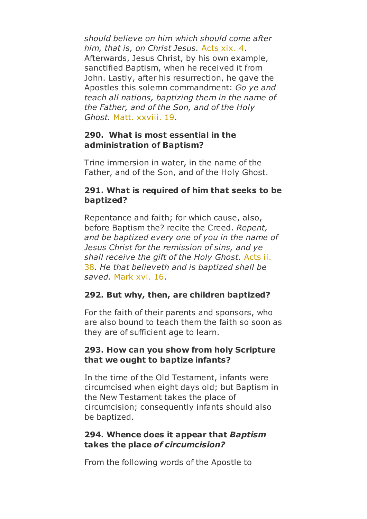*should believe on him which should come after him, that is, on Christ Jesus.* Acts xix. 4. Afterwards, Jesus Christ, by his own example, sanctified Baptism, when he received it from John. Lastly, after his resurrection, he gave the Apostles this solemn commandment: *Go ye and teach all nations, baptizing them in the name of the Father, and of the Son, and of the Holy Ghost.* Matt. xxviii. 19.

## **290. What is most essential in the administration of Baptism?**

Trine immersion in water, in the name of the Father, and of the Son, and of the Holy Ghost.

## **291. What is required of him that seeks to be baptized?**

Repentance and faith; for which cause, also, before Baptism the? recite the Creed. *Repent, and be baptized every one of you in the name of Jesus Christ for the remission of sins, and ye shall receive the gift of the Holy Ghost.* Acts ii. 38. *He that believeth and is baptized shall be saved.* Mark xvi. 16.

## **292. But why, then, are children baptized?**

For the faith of their parents and sponsors, who are also bound to teach them the faith so soon as they are of sufficient age to learn.

## **293. How can you show from holy Scripture that we ought to baptize infants?**

In the time of the Old Testament, infants were circumcised when eight days old; but Baptism in the New Testament takes the place of circumcision; consequently infants should also be baptized.

## **294. Whence does it appear that** *Baptism* **takes the place** *of circumcision?*

From the following words of the Apostle to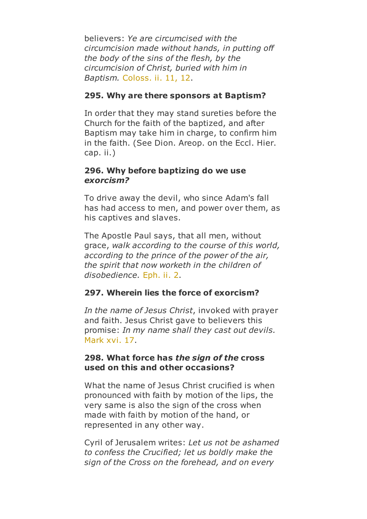believers: *Ye are circumcised with the circumcision made without hands, in putting off the body of the sins of the flesh, by the circumcision of Christ, buried with him in Baptism.* Coloss. ii. 11, 12.

## **295. Why are there sponsors at Baptism?**

In order that they may stand sureties before the Church for the faith of the baptized, and after Baptism may take him in charge, to confirm him in the faith. (See Dion. Areop. on the Eccl. Hier. cap. ii.)

#### **296. Why before baptizing do we use** *exorcism?*

To drive away the devil, who since Adam's fall has had access to men, and power over them, as his captives and slaves.

The Apostle Paul says, that all men, without grace, *walk according to the course of this world, according to the prince of the power of the air, the spirit that now worketh in the children of disobedience.* Eph. ii. 2.

## **297. Wherein lies the force of exorcism?**

*In the name of Jesus Christ*, invoked with prayer and faith. Jesus Christ gave to believers this promise: *In my name shall they cast out devils.* Mark xvi. 17.

## **298. What force has** *the sign of the* **cross used on this and other occasions?**

What the name of Jesus Christ crucified is when pronounced with faith by motion of the lips, the very same is also the sign of the cross when made with faith by motion of the hand, or represented in any other way.

Cyril of Jerusalem writes: *Let us not be ashamed to confess the Crucified; let us boldly make the sign of the Cross on the forehead, and on every*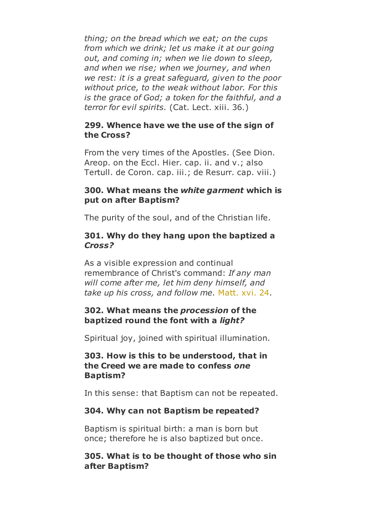*thing; on the bread which we eat; on the cups from which we drink; let us make it at our going out, and coming in; when we lie down to sleep, and when we rise; when we journey, and when we rest: it is a great safeguard, given to the poor without price, to the weak without labor. For this is the grace of God; a token for the faithful, and a terror for evil spirits.* (Cat. Lect. xiii. 36.)

## **299. Whence have we the use of the sign of the Cross?**

From the very times of the Apostles. (See Dion. Areop. on the Eccl. Hier. cap. ii. and v.; also Tertull. de Coron. cap. iii.; de Resurr. cap. viii.)

## **300. What means the** *white garment* **which is put on after Baptism?**

The purity of the soul, and of the Christian life.

## **301. Why do they hang upon the baptized a** *Cross?*

As a visible expression and continual remembrance of Christ's command: *If any man will come after me, let him deny himself, and take up his cross, and follow me.* Matt. xvi. 24.

# **302. What means the** *procession* **of the baptized round the font with a** *light?*

Spiritual joy, joined with spiritual illumination.

## **303. How is this to be understood, that in the Creed we are made to confess** *one* **Baptism?**

In this sense: that Baptism can not be repeated.

# **304. Why can not Baptism be repeated?**

Baptism is spiritual birth: a man is born but once; therefore he is also baptized but once.

# **305. What is to be thought of those who sin after Baptism?**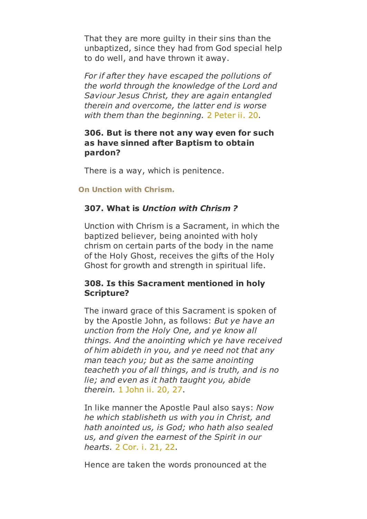That they are more guilty in their sins than the unbaptized, since they had from God special help to do well, and have thrown it away.

*For if after they have escaped the pollutions of the world through the knowledge of the Lord and Saviour Jesus Christ, they are again entangled therein and overcome, the latter end is worse with them than the beginning.* 2 Peter ii. 20.

#### **306. But is there not any way even for such as have sinned after Baptism to obtain pardon?**

There is a way, which is penitence.

## **On Unction with Chrism.**

## **307. What is** *Unction with Chrism ?*

Unction with Chrism is a Sacrament, in which the baptized believer, being anointed with holy chrism on certain parts of the body in the name of the Holy Ghost, receives the gifts of the Holy Ghost for growth and strength in spiritual life.

## **308. Is this Sacrament mentioned in holy Scripture?**

The inward grace of this Sacrament is spoken of by the Apostle John, as follows: *But ye have an unction from the Holy One, and ye know all things. And the anointing which ye have received of him abideth in you, and ye need not that any man teach you; but as the same anointing teacheth you of all things, and is truth, and is no lie; and even as it hath taught you, abide therein.* 1 John ii. 20, 27.

In like manner the Apostle Paul also says: *Now he which stablisheth us with you in Christ, and hath anointed us, is God; who hath also sealed us, and given the earnest of the Spirit in our hearts.* 2 Cor. i. 21, 22.

Hence are taken the words pronounced at the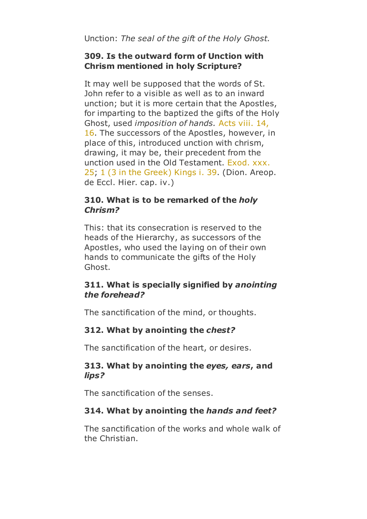Unction: *The seal of the gift of the Holy Ghost.*

## **309. Is the outward form of Unction with Chrism mentioned in holy Scripture?**

It may well be supposed that the words of St. John refer to a visible as well as to an inward unction; but it is more certain that the Apostles, for imparting to the baptized the gifts of the Holy Ghost, used *imposition of hands.* Acts viii. 14, 16. The successors of the Apostles, however, in place of this, introduced unction with chrism, drawing, it may be, their precedent from the unction used in the Old Testament. Exod. xxx. 25; 1 (3 in the Greek) Kings i. 39. (Dion. Areop. de Eccl. Hier. cap. iv.)

## **310. What is to be remarked of the** *holy Chrism?*

This: that its consecration is reserved to the heads of the Hierarchy, as successors of the Apostles, who used the laying on of their own hands to communicate the gifts of the Holy Ghost.

## **311. What is specially signified by** *anointing the forehead?*

The sanctification of the mind, or thoughts.

## **312. What by anointing the** *chest?*

The sanctification of the heart, or desires.

## **313. What by anointing the** *eyes, ears***, and** *lips?*

The sanctification of the senses.

# **314. What by anointing the** *hands and feet?*

The sanctification of the works and whole walk of the Christian.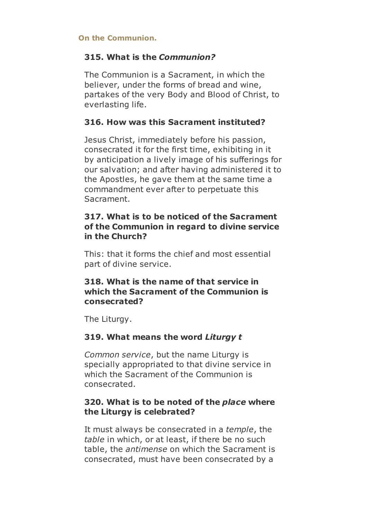#### **On the Communion.**

#### **315. What is the** *Communion?*

The Communion is a Sacrament, in which the believer, under the forms of bread and wine, partakes of the very Body and Blood of Christ, to everlasting life.

#### **316. How was this Sacrament instituted?**

Jesus Christ, immediately before his passion, consecrated it for the first time, exhibiting in it by anticipation a lively image of his sufferings for our salvation; and after having administered it to the Apostles, he gave them at the same time a commandment ever after to perpetuate this Sacrament.

#### **317. What is to be noticed of the Sacrament of the Communion in regard to divine service in the Church?**

This: that it forms the chief and most essential part of divine service.

#### **318. What is the name of that service in which the Sacrament of the Communion is consecrated?**

The Liturgy.

#### **319. What means the word** *Liturgy t*

*Common service*, but the name Liturgy is specially appropriated to that divine service in which the Sacrament of the Communion is consecrated.

#### **320. What is to be noted of the** *place* **where the Liturgy is celebrated?**

It must always be consecrated in a *temple*, the table in which, or at least, if there be no such table, the *antimense* on which the Sacrament is consecrated, must have been consecrated by a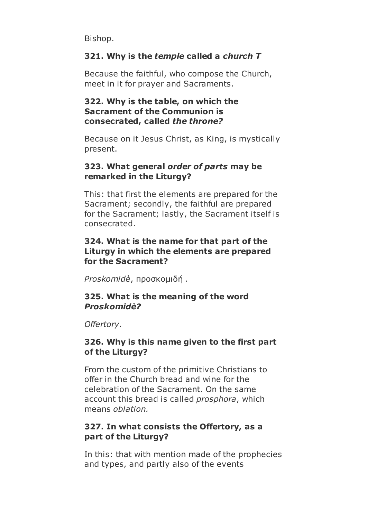Bishop.

# **321. Why is the** *temple* **called a** *church T*

Because the faithful, who compose the Church, meet in it for prayer and Sacraments.

## **322. Why is the table, on which the Sacrament of the Communion is consecrated, called** *the throne?*

Because on it Jesus Christ, as King, is mystically present.

## **323. What general** *order of parts* **may be remarked in the Liturgy?**

This: that first the elements are prepared for the Sacrament; secondly, the faithful are prepared for the Sacrament; lastly, the Sacrament itself is consecrated.

#### **324. What is the name for that part of the Liturgy in which the elements are prepared for the Sacrament?**

*Proskomidè*, προσκομιδή .

#### **325. What is the meaning of the word** *Proskomidè?*

*Offertory.*

## **326. Why is this name given to the first part of the Liturgy?**

From the custom of the primitive Christians to offer in the Church bread and wine for the celebration of the Sacrament. On the same account this bread is called *prosphora*, which means *oblation.*

## **327. In what consists the Offertory, as a part of the Liturgy?**

In this: that with mention made of the prophecies and types, and partly also of the events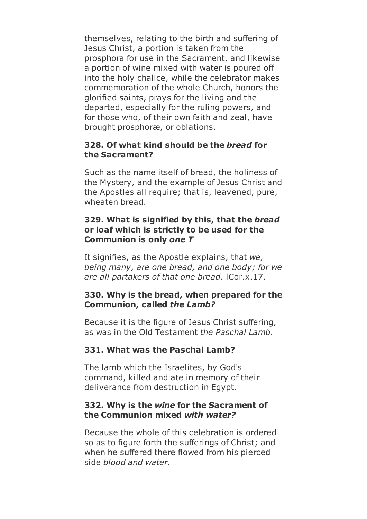themselves, relating to the birth and suffering of Jesus Christ, a portion is taken from the prosphora for use in the Sacrament, and likewise a portion of wine mixed with water is poured off into the holy chalice, while the celebrator makes commemoration of the whole Church, honors the glorified saints, prays for the living and the departed, especially for the ruling powers, and for those who, of their own faith and zeal, have brought prosphoræ, or oblations.

#### **328. Of what kind should be the** *bread* **for the Sacrament?**

Such as the name itself of bread, the holiness of the Mystery, and the example of Jesus Christ and the Apostles all require; that is, leavened, pure, wheaten bread.

## **329. What is signified by this, that the** *bread* **or loaf which is strictly to be used for the Communion is only** *one T*

It signifies, as the Apostle explains, that *we, being many, are one bread, and one body; for we are all partakers of that one bread.* lCor.x.17.

## **330. Why is the bread, when prepared for the Communion, called** *the Lamb?*

Because it is the figure of Jesus Christ suffering, as was in the Old Testament *the Paschal Lamb.*

#### **331. What was the Paschal Lamb?**

The lamb which the Israelites, by God's command, killed and ate in memory of their deliverance from destruction in Egypt.

## **332. Why is the** *wine* **for the Sacrament of the Communion mixed** *with water?*

Because the whole of this celebration is ordered so as to figure forth the sufferings of Christ; and when he suffered there flowed from his pierced side *blood and water.*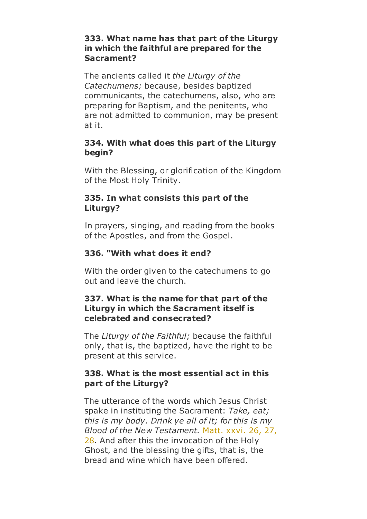## **333. What name has that part of the Liturgy in which the faithful are prepared for the Sacrament?**

The ancients called it *the Liturgy of the Catechumens;* because, besides baptized communicants, the catechumens, also, who are preparing for Baptism, and the penitents, who are not admitted to communion, may be present at it.

## **334. With what does this part of the Liturgy begin?**

With the Blessing, or glorification of the Kingdom of the Most Holy Trinity.

## **335. In what consists this part of the Liturgy?**

In prayers, singing, and reading from the books of the Apostles, and from the Gospel.

# **336. "With what does it end?**

With the order given to the catechumens to go out and leave the church.

## **337. What is the name for that part of the Liturgy in which the Sacrament itself is celebrated and consecrated?**

The *Liturgy of the Faithful;* because the faithful only, that is, the baptized, have the right to be present at this service.

# **338. What is the most essential act in this part of the Liturgy?**

The utterance of the words which Jesus Christ spake in instituting the Sacrament: *Take, eat; this is my body. Drink ye all of it; for this is my Blood of the New Testament.* Matt. xxvi. 26, 27, 28. And after this the invocation of the Holy Ghost, and the blessing the gifts, that is, the bread and wine which have been offered.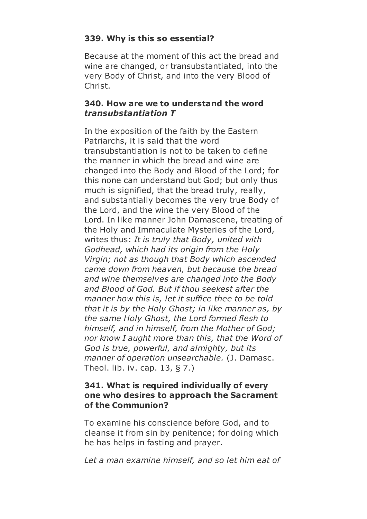## **339. Why is this so essential?**

Because at the moment of this act the bread and wine are changed, or transubstantiated, into the very Body of Christ, and into the very Blood of Christ.

#### **340. How are we to understand the word** *transubstantiation T*

In the exposition of the faith by the Eastern Patriarchs, it is said that the word transubstantiation is not to be taken to define the manner in which the bread and wine are changed into the Body and Blood of the Lord; for this none can understand but God; but only thus much is signified, that the bread truly, really, and substantially becomes the very true Body of the Lord, and the wine the very Blood of the Lord. In like manner John Damascene, treating of the Holy and Immaculate Mysteries of the Lord, writes thus: *It is truly that Body, united with Godhead, which had its origin from the Holy Virgin; not as though that Body which ascended came down from heaven, but because the bread and wine themselves are changed into the Body and Blood of God. But if thou seekest after the manner how this is, let it suffice thee to be told that it is by the Holy Ghost; in like manner as, by the same Holy Ghost, the Lord formed flesh to himself, and in himself, from the Mother of God; nor know I aught more than this, that the Word of God is true, powerful, and almighty, but its manner of operation unsearchable.* (J. Damasc. Theol. lib. iv. cap. 13, § 7.)

#### **341. What is required individually of every one who desires to approach the Sacrament of the Communion?**

To examine his conscience before God, and to cleanse it from sin by penitence; for doing which he has helps in fasting and prayer.

*Let a man examine himself, and so let him eat of*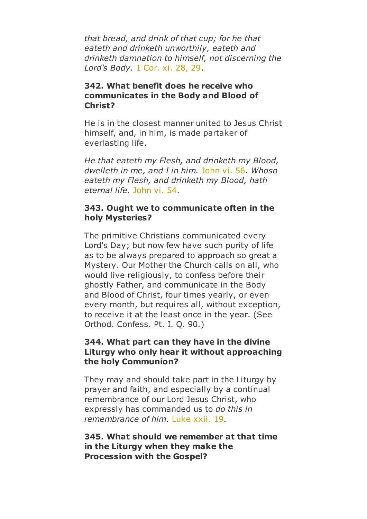*that bread, and drink of that cup; for he that eateth and drinketh unworthily, eateth and drinketh damnation to himself, not discerning the Lord's Body.* 1 Cor. xi. 28, 29.

#### **342. What benefit does he receive who communicates in the Body and Blood of Christ?**

He is in the closest manner united to Jesus Christ himself, and, in him, is made partaker of everlasting life.

*He that eateth my Flesh, and drinketh my Blood, dwelleth in me, and I in him.* John vi. 56. *Whoso eateth my Flesh, and drinketh my Blood, hath eternal life.* John vi. 54.

## **343. Ought we to communicate often in the holy Mysteries?**

The primitive Christians communicated every Lord's Day; but now few have such purity of life as to be always prepared to approach so great a Mystery. Our Mother the Church calls on all, who would live religiously, to confess before their ghostly Father, and communicate in the Body and Blood of Christ, four times yearly, or even every month, but requires all, without exception, to receive it at the least once in the year. (See Orthod. Confess. Pt. I. Q. 90.)

#### **344. What part can they have in the divine Liturgy who only hear it without approaching the holy Communion?**

They may and should take part in the Liturgy by prayer and faith, and especially by a continual remembrance of our Lord Jesus Christ, who expressly has commanded us to *do this in remembrance of him.* Luke xxii. 19.

#### **345. What should we remember at that time in the Liturgy when they make the Procession with the Gospel?**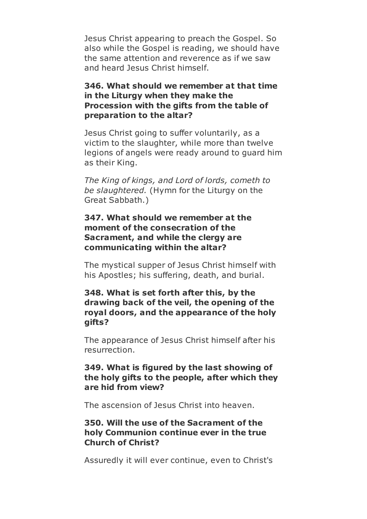Jesus Christ appearing to preach the Gospel. So also while the Gospel is reading, we should have the same attention and reverence as if we saw and heard Jesus Christ himself.

#### **346. What should we remember at that time in the Liturgy when they make the Procession with the gifts from the table of preparation to the altar?**

Jesus Christ going to suffer voluntarily, as a victim to the slaughter, while more than twelve legions of angels were ready around to guard him as their King.

*The King of kings, and Lord of lords, cometh to be slaughtered.* (Hymn for the Liturgy on the Great Sabbath.)

#### **347. What should we remember at the moment of the consecration of the Sacrament, and while the clergy are communicating within the altar?**

The mystical supper of Jesus Christ himself with his Apostles; his suffering, death, and burial.

#### **348. What is set forth after this, by the drawing back of the veil, the opening of the royal doors, and the appearance of the holy gifts?**

The appearance of Jesus Christ himself after his resurrection.

#### **349. What is figured by the last showing of the holy gifts to the people, after which they are hid from view?**

The ascension of Jesus Christ into heaven.

## **350. Will the use of the Sacrament of the holy Communion continue ever in the true Church of Christ?**

Assuredly it will ever continue, even to Christ's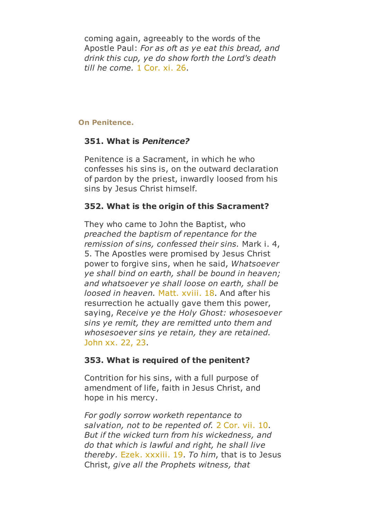coming again, agreeably to the words of the Apostle Paul: *For as oft as ye eat this bread, and drink this cup, ye do show forth the Lord's death till he come.* 1 Cor. xi. 26.

#### **On Penitence.**

## **351. What is** *Penitence?*

Penitence is a Sacrament, in which he who confesses his sins is, on the outward declaration of pardon by the priest, inwardly loosed from his sins by Jesus Christ himself.

## **352. What is the origin of this Sacrament?**

They who came to John the Baptist, who *preached the baptism of repentance for the remission of sins, confessed their sins.* Mark i. 4, 5. The Apostles were promised by Jesus Christ power to forgive sins, when he said, *Whatsoever ye shall bind on earth, shall be bound in heaven; and whatsoever ye shall loose on earth, shall be loosed in heaven.* Matt. xviii. 18. And after his resurrection he actually gave them this power, saying, *Receive ye the Holy Ghost: whosesoever sins ye remit, they are remitted unto them and whosesoever sins ye retain, they are retained.* John xx. 22, 23.

#### **353. What is required of the penitent?**

Contrition for his sins, with a full purpose of amendment of life, faith in Jesus Christ, and hope in his mercy.

*For godly sorrow worketh repentance to salvation, not to be repented of.* 2 Cor. vii. 10. *But if the wicked turn from his wickedness, and do that which is lawful and right, he shall live thereby.* Ezek. xxxiii. 19. *To him*, that is to Jesus Christ, *give all the Prophets witness, that*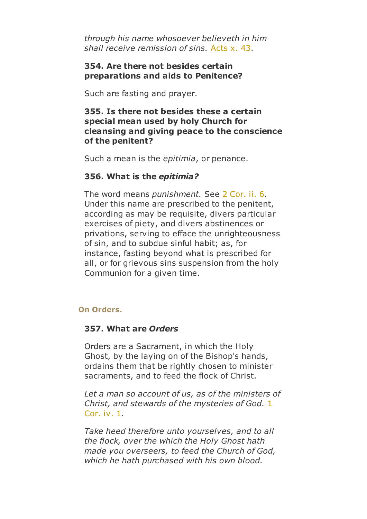*through his name whosoever believeth in him shall receive remission of sins.* Acts x. 43.

#### **354. Are there not besides certain preparations and aids to Penitence?**

Such are fasting and prayer.

#### **355. Is there not besides these a certain special mean used by holy Church for cleansing and giving peace to the conscience of the penitent?**

Such a mean is the *epitimia*, or penance.

## **356. What is the** *epitimia?*

The word means *punishment.* See 2 Cor. ii. 6. Under this name are prescribed to the penitent, according as may be requisite, divers particular exercises of piety, and divers abstinences or privations, serving to efface the unrighteousness of sin, and to subdue sinful habit; as, for instance, fasting beyond what is prescribed for all, or for grievous sins suspension from the holy Communion for a given time.

#### **On Orders.**

#### **357. What are** *Orders*

Orders are a Sacrament, in which the Holy Ghost, by the laying on of the Bishop's hands, ordains them that be rightly chosen to minister sacraments, and to feed the flock of Christ.

*Let a man so account of us, as of the ministers of Christ, and stewards of the mysteries of God.* 1 Cor. iv. 1.

*Take heed therefore unto yourselves, and to all the flock, over the which the Holy Ghost hath made you overseers, to feed the Church of God, which he hath purchased with his own blood.*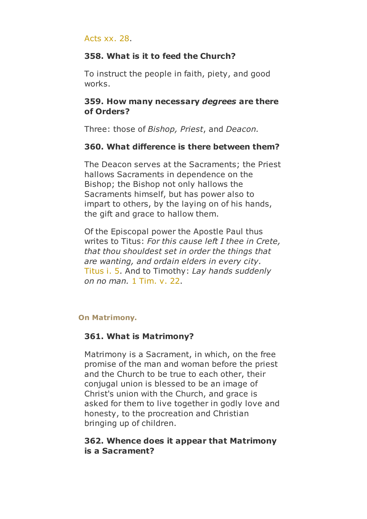Acts xx. 28.

## **358. What is it to feed the Church?**

To instruct the people in faith, piety, and good works.

#### **359. How many necessary** *degrees* **are there of Orders?**

Three: those of *Bishop, Priest*, and *Deacon.*

## **360. What difference is there between them?**

The Deacon serves at the Sacraments; the Priest hallows Sacraments in dependence on the Bishop; the Bishop not only hallows the Sacraments himself, but has power also to impart to others, by the laying on of his hands, the gift and grace to hallow them.

Of the Episcopal power the Apostle Paul thus writes to Titus: *For this cause left I thee in Crete, that thou shouldest set in order the things that are wanting, and ordain elders in every city.* Titus i. 5. And to Timothy: *Lay hands suddenly on no man.* 1 Tim. v. 22.

#### **On Matrimony.**

## **361. What is Matrimony?**

Matrimony is a Sacrament, in which, on the free promise of the man and woman before the priest and the Church to be true to each other, their conjugal union is blessed to be an image of Christ's union with the Church, and grace is asked for them to live together in godly love and honesty, to the procreation and Christian bringing up of children.

## **362. Whence does it appear that Matrimony is a Sacrament?**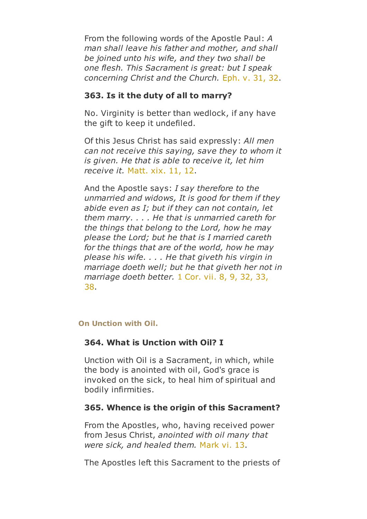From the following words of the Apostle Paul: *A man shall leave his father and mother, and shall be joined unto his wife, and they two shall be one flesh. This Sacrament is great: but I speak concerning Christ and the Church.* Eph. v. 31, 32.

## **363. Is it the duty of all to marry?**

No. Virginity is better than wedlock, if any have the gift to keep it undefiled.

Of this Jesus Christ has said expressly: *All men can not receive this saying, save they to whom it is given. He that is able to receive it, let him receive it.* Matt. xix. 11, 12.

And the Apostle says: *I say therefore to the unmarried and widows, It is good for them if they abide even as I; but if they can not contain, let them marry. . . . He that is unmarried careth for the things that belong to the Lord, how he may please the Lord; but he that is I married careth for the things that are of the world, how he may please his wife. . . . He that giveth his virgin in marriage doeth well; but he that giveth her not in marriage doeth better.* 1 Cor. vii. 8, 9, 32, 33, 38.

## **On Unction with Oil.**

## **364. What is Unction with Oil? I**

Unction with Oil is a Sacrament, in which, while the body is anointed with oil, God's grace is invoked on the sick, to heal him of spiritual and bodily infirmities.

## **365. Whence is the origin of this Sacrament?**

From the Apostles, who, having received power from Jesus Christ, *anointed with oil many that were sick, and healed them.* Mark vi. 13.

The Apostles left this Sacrament to the priests of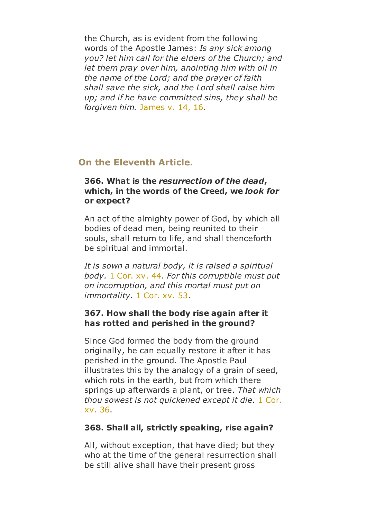the Church, as is evident from the following words of the Apostle James: *Is any sick among you? let him call for the elders of the Church; and let them pray over him, anointing him with oil in the name of the Lord; and the prayer of faith shall save the sick, and the Lord shall raise him up; and if he have committed sins, they shall be forgiven him.* James v. 14, 16.

# **On the Eleventh Article.**

#### **366. What is the** *resurrection of the dead***, which, in the words of the Creed, we** *look for* **or expect?**

An act of the almighty power of God, by which all bodies of dead men, being reunited to their souls, shall return to life, and shall thenceforth be spiritual and immortal.

*It is sown a natural body, it is raised a spiritual body.* 1 Cor. xv. 44. *For this corruptible must put on incorruption, and this mortal must put on immortality.* 1 Cor. xv. 53.

## **367. How shall the body rise again after it has rotted and perished in the ground?**

Since God formed the body from the ground originally, he can equally restore it after it has perished in the ground. The Apostle Paul illustrates this by the analogy of a grain of seed, which rots in the earth, but from which there springs up afterwards a plant, or tree. *That which thou sowest is not quickened except it die.* 1 Cor. xv. 36.

#### **368. Shall all, strictly speaking, rise again?**

All, without exception, that have died; but they who at the time of the general resurrection shall be still alive shall have their present gross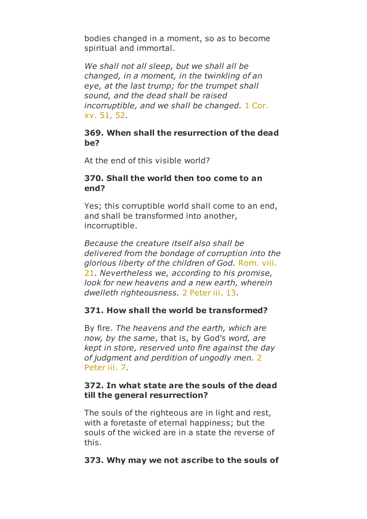bodies changed in a moment, so as to become spiritual and immortal.

*We shall not all sleep, but we shall all be changed, in a moment, in the twinkling of an eye, at the last trump; for the trumpet shall sound, and the dead shall be raised incorruptible, and we shall be changed.* 1 Cor. xv. 51, 52.

#### **369. When shall the resurrection of the dead be?**

At the end of this visible world?

## **370. Shall the world then too come to an end?**

Yes; this corruptible world shall come to an end, and shall be transformed into another, incorruptible.

*Because the creature itself also shall be delivered from the bondage of corruption into the glorious liberty of the children of God.* Rom. viii. 21. *Nevertheless we, according to his promise, look for new heavens and a new earth, wherein dwelleth righteousness.* 2 Peter iii. 13.

# **371. How shall the world be transformed?**

By fire. *The heavens and the earth, which are now, by the same*, that is, by God's *word, are kept in store, reserved unto fire against the day of judgment and perdition of ungodly men.* 2 Peter iii. 7.

## **372. In what state are the souls of the dead till the general resurrection?**

The souls of the righteous are in light and rest, with a foretaste of eternal happiness; but the souls of the wicked are in a state the reverse of this.

## **373. Why may we not ascribe to the souls of**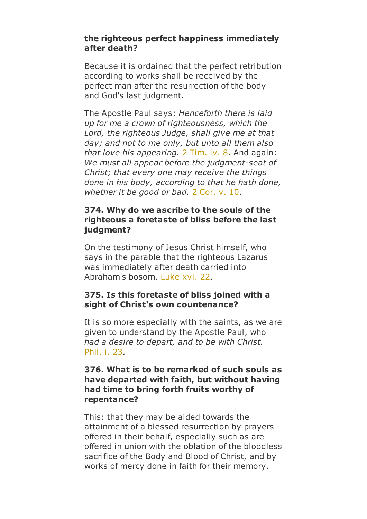#### **the righteous perfect happiness immediately after death?**

Because it is ordained that the perfect retribution according to works shall be received by the perfect man after the resurrection of the body and God's last judgment.

The Apostle Paul says: *Henceforth there is laid up for me a crown of righteousness, which the Lord, the righteous Judge, shall give me at that day; and not to me only, but unto all them also that love his appearing.* 2 Tim. iv. 8. And again: *We must all appear before the judgment-seat of Christ; that every one may receive the things done in his body, according to that he hath done, whether it be good or bad.* 2 Cor. v. 10.

#### **374. Why do we ascribe to the souls of the righteous a foretaste of bliss before the last judgment?**

On the testimony of Jesus Christ himself, who says in the parable that the righteous Lazarus was immediately after death carried into Abraham's bosom. Luke xvi. 22.

## **375. Is this foretaste of bliss joined with a sight of Christ's own countenance?**

It is so more especially with the saints, as we are given to understand by the Apostle Paul, who *had a desire to depart, and to be with Christ.* Phil. i. 23.

#### **376. What is to be remarked of such souls as have departed with faith, but without having had time to bring forth fruits worthy of repentance?**

This: that they may be aided towards the attainment of a blessed resurrection by prayers offered in their behalf, especially such as are offered in union with the oblation of the bloodless sacrifice of the Body and Blood of Christ, and by works of mercy done in faith for their memory.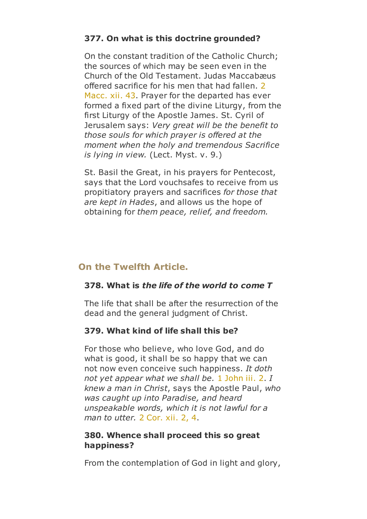# **377. On what is this doctrine grounded?**

On the constant tradition of the Catholic Church; the sources of which may be seen even in the Church of the Old Testament. Judas Maccabæus offered sacrifice for his men that had fallen. 2 Macc. xii. 43. Prayer for the departed has ever formed a fixed part of the divine Liturgy, from the first Liturgy of the Apostle James. St. Cyril of Jerusalem says: *Very great will be the benefit to those souls for which prayer is offered at the moment when the holy and tremendous Sacrifice is lying in view.* (Lect. Myst. v. 9.)

St. Basil the Great, in his prayers for Pentecost, says that the Lord vouchsafes to receive from us propitiatory prayers and sacrifices *for those that are kept in Hades*, and allows us the hope of obtaining for *them peace, relief, and freedom.*

# **On the Twelfth Article.**

#### **378. What is** *the life of the world to come T*

The life that shall be after the resurrection of the dead and the general judgment of Christ.

## **379. What kind of life shall this be?**

For those who believe, who love God, and do what is good, it shall be so happy that we can not now even conceive such happiness. *It doth not yet appear what we shall be.* 1 John iii. 2. *I knew a man in Christ*, says the Apostle Paul, *who was caught up into Paradise, and heard unspeakable words, which it is not lawful for a man to utter.* 2 Cor. xii. 2, 4.

#### **380. Whence shall proceed this so great happiness?**

From the contemplation of God in light and glory,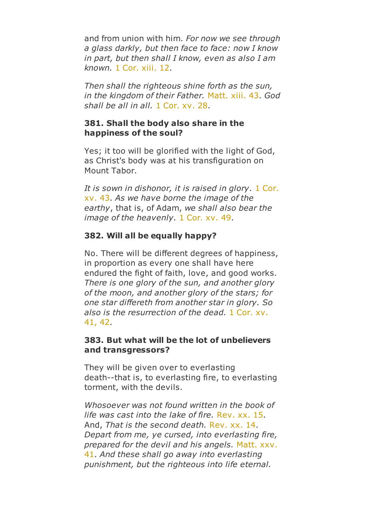and from union with him. *For now we see through a glass darkly, but then face to face: now I know in part, but then shall I know, even as also I am known.* 1 Cor. xiii. 12.

*Then shall the righteous shine forth as the sun, in the kingdom of their Father.* Matt. xiii. 43. *God shall be all in all.* 1 Cor. xv. 28.

#### **381. Shall the body also share in the happiness of the soul?**

Yes; it too will be glorified with the light of God, as Christ's body was at his transfiguration on Mount Tabor.

*It is sown in dishonor, it is raised in glory.* 1 Cor. xv. 43. *As we have borne the image of the earthy*, that is, of Adam, *we shall also bear the image of the heavenly.* 1 Cor. xv. 49.

# **382. Will all be equally happy?**

No. There will be different degrees of happiness, in proportion as every one shall have here endured the fight of faith, love, and good works. *There is one glory of the sun, and another glory of the moon, and another glory of the stars; for one star differeth from another star in glory. So also is the resurrection of the dead.* 1 Cor. xv. 41, 42.

#### **383. But what will be the lot of unbelievers and transgressors?**

They will be given over to everlasting death--that is, to everlasting fire, to everlasting torment, with the devils.

*Whosoever was not found written in the book of life was cast into the lake of fire.* Rev. xx. 15. And, *That is the second death.* Rev. xx. 14. *Depart from me, ye cursed, into everlasting fire, prepared for the devil and his angels.* Matt. xxv. 41. *And these shall go away into everlasting punishment, but the righteous into life eternal.*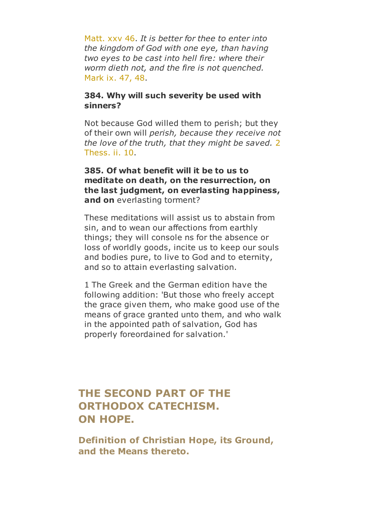Matt. xxv 46. *It is better for thee to enter into the kingdom of God with one eye, than having two eyes to be cast into hell fire: where their worm dieth not, and the fire is not quenched.* Mark ix. 47, 48.

#### **384. Why will such severity be used with sinners?**

Not because God willed them to perish; but they of their own will *perish, because they receive not the love of the truth, that they might be saved.* 2 Thess. ii. 10.

#### **385. Of what benefit will it be to us to meditate on death, on the resurrection, on the last judgment, on everlasting happiness, and on** everlasting torment?

These meditations will assist us to abstain from sin, and to wean our affections from earthly things; they will console ns for the absence or loss of worldly goods, incite us to keep our souls and bodies pure, to live to God and to eternity, and so to attain everlasting salvation.

1 The Greek and the German edition have the following addition: 'But those who freely accept the grace given them, who make good use of the means of grace granted unto them, and who walk in the appointed path of salvation, God has properly foreordained for salvation.'

# **THE SECOND PART OF THE ORTHODOX CATECHISM. ON HOPE.**

**Definition of Christian Hope, its Ground, and the Means thereto.**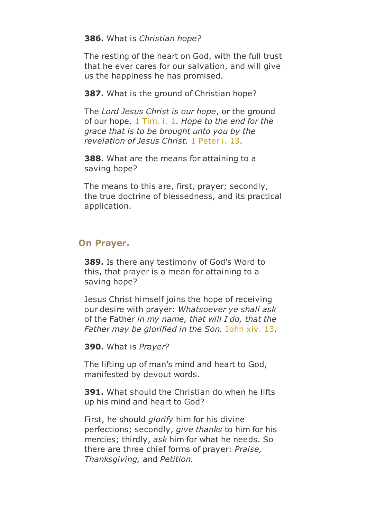#### **386.** What is *Christian hope?*

The resting of the heart on God, with the full trust that he ever cares for our salvation, and will give us the happiness he has promised.

**387.** What is the ground of Christian hope?

The *Lord Jesus Christ is our hope*, or the ground of our hope. 1 Tim. i. 1. *Hope to the end for the grace that is to be brought unto you by the revelation of Jesus Christ.* 1 Peter i. 13.

**388.** What are the means for attaining to a saving hope?

The means to this are, first, prayer; secondly, the true doctrine of blessedness, and its practical application.

# **On Prayer.**

**389.** Is there any testimony of God's Word to this, that prayer is a mean for attaining to a saving hope?

Jesus Christ himself joins the hope of receiving our desire with prayer: *Whatsoever ye shall ask* of the Father *in my name, that will I do, that the Father may be glorified in the Son.* John xiv. 13.

**390.** What is *Prayer?*

The lifting up of man's mind and heart to God, manifested by devout words.

**391.** What should the Christian do when he lifts up his mind and heart to God?

First, he should *glorify* him for his divine perfections; secondly, *give thanks* to him for his mercies; thirdly, *ask* him for what he needs. So there are three chief forms of prayer: *Praise, Thanksgiving,* and *Petition.*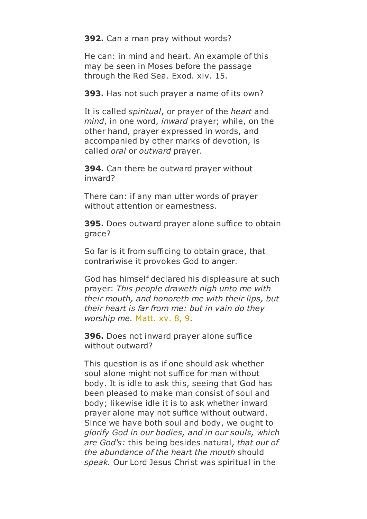**392.** Can a man pray without words?

He can: in mind and heart. An example of this may be seen in Moses before the passage through the Red Sea. Exod. xiv. 15.

**393.** Has not such prayer a name of its own?

It is called *spiritual*, or prayer of the *heart* and *mind*, in one word, *inward* prayer; while, on the other hand, prayer expressed in words, and accompanied by other marks of devotion, is called *oral* or *outward* prayer.

**394.** Can there be outward prayer without inward?

There can: if any man utter words of prayer without attention or earnestness.

**395.** Does outward prayer alone suffice to obtain grace?

So far is it from sufficing to obtain grace, that contrariwise it provokes God to anger.

God has himself declared his displeasure at such prayer: *This people draweth nigh unto me with their mouth, and honoreth me with their lips, but their heart is far from me: but in vain do they worship me.* Matt. xv. 8, 9.

**396.** Does not inward prayer alone suffice without outward?

This question is as if one should ask whether soul alone might not suffice for man without body. It is idle to ask this, seeing that God has been pleased to make man consist of soul and body; likewise idle it is to ask whether inward prayer alone may not suffice without outward. Since we have both soul and body, we ought to *glorify God in our bodies, and in our souls, which are God's:* this being besides natural, *that out of the abundance of the heart the mouth* should *speak.* Our Lord Jesus Christ was spiritual in the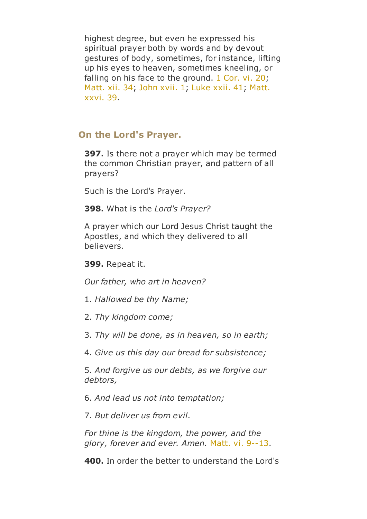highest degree, but even he expressed his spiritual prayer both by words and by devout gestures of body, sometimes, for instance, lifting up his eyes to heaven, sometimes kneeling, or falling on his face to the ground. 1 Cor. vi. 20; Matt. xii. 34; John xvii. 1; Luke xxii. 41; Matt. xxvi. 39.

# **On the Lord's Prayer.**

**397.** Is there not a prayer which may be termed the common Christian prayer, and pattern of all prayers?

Such is the Lord's Prayer.

**398.** What is the *Lord's Prayer?*

A prayer which our Lord Jesus Christ taught the Apostles, and which they delivered to all believers.

**399.** Repeat it.

*Our father, who art in heaven?*

- 1. *Hallowed be thy Name;*
- 2. *Thy kingdom come;*
- 3. *Thy will be done, as in heaven, so in earth;*
- 4. *Give us this day our bread for subsistence;*

5. *And forgive us our debts, as we forgive our debtors,*

6. *And lead us not into temptation;*

7. *But deliver us from evil.*

*For thine is the kingdom, the power, and the glory, forever and ever. Amen.* Matt. vi. 9--13.

**400.** In order the better to understand the Lord's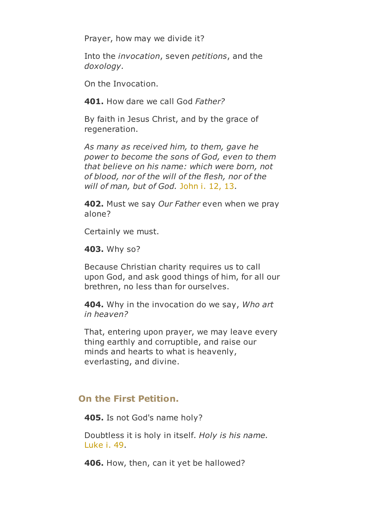Prayer, how may we divide it?

Into the *invocation*, seven *petitions*, and the *doxology.*

On the Invocation.

**401.** How dare we call God *Father?*

By faith in Jesus Christ, and by the grace of regeneration.

*As many as received him, to them, gave he power to become the sons of God, even to them that believe on his name: which were born, not of blood, nor of the will of the flesh, nor of the will of man, but of God.* John i. 12, 13.

**402.** Must we say *Our Father* even when we pray alone?

Certainly we must.

**403.** Why so?

Because Christian charity requires us to call upon God, and ask good things of him, for all our brethren, no less than for ourselves.

**404.** Why in the invocation do we say, *Who art in heaven?*

That, entering upon prayer, we may leave every thing earthly and corruptible, and raise our minds and hearts to what is heavenly, everlasting, and divine.

# **On the First Petition.**

**405.** Is not God's name holy?

Doubtless it is holy in itself. *Holy is his name.* Luke i. 49.

**406.** How, then, can it yet be hallowed?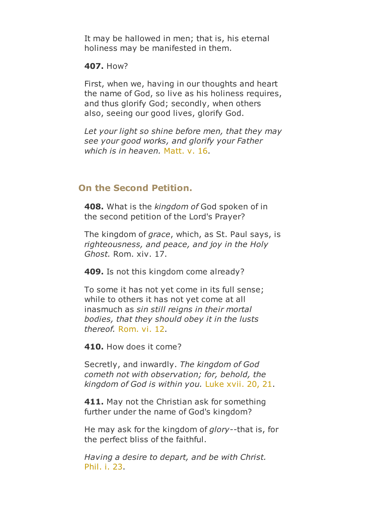It may be hallowed in men; that is, his eternal holiness may be manifested in them.

#### **407.** How?

First, when we, having in our thoughts and heart the name of God, so live as his holiness requires, and thus glorify God; secondly, when others also, seeing our good lives, glorify God.

*Let your light so shine before men, that they may see your good works, and glorify your Father which is in heaven.* Matt. v. 16.

## **On the Second Petition.**

**408.** What is the *kingdom of* God spoken of in the second petition of the Lord's Prayer?

The kingdom of *grace*, which, as St. Paul says, is *righteousness, and peace, and joy in the Holy Ghost.* Rom. xiv. 17.

**409.** Is not this kingdom come already?

To some it has not yet come in its full sense; while to others it has not yet come at all inasmuch as *sin still reigns in their mortal bodies, that they should obey it in the lusts thereof.* Rom. vi. 12.

**410.** How does it come?

Secretly, and inwardly. *The kingdom of God cometh not with observation; for, behold, the kingdom of God is within you.* Luke xvii. 20, 21.

**411.** May not the Christian ask for something further under the name of God's kingdom?

He may ask for the kingdom of *glory--*that is, for the perfect bliss of the faithful.

*Having a desire to depart, and be with Christ.* Phil. i. 23.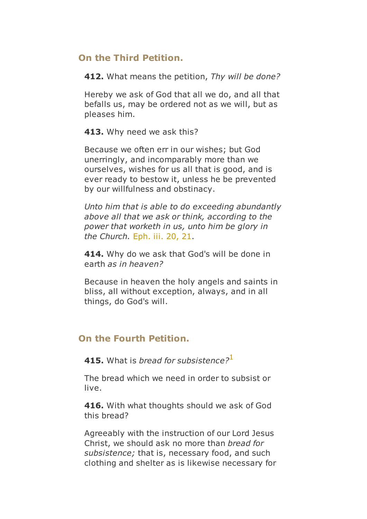# **On the Third Petition.**

**412.** What means the petition, *Thy will be done?*

Hereby we ask of God that all we do, and all that befalls us, may be ordered not as we will, but as pleases him.

**413.** Why need we ask this?

Because we often err in our wishes; but God unerringly, and incomparably more than we ourselves, wishes for us all that is good, and is ever ready to bestow it, unless he be prevented by our willfulness and obstinacy.

*Unto him that is able to do exceeding abundantly above all that we ask or think, according to the power that worketh in us, unto him be glory in the Church.* Eph. iii. 20, 21.

**414.** Why do we ask that God's will be done in earth *as in heaven?*

Because in heaven the holy angels and saints in bliss, all without exception, always, and in all things, do God's will.

# **On the Fourth Petition.**

**415.** What is *bread for subsistence?*<sup>1</sup>

The bread which we need in order to subsist or live.

**416.** With what thoughts should we ask of God this bread?

Agreeably with the instruction of our Lord Jesus Christ, we should ask no more than *bread for subsistence;* that is, necessary food, and such clothing and shelter as is likewise necessary for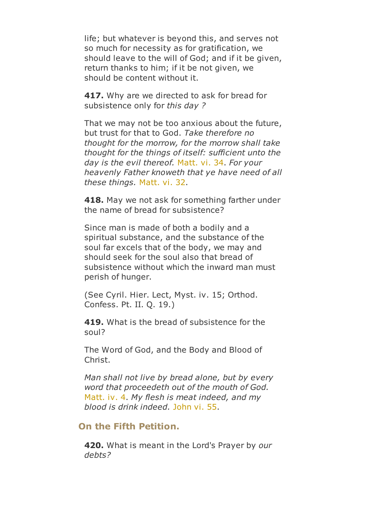life; but whatever is beyond this, and serves not so much for necessity as for gratification, we should leave to the will of God; and if it be given, return thanks to him; if it be not given, we should be content without it.

**417.** Why are we directed to ask for bread for subsistence only for *this day ?*

That we may not be too anxious about the future, but trust for that to God. *Take therefore no thought for the morrow, for the morrow shall take thought for the things of itself: sufficient unto the day is the evil thereof.* Matt. vi. 34. *For your heavenly Father knoweth that ye have need of all these things.* Matt. vi. 32.

**418.** May we not ask for something farther under the name of bread for subsistence?

Since man is made of both a bodily and a spiritual substance, and the substance of the soul far excels that of the body, we may and should seek for the soul also that bread of subsistence without which the inward man must perish of hunger.

(See Cyril. Hier. Lect, Myst. iv. 15; Orthod. Confess. Pt. II. Q. 19.)

**419.** What is the bread of subsistence for the soul?

The Word of God, and the Body and Blood of Christ.

*Man shall not live by bread alone, but by every word that proceedeth out of the mouth of God.* Matt. iv. 4. *My flesh is meat indeed, and my blood is drink indeed.* John vi. 55.

# **On the Fifth Petition.**

**420.** What is meant in the Lord's Prayer by *our debts?*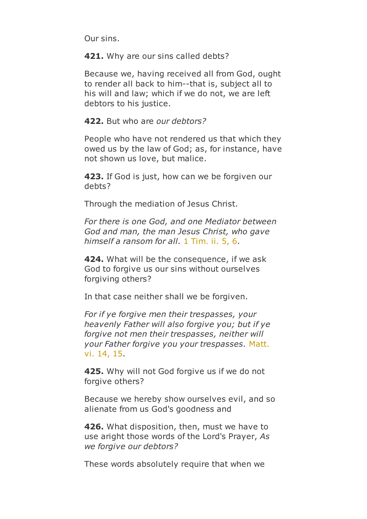Our sins.

**421.** Why are our sins called debts?

Because we, having received all from God, ought to render all back to him--that is, subject all to his will and law; which if we do not, we are left debtors to his justice.

#### **422.** But who are *our debtors?*

People who have not rendered us that which they owed us by the law of God; as, for instance, have not shown us love, but malice.

**423.** If God is just, how can we be forgiven our debts?

Through the mediation of Jesus Christ.

*For there is one God, and one Mediator between God and man, the man Jesus Christ, who gave himself a ransom for all.* 1 Tim. ii. 5, 6.

**424.** What will be the consequence, if we ask God to forgive us our sins without ourselves forgiving others?

In that case neither shall we be forgiven.

*For if ye forgive men their trespasses, your heavenly Father will also forgive you; but if ye forgive not men their trespasses, neither will your Father forgive you your trespasses.* Matt. vi. 14, 15.

**425.** Why will not God forgive us if we do not forgive others?

Because we hereby show ourselves evil, and so alienate from us God's goodness and

**426.** What disposition, then, must we have to use aright those words of the Lord's Prayer, *As we forgive our debtors?*

These words absolutely require that when we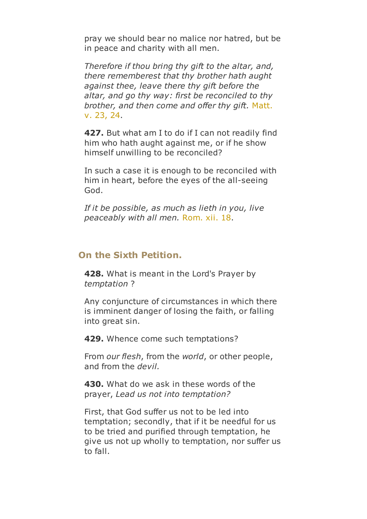pray we should bear no malice nor hatred, but be in peace and charity with all men.

*Therefore if thou bring thy gift to the altar, and, there rememberest that thy brother hath aught against thee, leave there thy gift before the altar, and go thy way: first be reconciled to thy brother, and then come and offer thy gift.* Matt. v. 23, 24.

**427.** But what am I to do if I can not readily find him who hath aught against me, or if he show himself unwilling to be reconciled?

In such a case it is enough to be reconciled with him in heart, before the eyes of the all-seeing God.

*If it be possible, as much as lieth in you, live peaceably with all men.* Rom. xii. 18.

## **On the Sixth Petition.**

**428.** What is meant in the Lord's Prayer by *temptation* ?

Any conjuncture of circumstances in which there is imminent danger of losing the faith, or falling into great sin.

**429.** Whence come such temptations?

From *our flesh*, from the *world*, or other people, and from the *devil.*

**430.** What do we ask in these words of the prayer, *Lead us not into temptation?*

First, that God suffer us not to be led into temptation; secondly, that if it be needful for us to be tried and purified through temptation, he give us not up wholly to temptation, nor suffer us to fall.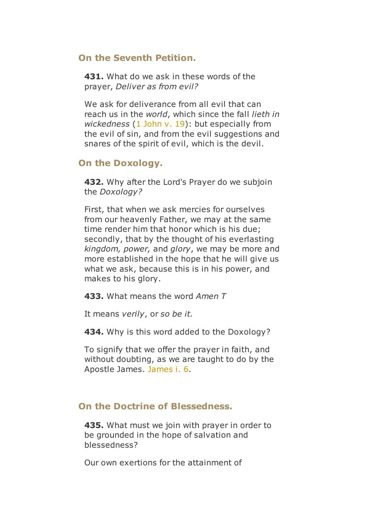## **On the Seventh Petition.**

**431.** What do we ask in these words of the prayer, *Deliver as from evil?*

We ask for deliverance from all evil that can reach us in the *world*, which since the fall *lieth in wickedness* (1 John v. 19): but especially from the evil of sin, and from the evil suggestions and snares of the spirit of evil, which is the devil.

## **On the Doxology.**

**432.** Why after the Lord's Prayer do we subjoin the *Doxology?*

First, that when we ask mercies for ourselves from our heavenly Father, we may at the same time render him that honor which is his due; secondly, that by the thought of his everlasting *kingdom, power,* and *glory*, we may be more and more established in the hope that he will give us what we ask, because this is in his power, and makes to his glory.

**433.** What means the word *Amen T*

It means *verily*, or *so be it.*

**434.** Why is this word added to the Doxology?

To signify that we offer the prayer in faith, and without doubting, as we are taught to do by the Apostle James. James i. 6.

# **On the Doctrine of Blessedness.**

**435.** What must we join with prayer in order to be grounded in the hope of salvation and blessedness?

Our own exertions for the attainment of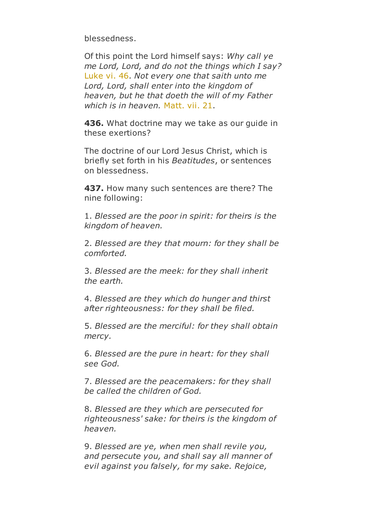blessedness.

Of this point the Lord himself says: *Why call ye me Lord, Lord, and do not the things which I say?* Luke vi. 46. *Not every one that saith unto me Lord, Lord, shall enter into the kingdom of heaven, but he that doeth the will of my Father which is in heaven.* Matt. vii. 21.

**436.** What doctrine may we take as our guide in these exertions?

The doctrine of our Lord Jesus Christ, which is briefly set forth in his *Beatitudes*, or sentences on blessedness.

**437.** How many such sentences are there? The nine following:

1. *Blessed are the poor in spirit: for theirs is the kingdom of heaven.*

2. *Blessed are they that mourn: for they shall be comforted.*

3. *Blessed are the meek: for they shall inherit the earth.*

4. *Blessed are they which do hunger and thirst after righteousness: for they shall be filed.*

5. *Blessed are the merciful: for they shall obtain mercy.*

6. *Blessed are the pure in heart: for they shall see God.*

7. *Blessed are the peacemakers: for they shall be called the children of God.*

8. *Blessed are they which are persecuted for righteousness' sake: for theirs is the kingdom of heaven.*

9. *Blessed are ye, when men shall revile you, and persecute you, and shall say all manner of evil against you falsely, for my sake. Rejoice,*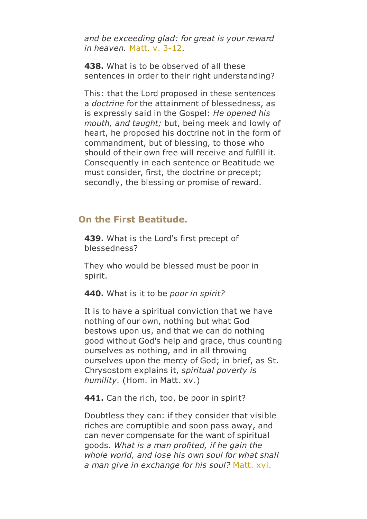*and be exceeding glad: for great is your reward in heaven.* Matt. v. 3-12.

**438.** What is to be observed of all these sentences in order to their right understanding?

This: that the Lord proposed in these sentences a *doctrine* for the attainment of blessedness, as is expressly said in the Gospel: *He opened his mouth, and taught;* but, being meek and lowly of heart, he proposed his doctrine not in the form of commandment, but of blessing, to those who should of their own free will receive and fulfill it. Consequently in each sentence or Beatitude we must consider, first, the doctrine or precept; secondly, the blessing or promise of reward.

## **On the First Beatitude.**

**439.** What is the Lord's first precept of blessedness?

They who would be blessed must be poor in spirit.

**440.** What is it to be *poor in spirit?*

It is to have a spiritual conviction that we have nothing of our own, nothing but what God bestows upon us, and that we can do nothing good without God's help and grace, thus counting ourselves as nothing, and in all throwing ourselves upon the mercy of God; in brief, as St. Chrysostom explains it, *spiritual poverty is humility.* (Hom. in Matt. xv.)

**441.** Can the rich, too, be poor in spirit?

Doubtless they can: if they consider that visible riches are corruptible and soon pass away, and can never compensate for the want of spiritual goods. *What is a man profited, if he gain the whole world, and lose his own soul for what shall a man give in exchange for his soul?* Matt. xvi.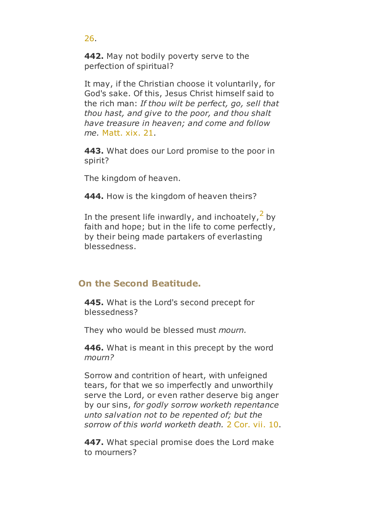26.

**442.** May not bodily poverty serve to the perfection of spiritual?

It may, if the Christian choose it voluntarily, for God's sake. Of this, Jesus Christ himself said to the rich man: *If thou wilt be perfect, go, sell that thou hast, and give to the poor, and thou shalt have treasure in heaven; and come and follow me.* Matt. xix. 21.

**443.** What does our Lord promise to the poor in spirit?

The kingdom of heaven.

**444.** How is the kingdom of heaven theirs?

In the present life inwardly, and inchoately,  $2$  by faith and hope; but in the life to come perfectly, by their being made partakers of everlasting blessedness.

# **On the Second Beatitude.**

**445.** What is the Lord's second precept for blessedness?

They who would be blessed must *mourn.*

**446.** What is meant in this precept by the word *mourn?*

Sorrow and contrition of heart, with unfeigned tears, for that we so imperfectly and unworthily serve the Lord, or even rather deserve big anger by our sins, *for godly sorrow worketh repentance unto salvation not to be repented of; but the sorrow of this world worketh death.* 2 Cor. vii. 10.

**447.** What special promise does the Lord make to mourners?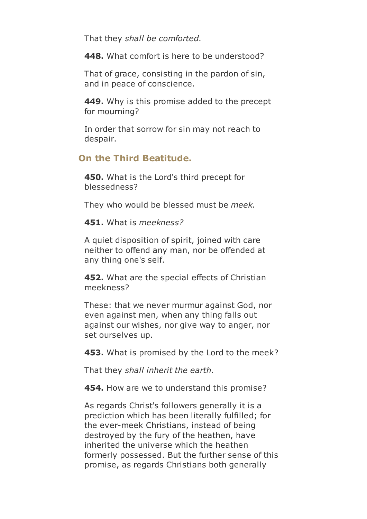That they *shall be comforted.*

**448.** What comfort is here to be understood?

That of grace, consisting in the pardon of sin, and in peace of conscience.

**449.** Why is this promise added to the precept for mourning?

In order that sorrow for sin may not reach to despair.

#### **On the Third Beatitude.**

**450.** What is the Lord's third precept for blessedness?

They who would be blessed must be *meek.*

**451.** What is *meekness?*

A quiet disposition of spirit, joined with care neither to offend any man, nor be offended at any thing one's self.

**452.** What are the special effects of Christian meekness?

These: that we never murmur against God, nor even against men, when any thing falls out against our wishes, nor give way to anger, nor set ourselves up.

**453.** What is promised by the Lord to the meek?

That they *shall inherit the earth.*

**454.** How are we to understand this promise?

As regards Christ's followers generally it is a prediction which has been literally fulfilled; for the ever-meek Christians, instead of being destroyed by the fury of the heathen, have inherited the universe which the heathen formerly possessed. But the further sense of this promise, as regards Christians both generally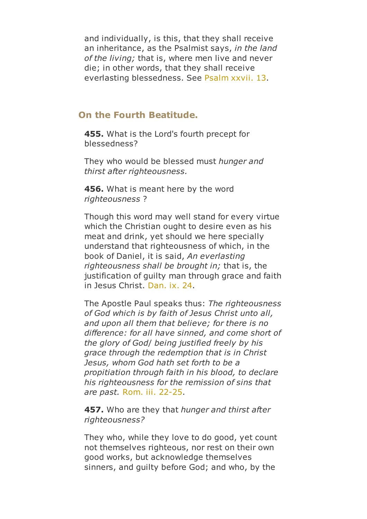and individually, is this, that they shall receive an inheritance, as the Psalmist says, *in the land of the living;* that is, where men live and never die; in other words, that they shall receive everlasting blessedness. See Psalm xxvii. 13.

#### **On the Fourth Beatitude.**

**455.** What is the Lord's fourth precept for blessedness?

They who would be blessed must *hunger and thirst after righteousness.*

**456.** What is meant here by the word *righteousness* ?

Though this word may well stand for every virtue which the Christian ought to desire even as his meat and drink, yet should we here specially understand that righteousness of which, in the book of Daniel, it is said, *An everlasting righteousness shall be brought in;* that is, the justification of guilty man through grace and faith in Jesus Christ. Dan. ix. 24.

The Apostle Paul speaks thus: *The righteousness of God which is by faith of Jesus Christ unto all, and upon all them that believe; for there is no difference: for all have sinned, and come short of the glory of God*/ *being justified freely by his grace through the redemption that is in Christ Jesus, whom God hath set forth to be a propitiation through faith in his blood, to declare his righteousness for the remission of sins that are past.* Rom. iii. 22-25.

**457.** Who are they that *hunger and thirst after righteousness?*

They who, while they love to do good, yet count not themselves righteous, nor rest on their own good works, but acknowledge themselves sinners, and guilty before God; and who, by the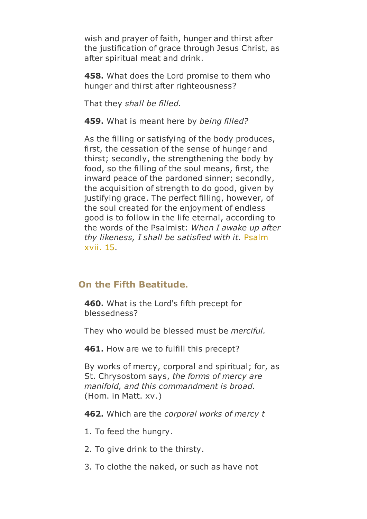wish and prayer of faith, hunger and thirst after the justification of grace through Jesus Christ, as after spiritual meat and drink.

**458.** What does the Lord promise to them who hunger and thirst after righteousness?

That they *shall be filled.*

**459.** What is meant here by *being filled?*

As the filling or satisfying of the body produces, first, the cessation of the sense of hunger and thirst; secondly, the strengthening the body by food, so the filling of the soul means, first, the inward peace of the pardoned sinner; secondly, the acquisition of strength to do good, given by justifying grace. The perfect filling, however, of the soul created for the enjoyment of endless good is to follow in the life eternal, according to the words of the Psalmist: *When I awake up after thy likeness, I shall be satisfied with it.* Psalm xvii. 15.

# **On the Fifth Beatitude.**

**460.** What is the Lord's fifth precept for blessedness?

They who would be blessed must be *merciful.*

**461.** How are we to fulfill this precept?

By works of mercy, corporal and spiritual; for, as St. Chrysostom says, *the forms of mercy are manifold, and this commandment is broad.* (Hom. in Matt. xv.)

**462.** Which are the *corporal works of mercy t*

1. To feed the hungry.

2. To give drink to the thirsty.

3. To clothe the naked, or such as have not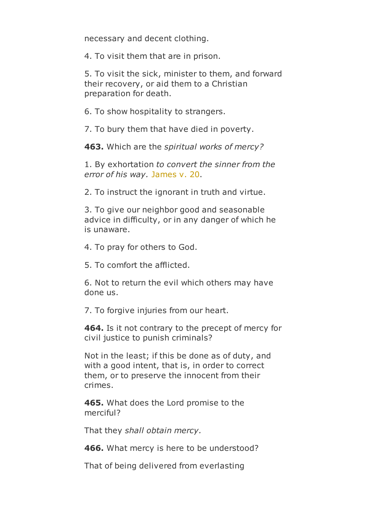necessary and decent clothing.

4. To visit them that are in prison.

5. To visit the sick, minister to them, and forward their recovery, or aid them to a Christian preparation for death.

6. To show hospitality to strangers.

7. To bury them that have died in poverty.

**463.** Which are the *spiritual works of mercy?*

1. By exhortation *to convert the sinner from the error of his way.* James v. 20.

2. To instruct the ignorant in truth and virtue.

3. To give our neighbor good and seasonable advice in difficulty, or in any danger of which he is unaware.

4. To pray for others to God.

5. To comfort the afflicted.

6. Not to return the evil which others may have done us.

7. To forgive injuries from our heart.

**464.** Is it not contrary to the precept of mercy for civil justice to punish criminals?

Not in the least; if this be done as of duty, and with a good intent, that is, in order to correct them, or to preserve the innocent from their crimes.

**465.** What does the Lord promise to the merciful?

That they *shall obtain mercy.*

**466.** What mercy is here to be understood?

That of being delivered from everlasting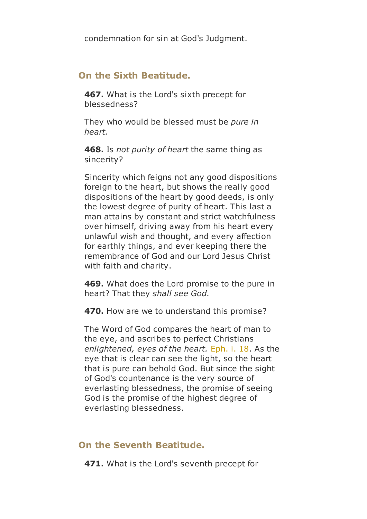condemnation for sin at God's Judgment.

#### **On the Sixth Beatitude.**

**467.** What is the Lord's sixth precept for blessedness?

They who would be blessed must be *pure in heart.*

**468.** Is *not purity of heart* the same thing as sincerity?

Sincerity which feigns not any good dispositions foreign to the heart, but shows the really good dispositions of the heart by good deeds, is only the lowest degree of purity of heart. This last a man attains by constant and strict watchfulness over himself, driving away from his heart every unlawful wish and thought, and every affection for earthly things, and ever keeping there the remembrance of God and our Lord Jesus Christ with faith and charity.

**469.** What does the Lord promise to the pure in heart? That they *shall see God.*

**470.** How are we to understand this promise?

The Word of God compares the heart of man to the eye, and ascribes to perfect Christians *enlightened, eyes of the heart.* Eph. i. 18. As the eye that is clear can see the light, so the heart that is pure can behold God. But since the sight of God's countenance is the very source of everlasting blessedness, the promise of seeing God is the promise of the highest degree of everlasting blessedness.

#### **On the Seventh Beatitude.**

**471.** What is the Lord's seventh precept for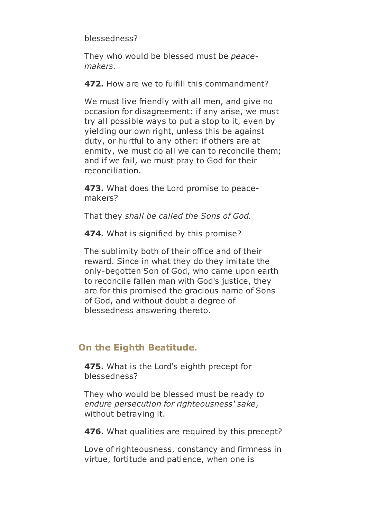blessedness?

They who would be blessed must be *peacemakers.*

**472.** How are we to fulfill this commandment?

We must live friendly with all men, and give no occasion for disagreement: if any arise, we must try all possible ways to put a stop to it, even by yielding our own right, unless this be against duty, or hurtful to any other: if others are at enmity, we must do all we can to reconcile them; and if we fail, we must pray to God for their reconciliation.

**473.** What does the Lord promise to peacemakers?

That they *shall be called the Sons of God.*

**474.** What is signified by this promise?

The sublimity both of their office and of their reward. Since in what they do they imitate the only-begotten Son of God, who came upon earth to reconcile fallen man with God's justice, they are for this promised the gracious name of Sons of God, and without doubt a degree of blessedness answering thereto.

# **On the Eighth Beatitude.**

**475.** What is the Lord's eighth precept for blessedness?

They who would be blessed must be ready *to endure persecution for righteousness' sake*, without betraying it.

**476.** What qualities are required by this precept?

Love of righteousness, constancy and firmness in virtue, fortitude and patience, when one is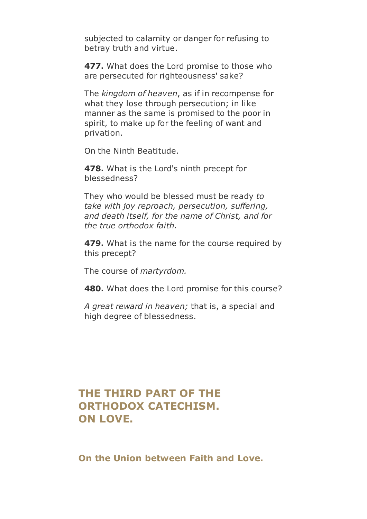subjected to calamity or danger for refusing to betray truth and virtue.

**477.** What does the Lord promise to those who are persecuted for righteousness' sake?

The *kingdom of heaven*, as if in recompense for what they lose through persecution; in like manner as the same is promised to the poor in spirit, to make up for the feeling of want and privation.

On the Ninth Beatitude.

**478.** What is the Lord's ninth precept for blessedness?

They who would be blessed must be ready *to take with joy reproach, persecution, suffering, and death itself, for the name of Christ, and for the true orthodox faith.*

**479.** What is the name for the course required by this precept?

The course of *martyrdom.*

**480.** What does the Lord promise for this course?

*A great reward in heaven;* that is, a special and high degree of blessedness.

# **THE THIRD PART OF THE ORTHODOX CATECHISM. ON LOVE.**

**On the Union between Faith and Love.**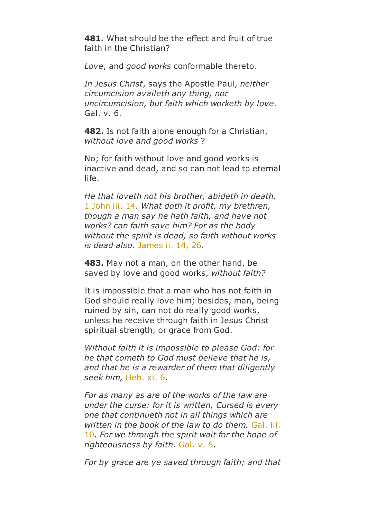**481.** What should be the effect and fruit of true faith in the Christian?

*Love*, and *good works* conformable thereto.

*In Jesus Christ*, says the Apostle Paul, *neither circumcision availeth any thing, nor uncircumcision, but faith which worketh by love.* Gal. v. 6.

**482.** Is not faith alone enough for a Christian, *without love and good works* ?

No; for faith without love and good works is inactive and dead, and so can not lead to eternal life.

*He that loveth not his brother, abideth in death.* 1 John iii. 14. *What doth it profit, my brethren, though a man say he hath faith, and have not works? can faith save him? For as the body without the spirit is dead, so faith without works is dead also.* James ii. 14, 26.

**483.** May not a man, on the other hand, be saved by love and good works, *without faith?*

It is impossible that a man who has not faith in God should really love him; besides, man, being ruined by sin, can not do really good works, unless he receive through faith in Jesus Christ spiritual strength, or grace from God.

*Without faith it is impossible to please God: for he that cometh to God must believe that he is, and that he is a rewarder of them that diligently seek him,* Heb. xi. 6.

*For as many as are of the works of the law are under the curse: for it is written, Cursed is every one that continueth not in all things which are written in the book of the law to do them.* Gal. iii. 10. *For we through the spirit wait for the hope of righteousness by faith.* Gal. v. 5.

*For by grace are ye saved through faith; and that*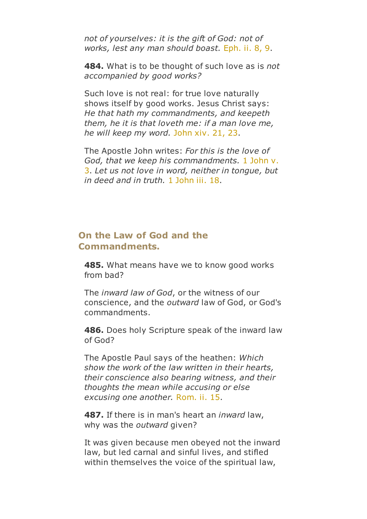*not of yourselves: it is the gift of God: not of works, lest any man should boast.* Eph. ii. 8, 9.

**484.** What is to be thought of such love as is *not accompanied by good works?*

Such love is not real: for true love naturally shows itself by good works. Jesus Christ says: *He that hath my commandments, and keepeth them, he it is that loveth me: if a man love me, he will keep my word.* John xiv. 21, 23.

The Apostle John writes: *For this is the love of God, that we keep his commandments.* 1 John v. 3. *Let us not love in word, neither in tongue, but in deed and in truth.* 1 John iii. 18.

# **On the Law of God and the Commandments.**

**485.** What means have we to know good works from bad?

The *inward law of God*, or the witness of our conscience, and the *outward* law of God, or God's commandments.

**486.** Does holy Scripture speak of the inward law of God?

The Apostle Paul says of the heathen: *Which show the work of the law written in their hearts, their conscience also bearing witness, and their thoughts the mean while accusing or else excusing one another.* Rom. ii. 15.

**487.** If there is in man's heart an *inward* law, why was the *outward* given?

It was given because men obeyed not the inward law, but led carnal and sinful lives, and stifled within themselves the voice of the spiritual law,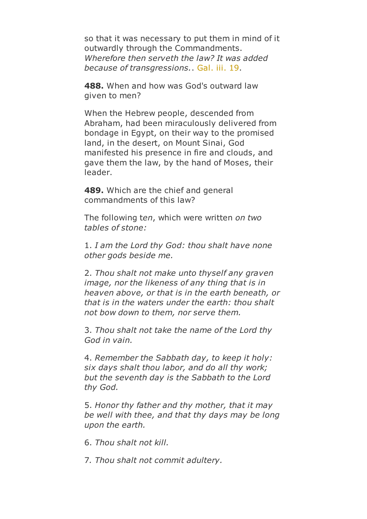so that it was necessary to put them in mind of it outwardly through the Commandments. *Wherefore then serveth the law? It was added because of transgressions.*. Gal. iii. 19.

**488.** When and how was God's outward law given to men?

When the Hebrew people, descended from Abraham, had been miraculously delivered from bondage in Egypt, on their way to the promised land, in the desert, on Mount Sinai, God manifested his presence in fire and clouds, and gave them the law, by the hand of Moses, their leader.

**489.** Which are the chief and general commandments of this law?

The following t*en*, which were written *on two tables of stone:*

1. *I am the Lord thy God: thou shalt have none other gods beside me.*

2. *Thou shalt not make unto thyself any graven image, nor the likeness of any thing that is in heaven above, or that is in the earth beneath, or that is in the waters under the earth: thou shalt not bow down to them, nor serve them.*

3. *Thou shalt not take the name of the Lord thy God in vain.*

4. *Remember the Sabbath day, to keep it holy: six days shalt thou labor, and do all thy work; but the seventh day is the Sabbath to the Lord thy God.*

5. *Honor thy father and thy mother, that it may be well with thee, and that thy days may be long upon the earth.*

6. *Thou shalt not kill.*

7*. Thou shalt not commit adultery.*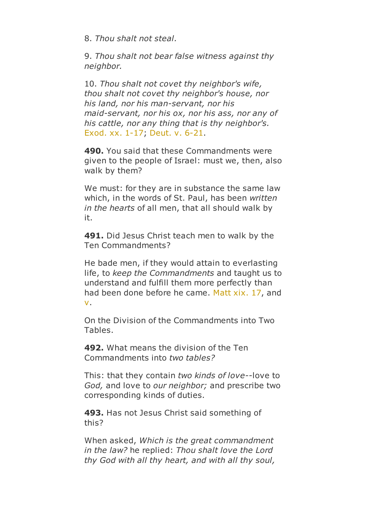8. *Thou shalt not steal.*

9. *Thou shalt not bear false witness against thy neighbor.*

10. *Thou shalt not covet thy neighbor's wife, thou shalt not covet thy neighbor's house, nor his land, nor his man-servant, nor his maid-servant, nor his ox, nor his ass, nor any of his cattle, nor any thing that is thy neighbor's.* Exod. xx. 1-17; Deut. v. 6-21.

**490.** You said that these Commandments were given to the people of Israel: must we, then, also walk by them?

We must: for they are in substance the same law which, in the words of St. Paul, has been *written in the hearts* of all men, that all should walk by it.

**491.** Did Jesus Christ teach men to walk by the Ten Commandments?

He bade men, if they would attain to everlasting life, to *keep the Commandments* and taught us to understand and fulfill them more perfectly than had been done before he came. Matt xix. 17, and v.

On the Division of the Commandments into Two Tables.

**492.** What means the division of the Ten Commandments into *two tables?*

This: that they contain *two kinds of love--*love to *God,* and love to *our neighbor;* and prescribe two corresponding kinds of duties.

**493.** Has not Jesus Christ said something of this?

When asked, *Which is the great commandment in the law?* he replied: *Thou shalt love the Lord thy God with all thy heart, and with all thy soul,*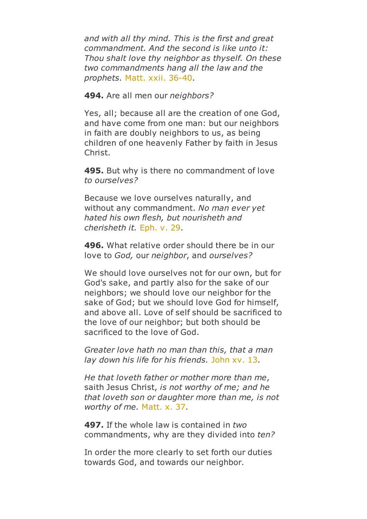*and with all thy mind. This is the first and great commandment. And the second is like unto it: Thou shalt love thy neighbor as thyself. On these two commandments hang all the law and the prophets.* Matt. xxii. 36-40.

**494.** Are all men our *neighbors?*

Yes, all; because all are the creation of one God, and have come from one man: but our neighbors in faith are doubly neighbors to us, as being children of one heavenly Father by faith in Jesus Christ.

**495.** But why is there no commandment of love *to ourselves?*

Because we love ourselves naturally, and without any commandment. *No man ever yet hated his own flesh, but nourisheth and cherisheth it.* Eph. v. 29.

**496.** What relative order should there be in our love to *God,* our *neighbor*, and *ourselves?*

We should love ourselves not for our own, but for God's sake, and partly also for the sake of our neighbors; we should love our neighbor for the sake of God; but we should love God for himself, and above all. Love of self should be sacrificed to the love of our neighbor; but both should be sacrificed to the love of God.

*Greater love hath no man than this, that a man lay down his life for his friends.* John xv. 13.

*He that loveth father or mother more than me*, saith Jesus Christ, *is not worthy of me; and he that loveth son or daughter more than me, is not worthy of me.* Matt. x. 37.

**497.** If the whole law is contained in *two* commandments, why are they divided into *ten?*

In order the more clearly to set forth our duties towards God, and towards our neighbor.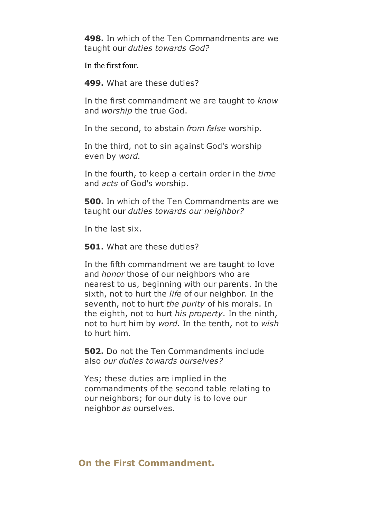**498.** In which of the Ten Commandments are we taught our *duties towards God?*

In the first four.

**499.** What are these duties?

In the first commandment we are taught to *know* and *worship* the true God.

In the second, to abstain *from false* worship.

In the third, not to sin against God's worship even by *word.*

In the fourth, to keep a certain order in the *time* and *acts* of God's worship.

**500.** In which of the Ten Commandments are we taught our *duties towards our neighbor?*

In the last six.

**501.** What are these duties?

In the fifth commandment we are taught to love and *honor* those of our neighbors who are nearest to us, beginning with our parents. In the sixth, not to hurt the *life* of our neighbor. In the seventh, not to hurt *the purity* of his morals. In the eighth, not to hurt *his property.* In the ninth, not to hurt him by *word.* In the tenth, not to *wish* to hurt him.

**502.** Do not the Ten Commandments include also *our duties towards ourselves?*

Yes; these duties are implied in the commandments of the second table relating to our neighbors; for our duty is to love our neighbor *as* ourselves.

#### **On the First Commandment.**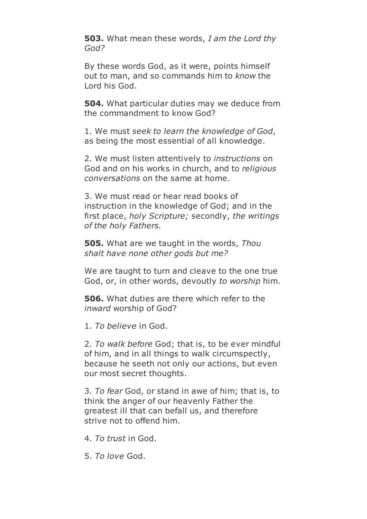**503.** What mean these words, *I am the Lord thy God?*

By these words God, as it were, points himself out to man, and so commands him to *know* the Lord his God.

**504.** What particular duties may we deduce from the commandment to know God?

1. We must *seek to learn the knowledge of God*, as being the most essential of all knowledge.

2. We must listen attentively to *instructions* on God and on his works in church, and to *religious conversations* on the same at home.

3. We must read or hear read books of instruction in the knowledge of God; and in the first place, *holy Scripture;* secondly, *the writings of the holy Fathers.*

**505.** What are we taught in the words, *Thou shalt have none other gods but me?*

We are taught to turn and cleave to the one true God, or, in other words, devoutly *to worship* him.

**506.** What duties are there which refer to the *inward* worship of God?

1. *To believe* in God.

2. *To walk before* God; that is, to be ever mindful of him, and in all things to walk circumspectly, because he seeth not only our actions, but even our most secret thoughts.

3. *To fear* God, or stand in awe of him; that is, to think the anger of our heavenly Father the greatest ill that can befall us, and therefore strive not to offend him.

4. *To trust* in God.

5. *To love* God.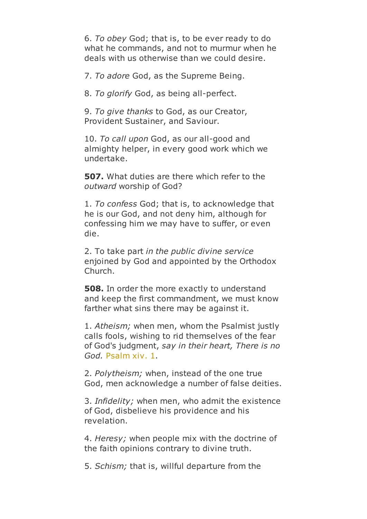6. *To obey* God; that is, to be ever ready to do what he commands, and not to murmur when he deals with us otherwise than we could desire.

7. *To adore* God, as the Supreme Being.

8. *To glorify* God, as being all-perfect.

9. *To give thanks* to God, as our Creator, Provident Sustainer, and Saviour.

10. *To call upon* God, as our all-good and almighty helper, in every good work which we undertake.

**507.** What duties are there which refer to the *outward* worship of God?

1. *To confess* God; that is, to acknowledge that he is our God, and not deny him, although for confessing him we may have to suffer, or even die.

2. To take part *in the public divine service* enjoined by God and appointed by the Orthodox Church.

**508.** In order the more exactly to understand and keep the first commandment, we must know farther what sins there may be against it.

1. *Atheism;* when men, whom the Psalmist justly calls fools, wishing to rid themselves of the fear of God's judgment, *say in their heart, There is no God.* Psalm xiv. 1.

2. *Polytheism;* when, instead of the one true God, men acknowledge a number of false deities.

3. *Infidelity;* when men, who admit the existence of God, disbelieve his providence and his revelation.

4. *Heresy;* when people mix with the doctrine of the faith opinions contrary to divine truth.

5. *Schism;* that is, willful departure from the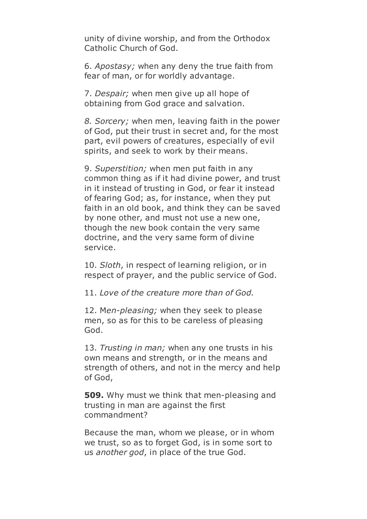unity of divine worship, and from the Orthodox Catholic Church of God.

6. *Apostasy;* when any deny the true faith from fear of man, or for worldly advantage.

7. *Despair;* when men give up all hope of obtaining from God grace and salvation.

*8. Sorcery;* when men, leaving faith in the power of God, put their trust in secret and, for the most part, evil powers of creatures, especially of evil spirits, and seek to work by their means.

9. *Superstition;* when men put faith in any common thing as if it had divine power, and trust in it instead of trusting in God, or fear it instead of fearing God; as, for instance, when they put faith in an old book, and think they can be saved by none other, and must not use a new one, though the new book contain the very same doctrine, and the very same form of divine service.

10. *Sloth*, in respect of learning religion, or in respect of prayer, and the public service of God.

11. *Love of the creature more than of God.*

12. M*en-pleasing;* when they seek to please men, so as for this to be careless of pleasing God.

13. *Trusting in man;* when any one trusts in his own means and strength, or in the means and strength of others, and not in the mercy and help of God,

**509.** Why must we think that men-pleasing and trusting in man are against the first commandment?

Because the man, whom we please, or in whom we trust, so as to forget God, is in some sort to us *another god*, in place of the true God.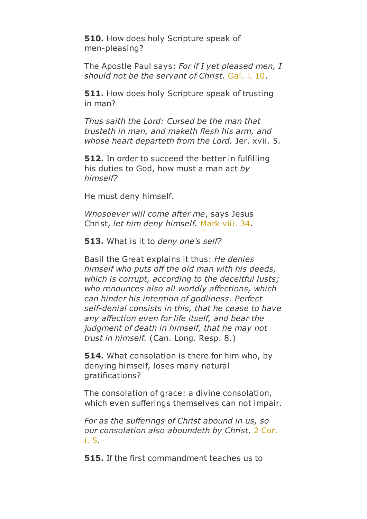**510.** How does holy Scripture speak of men-pleasing?

The Apostle Paul says: *For if I yet pleased men, I should not be the servant of Christ.* Gal. i. 10.

**511.** How does holy Scripture speak of trusting in man?

*Thus saith the Lord: Cursed be the man that trusteth in man, and maketh flesh his arm, and whose heart departeth from the Lord.* Jer. xvii. 5.

**512.** In order to succeed the better in fulfilling his duties to God, how must a man act *by himself?*

He must deny himself.

*Whosoever will come after me*, says Jesus Christ, *let him deny himself.* Mark viii. 34.

**513.** What is it to *deny one's self?*

Basil the Great explains it thus: *He denies himself who puts off the old man with his deeds, which is corrupt, according to the deceitful lusts; who renounces also all worldly affections, which can hinder his intention of godliness. Perfect self-denial consists in this, that he cease to have any affection even for life itself, and bear the judgment of death in himself, that he may not trust in himself.* (Can. Long. Resp. 8.)

**514.** What consolation is there for him who, by denying himself, loses many natural gratifications?

The consolation of grace: a divine consolation, which even sufferings themselves can not impair.

*For as the sufferings of Christ abound in us, so our consolation also aboundeth by Christ.* 2 Cor. i. 5.

**515.** If the first commandment teaches us to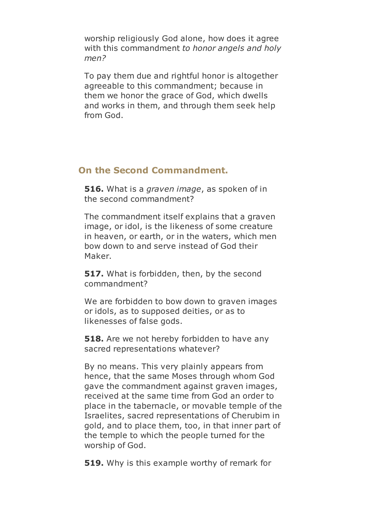worship religiously God alone, how does it agree with this commandment *to honor angels and holy men?*

To pay them due and rightful honor is altogether agreeable to this commandment; because in them we honor the grace of God, which dwells and works in them, and through them seek help from God.

# **On the Second Commandment.**

**516.** What is a *graven image*, as spoken of in the second commandment?

The commandment itself explains that a graven image, or idol, is the likeness of some creature in heaven, or earth, or in the waters, which men bow down to and serve instead of God their Maker.

**517.** What is forbidden, then, by the second commandment?

We are forbidden to bow down to graven images or idols, as to supposed deities, or as to likenesses of false gods.

**518.** Are we not hereby forbidden to have any sacred representations whatever?

By no means. This very plainly appears from hence, that the same Moses through whom God gave the commandment against graven images, received at the same time from God an order to place in the tabernacle, or movable temple of the Israelites, sacred representations of Cherubim in gold, and to place them, too, in that inner part of the temple to which the people turned for the worship of God.

**519.** Why is this example worthy of remark for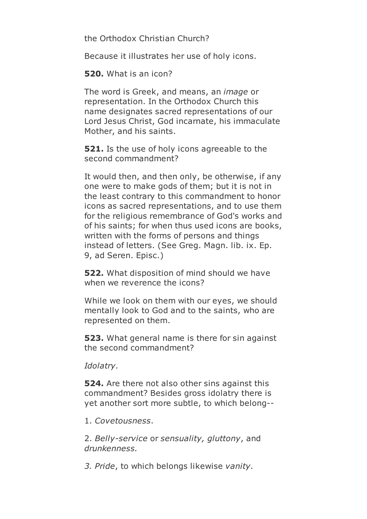the Orthodox Christian Church?

Because it illustrates her use of holy icons.

**520.** What is an icon?

The word is Greek, and means, an *image* or representation. In the Orthodox Church this name designates sacred representations of our Lord Jesus Christ, God incarnate, his immaculate Mother, and his saints.

**521.** Is the use of holy icons agreeable to the second commandment?

It would then, and then only, be otherwise, if any one were to make gods of them; but it is not in the least contrary to this commandment to honor icons as sacred representations, and to use them for the religious remembrance of God's works and of his saints; for when thus used icons are books, written with the forms of persons and things instead of letters. (See Greg. Magn. lib. ix. Ep. 9, ad Seren. Episc.)

**522.** What disposition of mind should we have when we reverence the icons?

While we look on them with our eyes, we should mentally look to God and to the saints, who are represented on them.

**523.** What general name is there for sin against the second commandment?

*Idolatry.*

**524.** Are there not also other sins against this commandment? Besides gross idolatry there is yet another sort more subtle, to which belong--

1. *Covetousness*.

2. *Belly-service* or *sensuality, gluttony*, and *drunkenness.*

*3. Pride*, to which belongs likewise *vanity.*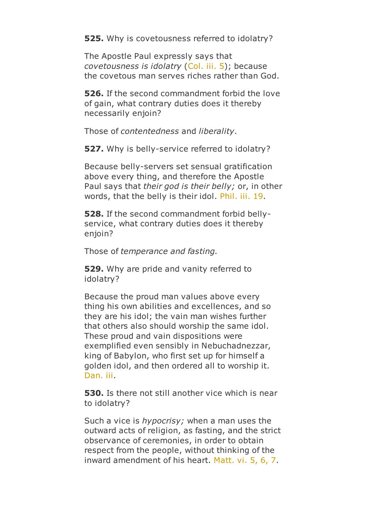**525.** Why is covetousness referred to idolatry?

The Apostle Paul expressly says that *covetousness is idolatry* (Col. iii. 5); because the covetous man serves riches rather than God.

**526.** If the second commandment forbid the love of gain, what contrary duties does it thereby necessarily enjoin?

Those of *contentedness* and *liberality.*

**527.** Why is belly-service referred to idolatry?

Because belly-servers set sensual gratification above every thing, and therefore the Apostle Paul says that *their god is their belly;* or, in other words, that the belly is their idol. Phil. iii. 19.

**528.** If the second commandment forbid bellyservice, what contrary duties does it thereby enjoin?

Those of *temperance and fasting.*

**529.** Why are pride and vanity referred to idolatry?

Because the proud man values above every thing his own abilities and excellences, and so they are his idol; the vain man wishes further that others also should worship the same idol. These proud and vain dispositions were exemplified even sensibly in Nebuchadnezzar, king of Babylon, who first set up for himself a golden idol, and then ordered all to worship it. Dan. iii.

**530.** Is there not still another vice which is near to idolatry?

Such a vice is *hypocrisy;* when a man uses the outward acts of religion, as fasting, and the strict observance of ceremonies, in order to obtain respect from the people, without thinking of the inward amendment of his heart. Matt. vi. 5, 6, 7.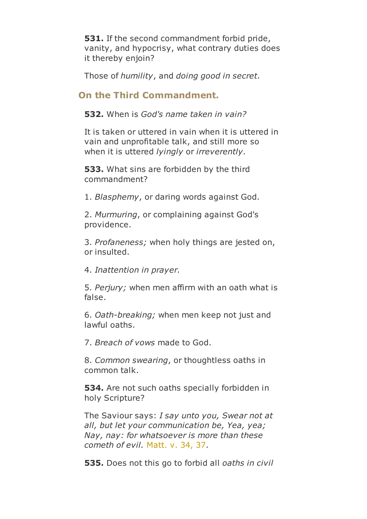**531.** If the second commandment forbid pride, vanity, and hypocrisy, what contrary duties does it thereby enjoin?

Those of *humility*, and *doing good in secret.*

# **On the Third Commandment.**

#### **532.** When is *God's name taken in vain?*

It is taken or uttered in vain when it is uttered in vain and unprofitable talk, and still more so when it is uttered *lyingly* or *irreverently.*

**533.** What sins are forbidden by the third commandment?

1. *Blasphemy*, or daring words against God.

2. *Murmuring*, or complaining against God's providence.

3. *Profaneness;* when holy things are jested on, or insulted.

4. *Inattention in prayer.*

5. *Perjury;* when men affirm with an oath what is false.

6. *Oath-breaking;* when men keep not just and lawful oaths.

7. *Breach of vows* made to God.

8. *Common swearing*, or thoughtless oaths in common talk.

**534.** Are not such oaths specially forbidden in holy Scripture?

The Saviour says: *I say unto you, Swear not at all, but let your communication be, Yea, yea; Nay, nay: for whatsoever is more than these cometh of evil.* Matt. v. 34, 37.

**535.** Does not this go to forbid all *oaths in civil*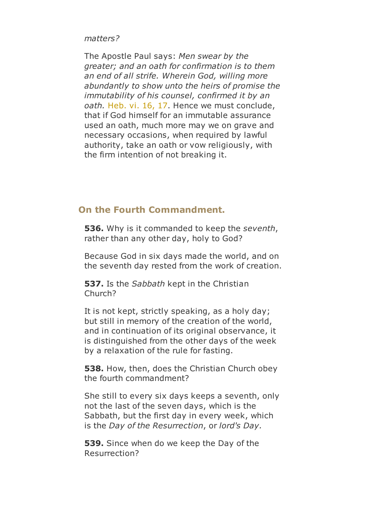*matters?*

The Apostle Paul says: *Men swear by the greater; and an oath for confirmation is to them an end of all strife. Wherein God, willing more abundantly to show unto the heirs of promise the immutability of his counsel, confirmed it by an oath.* Heb. vi. 16, 17. Hence we must conclude, that if God himself for an immutable assurance used an oath, much more may we on grave and necessary occasions, when required by lawful authority, take an oath or vow religiously, with the firm intention of not breaking it.

#### **On the Fourth Commandment.**

**536.** Why is it commanded to keep the *seventh*, rather than any other day, holy to God?

Because God in six days made the world, and on the seventh day rested from the work of creation.

**537.** Is the *Sabbath* kept in the Christian Church?

It is not kept, strictly speaking, as a holy day; but still in memory of the creation of the world, and in continuation of its original observance, it is distinguished from the other days of the week by a relaxation of the rule for fasting.

**538.** How, then, does the Christian Church obey the fourth commandment?

She still to every six days keeps a seventh, only not the last of the seven days, which is the Sabbath, but the first day in every week, which is the *Day of the Resurrection*, or *lord's Day.*

**539.** Since when do we keep the Day of the Resurrection?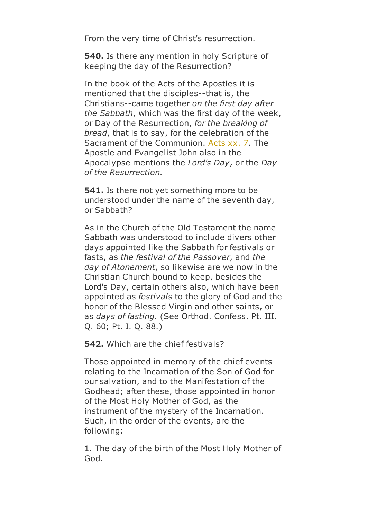From the very time of Christ's resurrection.

**540.** Is there any mention in holy Scripture of keeping the day of the Resurrection?

In the book of the Acts of the Apostles it is mentioned that the disciples--that is, the Christians--came together *on the first day after the Sabbath*, which was the first day of the week, or Day of the Resurrection, *for the breaking of bread*, that is to say, for the celebration of the Sacrament of the Communion. Acts xx. 7. The Apostle and Evangelist John also in the Apocalypse mentions the *Lord's Day*, or the *Day of the Resurrection.*

**541.** Is there not yet something more to be understood under the name of the seventh day, or Sabbath?

As in the Church of the Old Testament the name Sabbath was understood to include divers other days appointed like the Sabbath for festivals or fasts, as *the festival of the Passover*, and *the day of Atonement*, so likewise are we now in the Christian Church bound to keep, besides the Lord's Day, certain others also, which have been appointed as *festivals* to the glory of God and the honor of the Blessed Virgin and other saints, or as *days of fasting.* (See Orthod. Confess. Pt. III. Q. 60; Pt. I. Q. 88.)

**542.** Which are the chief festivals?

Those appointed in memory of the chief events relating to the Incarnation of the Son of God for our salvation, and to the Manifestation of the Godhead; after these, those appointed in honor of the Most Holy Mother of God, as the instrument of the mystery of the Incarnation. Such, in the order of the events, are the following:

1. The day of the birth of the Most Holy Mother of God.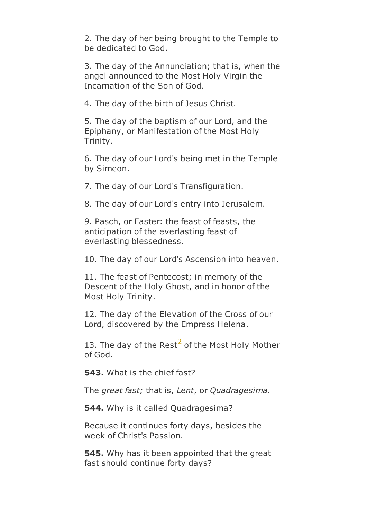2. The day of her being brought to the Temple to be dedicated to God.

3. The day of the Annunciation; that is, when the angel announced to the Most Holy Virgin the Incarnation of the Son of God.

4. The day of the birth of Jesus Christ.

5. The day of the baptism of our Lord, and the Epiphany, or Manifestation of the Most Holy Trinity.

6. The day of our Lord's being met in the Temple by Simeon.

7. The day of our Lord's Transfiguration.

8. The day of our Lord's entry into Jerusalem.

9. Pasch, or Easter: the feast of feasts, the anticipation of the everlasting feast of everlasting blessedness.

10. The day of our Lord's Ascension into heaven.

11. The feast of Pentecost; in memory of the Descent of the Holy Ghost, and in honor of the Most Holy Trinity.

12. The day of the Elevation of the Cross of our Lord, discovered by the Empress Helena.

13. The day of the Rest $^2$  of the Most Holy Mother of God.

**543.** What is the chief fast?

The *great fast;* that is, *Lent*, or *Quadragesima.*

**544.** Why is it called Quadragesima?

Because it continues forty days, besides the week of Christ's Passion.

**545.** Why has it been appointed that the great fast should continue forty days?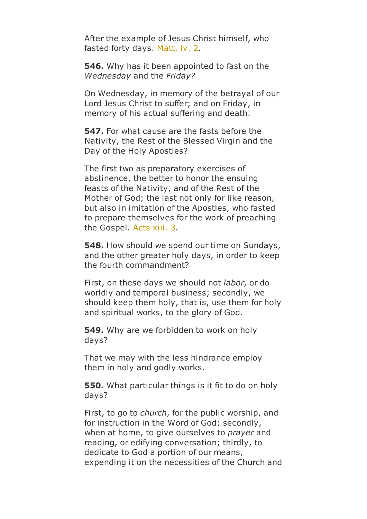After the example of Jesus Christ himself, who fasted forty days. Matt. iv. 2.

**546.** Why has it been appointed to fast on the *Wednesday* and the *Friday?*

On Wednesday, in memory of the betrayal of our Lord Jesus Christ to suffer; and on Friday, in memory of his actual suffering and death.

**547.** For what cause are the fasts before the Nativity, the Rest of the Blessed Virgin and the Day of the Holy Apostles?

The first two as preparatory exercises of abstinence, the better to honor the ensuing feasts of the Nativity, and of the Rest of the Mother of God; the last not only for like reason, but also in imitation of the Apostles, who fasted to prepare themselves for the work of preaching the Gospel. Acts xiii. 3.

**548.** How should we spend our time on Sundays, and the other greater holy days, in order to keep the fourth commandment?

First, on these days we should not *labor*, or do worldly and temporal business; secondly, we should keep them holy, that is, use them for holy and spiritual works, to the glory of God.

**549.** Why are we forbidden to work on holy days?

That we may with the less hindrance employ them in holy and godly works.

**550.** What particular things is it fit to do on holy days?

First, to go to *church*, for the public worship, and for instruction in the Word of God; secondly, when at home, to give ourselves to *prayer* and reading, or edifying conversation; thirdly, to dedicate to God a portion of our means, expending it on the necessities of the Church and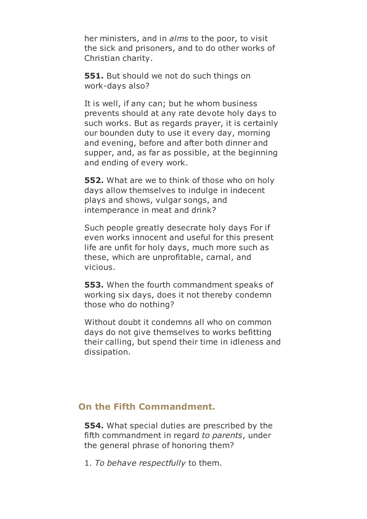her ministers, and in *alms* to the poor, to visit the sick and prisoners, and to do other works of Christian charity.

**551.** But should we not do such things on work-days also?

It is well, if any can; but he whom business prevents should at any rate devote holy days to such works. But as regards prayer, it is certainly our bounden duty to use it every day, morning and evening, before and after both dinner and supper, and, as far as possible, at the beginning and ending of every work.

**552.** What are we to think of those who on holy days allow themselves to indulge in indecent plays and shows, vulgar songs, and intemperance in meat and drink?

Such people greatly desecrate holy days For if even works innocent and useful for this present life are unfit for holy days, much more such as these, which are unprofitable, carnal, and vicious.

**553.** When the fourth commandment speaks of working six days, does it not thereby condemn those who do nothing?

Without doubt it condemns all who on common days do not give themselves to works befitting their calling, but spend their time in idleness and dissipation.

# **On the Fifth Commandment.**

**554.** What special duties are prescribed by the fifth commandment in regard *to parents*, under the general phrase of honoring them?

1. *To behave respectfully* to them.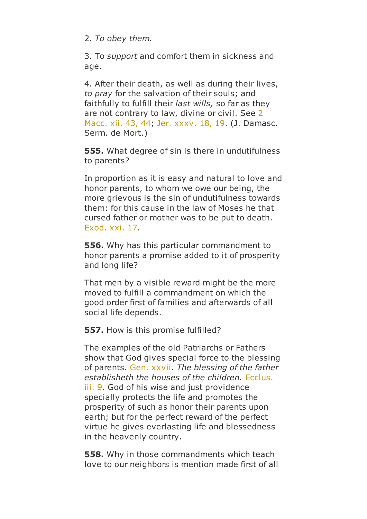2. *To obey them.*

3. To *support* and comfort them in sickness and age.

4. After their death, as well as during their lives, *to pray* for the salvation of their souls; and faithfully to fulfill their *last wills,* so far as they are not contrary to law, divine or civil. See 2 Macc. xii. 43, 44; Jer. xxxv. 18, 19. (J. Damasc. Serm. de Mort.)

**555.** What degree of sin is there in undutifulness to parents?

In proportion as it is easy and natural to love and honor parents, to whom we owe our being, the more grievous is the sin of undutifulness towards them: for this cause in the law of Moses he that cursed father or mother was to be put to death. Exod. xxi. 17.

**556.** Why has this particular commandment to honor parents a promise added to it of prosperity and long life?

That men by a visible reward might be the more moved to fulfill a commandment on which the good order first of families and afterwards of all social life depends.

**557.** How is this promise fulfilled?

The examples of the old Patriarchs or Fathers show that God gives special force to the blessing of parents. Gen. xxvii. *The blessing of the father establisheth the houses of the children.* Ecclus. iii. 9. God of his wise and just providence specially protects the life and promotes the prosperity of such as honor their parents upon earth; but for the perfect reward of the perfect virtue he gives everlasting life and blessedness in the heavenly country.

**558.** Why in those commandments which teach love to our neighbors is mention made first of all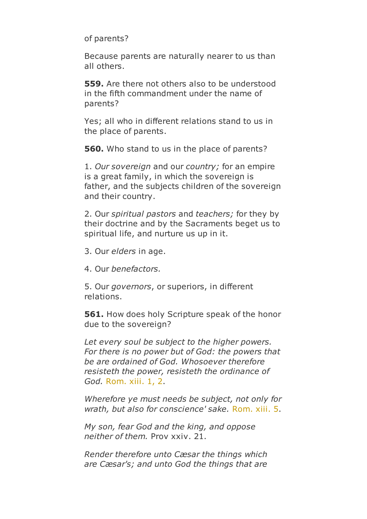of parents?

Because parents are naturally nearer to us than all others.

**559.** Are there not others also to be understood in the fifth commandment under the name of parents?

Yes; all who in different relations stand to us in the place of parents.

**560.** Who stand to us in the place of parents?

1. *Our sovereign* and our *country;* for an empire is a great family, in which the sovereign is father, and the subjects children of the sovereign and their country.

2. Our *spiritual pastors* and *teachers;* for they by their doctrine and by the Sacraments beget us to spiritual life, and nurture us up in it.

3. Our *elders* in age.

4. Our *benefactors.*

5. Our *governors*, or superiors, in different relations.

**561.** How does holy Scripture speak of the honor due to the sovereign?

*Let every soul be subject to the higher powers. For there is no power but of God: the powers that be are ordained of God. Whosoever therefore resisteth the power, resisteth the ordinance of God.* Rom. xiii. 1, 2.

*Wherefore ye must needs be subject, not only for wrath, but also for conscience' sake.* Rom. xiii. 5.

*My son, fear God and the king, and oppose neither of them.* Prov xxiv. 21.

*Render therefore unto Cæsar the things which are Cæsar's; and unto God the things that are*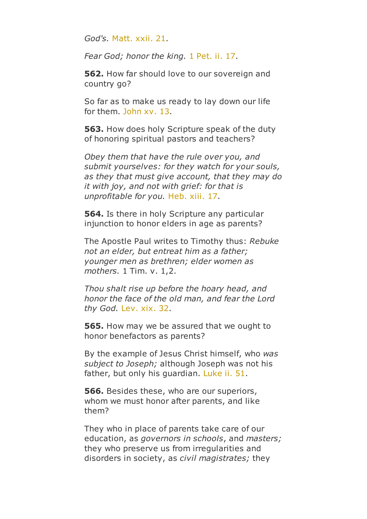*God's.* Matt. xxii. 21.

*Fear God; honor the king.* 1 Pet. ii. 17.

**562.** How far should love to our sovereign and country go?

So far as to make us ready to lay down our life for them. John xv. 13.

**563.** How does holy Scripture speak of the duty of honoring spiritual pastors and teachers?

*Obey them that have the rule over you, and submit yourselves: for they watch for your souls, as they that must give account, that they may do it with joy, and not with grief: for that is unprofitable for you.* Heb. xiii. 17.

**564.** Is there in holy Scripture any particular injunction to honor elders in age as parents?

The Apostle Paul writes to Timothy thus: *Rebuke not an elder, but entreat him as a father; younger men as brethren; elder women as mothers.* 1 Tim. v. 1,2.

*Thou shalt rise up before the hoary head, and honor the face of the old man, and fear the Lord thy God.* Lev. xix. 32.

**565.** How may we be assured that we ought to honor benefactors as parents?

By the example of Jesus Christ himself, who *was subject to Joseph;* although Joseph was not his father, but only his guardian. Luke ii. 51.

**566.** Besides these, who are our superiors, whom we must honor after parents, and like them?

They who in place of parents take care of our education, as *governors in schools*, and *masters;* they who preserve us from irregularities and disorders in society, as *civil magistrates;* they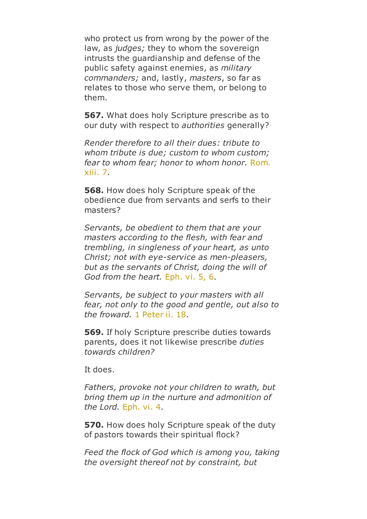who protect us from wrong by the power of the law, as *judges;* they to whom the sovereign intrusts the guardianship and defense of the public safety against enemies, as *military commanders;* and, lastly, *masters*, so far as relates to those who serve them, or belong to them.

**567.** What does holy Scripture prescribe as to our duty with respect to *authorities* generally?

*Render therefore to all their dues: tribute to whom tribute is due; custom to whom custom; fear to whom fear; honor to whom honor.* Rom. xiii. 7.

**568.** How does holy Scripture speak of the obedience due from servants and serfs to their masters?

*Servants, be obedient to them that are your masters according to the flesh, with fear and trembling, in singleness of your heart, as unto Christ; not with eye-service as men-pleasers, but as the servants of Christ, doing the will of God from the heart.* Eph. vi. 5, 6.

*Servants, be subject to your masters with all fear, not only to the good and gentle, out also to the froward.* 1 Peter ii. 18.

**569.** If holy Scripture prescribe duties towards parents, does it not likewise prescribe *duties towards children?*

It does.

*Fathers, provoke not your children to wrath, but bring them up in the nurture and admonition of the Lord.* Eph. vi. 4.

**570.** How does holy Scripture speak of the duty of pastors towards their spiritual flock?

*Feed the flock of God which is among you, taking the oversight thereof not by constraint, but*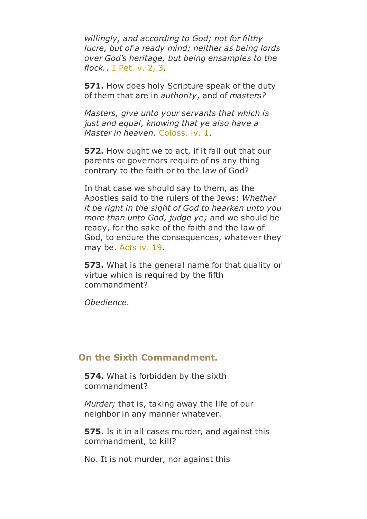*willingly, and according to God; not for filthy lucre, but of a ready mind; neither as being lords over God's heritage, but being ensamples to the flock.*. 1 Pet. v. 2, 3.

**571.** How does holy Scripture speak of the duty of them that are in *authority*, and of *masters?*

*Masters, give unto your servants that which is just and equal, knowing that ye also have a Master in heaven.* Coloss. iv. 1.

**572.** How ought we to act, if it fall out that our parents or governors require of ns any thing contrary to the faith or to the law of God?

In that case we should say to them, as the Apostles said to the rulers of the Jews: *Whether it be right in the sight of God to hearken unto you more than unto God, judge ye;* and we should be ready, for the sake of the faith and the law of God, to endure the consequences, whatever they may be. Acts iv. 19.

**573.** What is the general name for that quality or virtue which is required by the fifth commandment?

*Obedience.*

#### **On the Sixth Commandment.**

**574.** What is forbidden by the sixth commandment?

*Murder;* that is, taking away the life of our neighbor in any manner whatever.

**575.** Is it in all cases murder, and against this commandment, to kill?

No. It is not murder, nor against this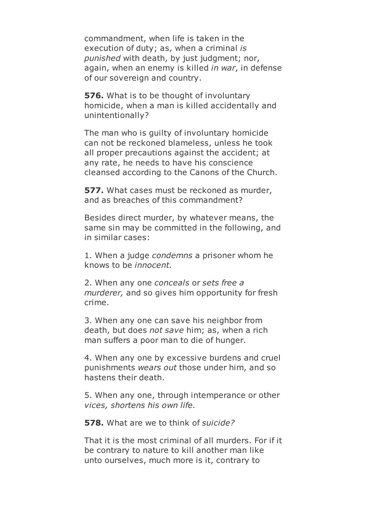commandment, when life is taken in the execution of duty; as, when a criminal *is punished* with death, by just judgment; nor, again, when an enemy is killed *in war*, in defense of our sovereign and country.

**576.** What is to be thought of involuntary homicide, when a man is killed accidentally and unintentionally?

The man who is guilty of involuntary homicide can not be reckoned blameless, unless he took all proper precautions against the accident; at any rate, he needs to have his conscience cleansed according to the Canons of the Church.

**577.** What cases must be reckoned as murder, and as breaches of this commandment?

Besides direct murder, by whatever means, the same sin may be committed in the following, and in similar cases:

1. When a judge *condemns* a prisoner whom he knows to be *innocent.*

2. When any one *conceals* or *sets free a murderer,* and so gives him opportunity for fresh crime.

3. When any one can save his neighbor from death, but does *not save* him; as, when a rich man suffers a poor man to die of hunger.

4. When any one by excessive burdens and cruel punishments *wears out* those under him, and so hastens their death.

5. When any one, through intemperance or other *vices, shortens his own life.*

**578.** What are we to think of *suicide?*

That it is the most criminal of all murders. For if it be contrary to nature to kill another man like unto ourselves, much more is it, contrary to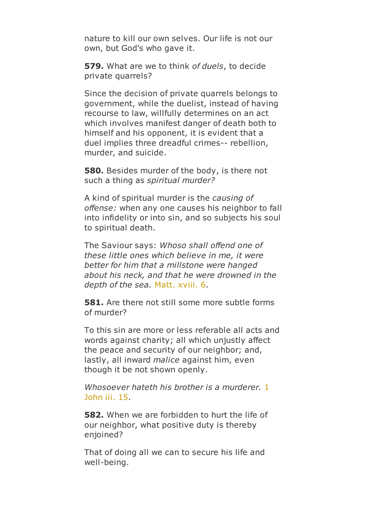nature to kill our own selves. Our life is not our own, but God's who gave it.

**579.** What are we to think *of duels*, to decide private quarrels?

Since the decision of private quarrels belongs to government, while the duelist, instead of having recourse to law, willfully determines on an act which involves manifest danger of death both to himself and his opponent, it is evident that a duel implies three dreadful crimes-- rebellion, murder, and suicide.

**580.** Besides murder of the body, is there not such a thing as *spiritual murder?*

A kind of spiritual murder is the *causing of offense:* when any one causes his neighbor to fall into infidelity or into sin, and so subjects his soul to spiritual death.

The Saviour says: *Whoso shall offend one of these little ones which believe in me, it were better for him that a millstone were hanged about his neck, and that he were drowned in the depth of the sea.* Matt. xviii. 6.

**581.** Are there not still some more subtle forms of murder?

To this sin are more or less referable all acts and words against charity; all which unjustly affect the peace and security of our neighbor; and, lastly, all inward *malice* against him, even though it be not shown openly.

*Whosoever hateth his brother is a murderer.* 1 John iii. 15.

**582.** When we are forbidden to hurt the life of our neighbor, what positive duty is thereby enjoined?

That of doing all we can to secure his life and well-being.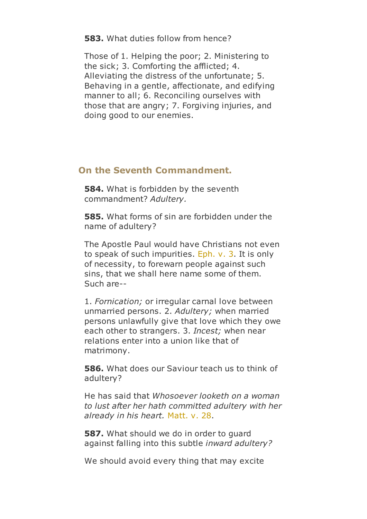**583.** What duties follow from hence?

Those of 1. Helping the poor; 2. Ministering to the sick; 3. Comforting the afflicted; 4. Alleviating the distress of the unfortunate; 5. Behaving in a gentle, affectionate, and edifying manner to all; 6. Reconciling ourselves with those that are angry; 7. Forgiving injuries, and doing good to our enemies.

# **On the Seventh Commandment.**

**584.** What is forbidden by the seventh commandment? *Adultery.*

**585.** What forms of sin are forbidden under the name of adultery?

The Apostle Paul would have Christians not even to speak of such impurities.  $Eph. v. 3.$  It is only of necessity, to forewarn people against such sins, that we shall here name some of them. Such are--

1. *Fornication;* or irregular carnal love between unmarried persons. 2. *Adultery;* when married persons unlawfully give that love which they owe each other to strangers. 3. *Incest;* when near relations enter into a union like that of matrimony.

**586.** What does our Saviour teach us to think of adultery?

He has said that *Whosoever looketh on a woman to lust after her hath committed adultery with her already in his heart.* Matt. v. 28.

**587.** What should we do in order to guard against falling into this subtle *inward adultery?*

We should avoid every thing that may excite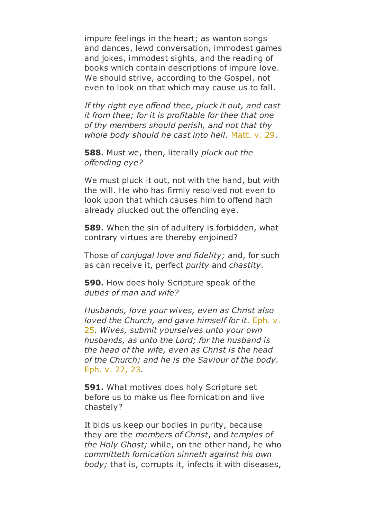impure feelings in the heart; as wanton songs and dances, lewd conversation, immodest games and jokes, immodest sights, and the reading of books which contain descriptions of impure love. We should strive, according to the Gospel, not even to look on that which may cause us to fall.

*If thy right eye offend thee, pluck it out, and cast it from thee; for it is profitable for thee that one of thy members should perish, and not that thy whole body should he cast into hell.* Matt. v. 29.

**588.** Must we, then, literally *pluck out the offending eye?*

We must pluck it out, not with the hand, but with the will. He who has firmly resolved not even to look upon that which causes him to offend hath already plucked out the offending eye.

**589.** When the sin of adultery is forbidden, what contrary virtues are thereby enjoined?

Those of *conjugal love and fidelity;* and, for such as can receive it, perfect *purity* and *chastity.*

**590.** How does holy Scripture speak of the *duties of man and wife?*

*Husbands, love your wives, even as Christ also loved the Church, and gave himself for it.* Eph. v. 25. *Wives, submit yourselves unto your own husbands, as unto the Lord; for the husband is the head of the wife, even as Christ is the head of the Church; and he is the Saviour of the body.* Eph. v. 22, 23.

**591.** What motives does holy Scripture set before us to make us flee fornication and live chastely?

It bids us keep our bodies in purity, because they are the *members of Christ*, and *temples of the Holy Ghost;* while, on the other hand, he who *committeth fornication sinneth against his own body;* that is, corrupts it, infects it with diseases,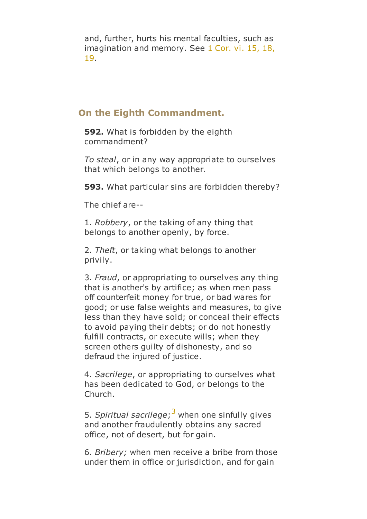and, further, hurts his mental faculties, such as imagination and memory. See 1 Cor. vi. 15, 18, 19.

# **On the Eighth Commandment.**

**592.** What is forbidden by the eighth commandment?

*To steal*, or in any way appropriate to ourselves that which belongs to another.

**593.** What particular sins are forbidden thereby?

The chief are--

1. *Robbery*, or the taking of any thing that belongs to another openly, by force.

2. *Theft*, or taking what belongs to another privily.

3. *Fraud*, or appropriating to ourselves any thing that is another's by artifice; as when men pass off counterfeit money for true, or bad wares for good; or use false weights and measures, to give less than they have sold; or conceal their effects to avoid paying their debts; or do not honestly fulfill contracts, or execute wills; when they screen others guilty of dishonesty, and so defraud the injured of justice.

4. *Sacrilege*, or appropriating to ourselves what has been dedicated to God, or belongs to the Church.

5. *Spiritual sacrilege*;<sup>3</sup> when one sinfully gives and another fraudulently obtains any sacred office, not of desert, but for gain.

6. *Bribery;* when men receive a bribe from those under them in office or jurisdiction, and for gain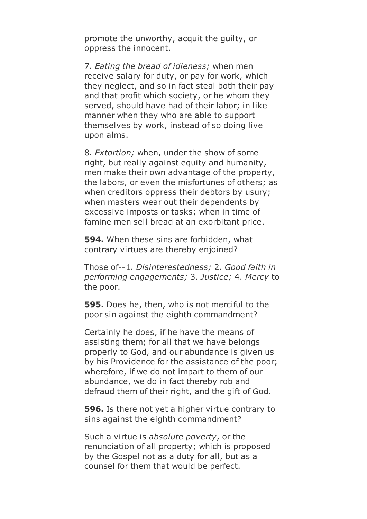promote the unworthy, acquit the guilty, or oppress the innocent.

7. *Eating the bread of idleness;* when men receive salary for duty, or pay for work, which they neglect, and so in fact steal both their pay and that profit which society, or he whom they served, should have had of their labor; in like manner when they who are able to support themselves by work, instead of so doing live upon alms.

8. *Extortion;* when, under the show of some right, but really against equity and humanity, men make their own advantage of the property, the labors, or even the misfortunes of others; as when creditors oppress their debtors by usury; when masters wear out their dependents by excessive imposts or tasks; when in time of famine men sell bread at an exorbitant price.

**594.** When these sins are forbidden, what contrary virtues are thereby enjoined?

Those of--1. *Disinterestedness;* 2. *Good faith in performing engagements;* 3. *Justice;* 4. *Mercy* to the poor.

**595.** Does he, then, who is not merciful to the poor sin against the eighth commandment?

Certainly he does, if he have the means of assisting them; for all that we have belongs properly to God, and our abundance is given us by his Providence for the assistance of the poor; wherefore, if we do not impart to them of our abundance, we do in fact thereby rob and defraud them of their right, and the gift of God.

**596.** Is there not yet a higher virtue contrary to sins against the eighth commandment?

Such a virtue is *absolute poverty*, or the renunciation of all property; which is proposed by the Gospel not as a duty for all, but as a counsel for them that would be perfect.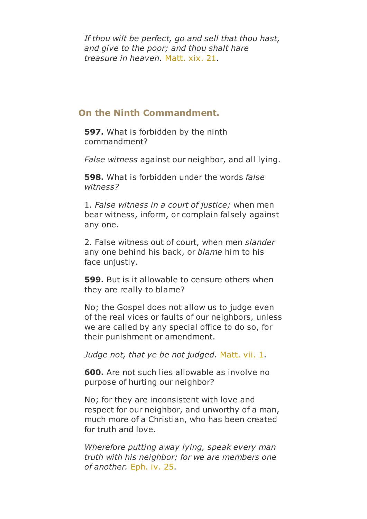*If thou wilt be perfect, go and sell that thou hast, and give to the poor; and thou shalt hare treasure in heaven.* Matt. xix. 21.

## **On the Ninth Commandment.**

**597.** What is forbidden by the ninth commandment?

*False witness* against our neighbor, and all lying.

**598.** What is forbidden under the words *false witness?*

1. *False witness in a court of justice;* when men bear witness, inform, or complain falsely against any one.

2. False witness out of court, when men *slander* any one behind his back, or *blame* him to his face unjustly.

**599.** But is it allowable to censure others when they are really to blame?

No; the Gospel does not allow us to judge even of the real vices or faults of our neighbors, unless we are called by any special office to do so, for their punishment or amendment.

*Judge not, that ye be not judged.* Matt. vii. 1.

**600.** Are not such lies allowable as involve no purpose of hurting our neighbor?

No; for they are inconsistent with love and respect for our neighbor, and unworthy of a man, much more of a Christian, who has been created for truth and love.

*Wherefore putting away lying, speak every man truth with his neighbor; for we are members one of another.* Eph. iv. 25.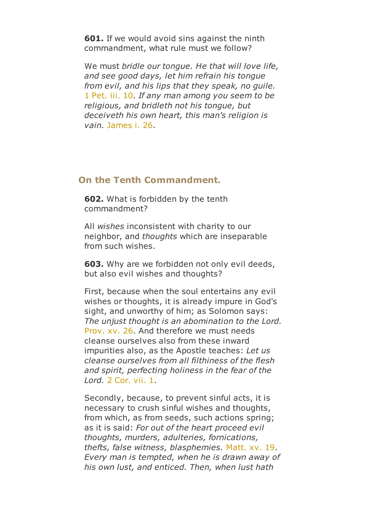**601.** If we would avoid sins against the ninth commandment, what rule must we follow?

We must *bridle our tongue. He that will love life, and see good days, let him refrain his tongue from evil, and his lips that they speak, no guile.* 1 Pet. iii. 10. *If any man among you seem to be religious, and bridleth not his tongue, but deceiveth his own heart, this man's religion is vain.* James i. 26.

## **On the Tenth Commandment.**

**602.** What is forbidden by the tenth commandment?

All *wishes* inconsistent with charity to our neighbor, and *thoughts* which are inseparable from such wishes.

**603.** Why are we forbidden not only evil deeds, but also evil wishes and thoughts?

First, because when the soul entertains any evil wishes or thoughts, it is already impure in God's sight, and unworthy of him; as Solomon says: *The unjust thought is an abomination to the Lord.* Prov. xv. 26. And therefore we must needs cleanse ourselves also from these inward impurities also, as the Apostle teaches: *Let us cleanse ourselves from all filthiness of the flesh and spirit, perfecting holiness in the fear of the Lord.* 2 Cor. vii. 1.

Secondly, because, to prevent sinful acts, it is necessary to crush sinful wishes and thoughts, from which, as from seeds, such actions spring; as it is said: *For out of the heart proceed evil thoughts, murders, adulteries, fornications, thefts, false witness, blasphemies.* Matt. xv. 19. *Every man is tempted, when he is drawn away of his own lust, and enticed. Then, when lust hath*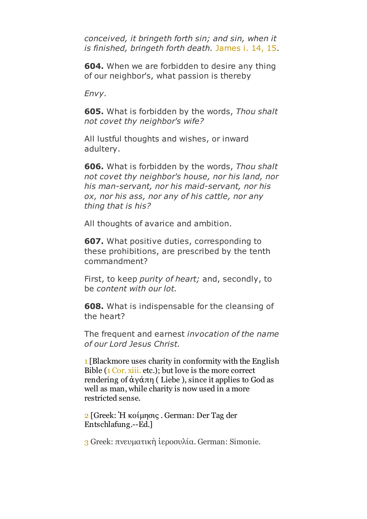*conceived, it bringeth forth sin; and sin, when it is finished, bringeth forth death.* James i. 14, 15.

**604.** When we are forbidden to desire any thing of our neighbor's, what passion is thereby

*Envy.*

**605.** What is forbidden by the words, *Thou shalt not covet thy neighbor's wife?*

All lustful thoughts and wishes, or inward adultery.

**606.** What is forbidden by the words, *Thou shalt not covet thy neighbor's house, nor his land, nor his man-servant, nor his maid-servant, nor his ox, nor his ass, nor any of his cattle, nor any thing that is his?*

All thoughts of avarice and ambition.

**607.** What positive duties, corresponding to these prohibitions, are prescribed by the tenth commandment?

First, to keep *purity of heart;* and, secondly, to be *content with our lot.*

**608.** What is indispensable for the cleansing of the heart?

The frequent and earnest *invocation of the name of our Lord Jesus Christ.*

1 [Blackmore uses charity in conformity with the English Bible (1 Cor. xiii. etc.); but love is the more correct rendering of  $\dot{\alpha}$ γάπη (Liebe), since it applies to God as well as man, while charity is now used in a more restricted sense.

2 [Greek: Ἡ κοίμησις . German: Der Tag der Entschlafung.--Ed.]

3 Greek: πνευματικὴ ἱεροσυλία. German: Simonie.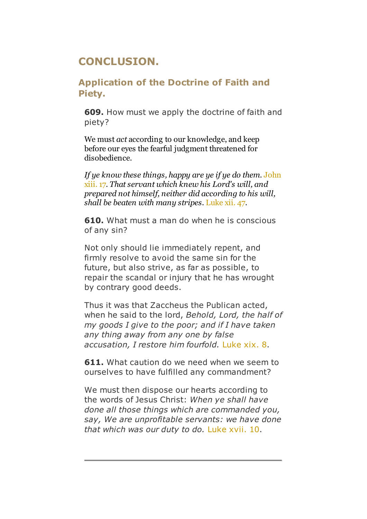## **CONCLUSION.**

## **Application of the Doctrine of Faith and Piety.**

**609.** How must we apply the doctrine of faith and piety?

We must *act* according to our knowledge, and keep before our eyes the fearful judgment threatened for disobedience.

*If ye know these things, happy are ye if ye do them.* John xiii. 17. *That servant which knew his Lord's will, and prepared not himself, neither did according to his will, shall be beaten with many stripes.* Luke xii. 47.

**610.** What must a man do when he is conscious of any sin?

Not only should lie immediately repent, and firmly resolve to avoid the same sin for the future, but also strive, as far as possible, to repair the scandal or injury that he has wrought by contrary good deeds.

Thus it was that Zaccheus the Publican acted, when he said to the lord, *Behold, Lord, the half of my goods I give to the poor; and if I have taken any thing away from any one by false accusation, I restore him fourfold.* Luke xix. 8.

**611.** What caution do we need when we seem to ourselves to have fulfilled any commandment?

We must then dispose our hearts according to the words of Jesus Christ: *When ye shall have done all those things which are commanded you, say, We are unprofitable servants: we have done that which was our duty to do.* Luke xvii. 10.